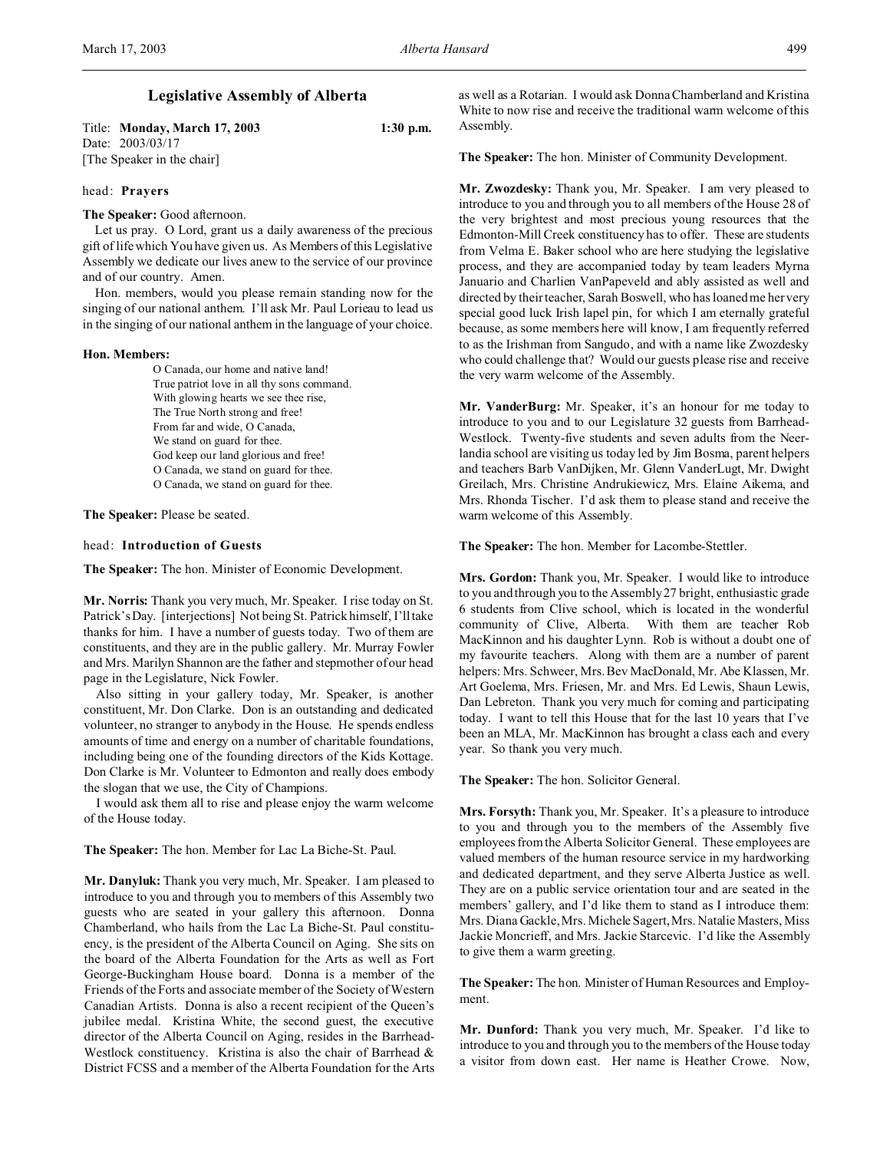# **Legislative Assembly of Alberta**

Title: **Monday, March 17, 2003 1:30 p.m.** Date: 2003/03/17 [The Speaker in the chair]

## head: **Prayers**

**The Speaker:** Good afternoon.

Let us pray. O Lord, grant us a daily awareness of the precious gift of life which You have given us. As Members of this Legislative Assembly we dedicate our lives anew to the service of our province and of our country. Amen.

Hon. members, would you please remain standing now for the singing of our national anthem. I'll ask Mr. Paul Lorieau to lead us in the singing of our national anthem in the language of your choice.

#### **Hon. Members:**

O Canada, our home and native land! True patriot love in all thy sons command. With glowing hearts we see thee rise, The True North strong and free! From far and wide, O Canada, We stand on guard for thee. God keep our land glorious and free! O Canada, we stand on guard for thee. O Canada, we stand on guard for thee.

**The Speaker:** Please be seated.

head: **Introduction of Guests**

**The Speaker:** The hon. Minister of Economic Development.

**Mr. Norris:** Thank you very much, Mr. Speaker. I rise today on St. Patrick's Day. [interjections] Not being St. Patrick himself, I'll take thanks for him. I have a number of guests today. Two of them are constituents, and they are in the public gallery. Mr. Murray Fowler and Mrs. Marilyn Shannon are the father and stepmother of our head page in the Legislature, Nick Fowler.

Also sitting in your gallery today, Mr. Speaker, is another constituent, Mr. Don Clarke. Don is an outstanding and dedicated volunteer, no stranger to anybody in the House. He spends endless amounts of time and energy on a number of charitable foundations, including being one of the founding directors of the Kids Kottage. Don Clarke is Mr. Volunteer to Edmonton and really does embody the slogan that we use, the City of Champions.

I would ask them all to rise and please enjoy the warm welcome of the House today.

**The Speaker:** The hon. Member for Lac La Biche-St. Paul.

**Mr. Danyluk:** Thank you very much, Mr. Speaker. I am pleased to introduce to you and through you to members of this Assembly two guests who are seated in your gallery this afternoon. Donna Chamberland, who hails from the Lac La Biche-St. Paul constituency, is the president of the Alberta Council on Aging. She sits on the board of the Alberta Foundation for the Arts as well as Fort George-Buckingham House board. Donna is a member of the Friends of the Forts and associate member of the Society of Western Canadian Artists. Donna is also a recent recipient of the Queen's jubilee medal. Kristina White, the second guest, the executive director of the Alberta Council on Aging, resides in the Barrhead-Westlock constituency. Kristina is also the chair of Barrhead & District FCSS and a member of the Alberta Foundation for the Arts as well as a Rotarian. I would ask Donna Chamberland and Kristina White to now rise and receive the traditional warm welcome of this Assembly.

**The Speaker:** The hon. Minister of Community Development.

**Mr. Zwozdesky:** Thank you, Mr. Speaker. I am very pleased to introduce to you and through you to all members of the House 28 of the very brightest and most precious young resources that the Edmonton-Mill Creek constituency has to offer. These are students from Velma E. Baker school who are here studying the legislative process, and they are accompanied today by team leaders Myrna Januario and Charlien VanPapeveld and ably assisted as well and directed by their teacher, Sarah Boswell, who has loaned me her very special good luck Irish lapel pin, for which I am eternally grateful because, as some members here will know, I am frequently referred to as the Irishman from Sangudo, and with a name like Zwozdesky who could challenge that? Would our guests please rise and receive the very warm welcome of the Assembly.

**Mr. VanderBurg:** Mr. Speaker, it's an honour for me today to introduce to you and to our Legislature 32 guests from Barrhead-Westlock. Twenty-five students and seven adults from the Neerlandia school are visiting us today led by Jim Bosma, parent helpers and teachers Barb VanDijken, Mr. Glenn VanderLugt, Mr. Dwight Greilach, Mrs. Christine Andrukiewicz, Mrs. Elaine Aikema, and Mrs. Rhonda Tischer. I'd ask them to please stand and receive the warm welcome of this Assembly.

**The Speaker:** The hon. Member for Lacombe-Stettler.

**Mrs. Gordon:** Thank you, Mr. Speaker. I would like to introduce to you and through you to the Assembly 27 bright, enthusiastic grade 6 students from Clive school, which is located in the wonderful community of Clive, Alberta. With them are teacher Rob MacKinnon and his daughter Lynn. Rob is without a doubt one of my favourite teachers. Along with them are a number of parent helpers: Mrs. Schweer, Mrs. Bev MacDonald, Mr. Abe Klassen, Mr. Art Goelema, Mrs. Friesen, Mr. and Mrs. Ed Lewis, Shaun Lewis, Dan Lebreton. Thank you very much for coming and participating today. I want to tell this House that for the last 10 years that I've been an MLA, Mr. MacKinnon has brought a class each and every year. So thank you very much.

**The Speaker:** The hon. Solicitor General.

**Mrs. Forsyth:** Thank you, Mr. Speaker. It's a pleasure to introduce to you and through you to the members of the Assembly five employees from the Alberta Solicitor General. These employees are valued members of the human resource service in my hardworking and dedicated department, and they serve Alberta Justice as well. They are on a public service orientation tour and are seated in the members' gallery, and I'd like them to stand as I introduce them: Mrs. Diana Gackle, Mrs. Michele Sagert, Mrs. Natalie Masters, Miss Jackie Moncrieff, and Mrs. Jackie Starcevic. I'd like the Assembly to give them a warm greeting.

**The Speaker:** The hon. Minister of Human Resources and Employment.

**Mr. Dunford:** Thank you very much, Mr. Speaker. I'd like to introduce to you and through you to the members of the House today a visitor from down east. Her name is Heather Crowe. Now,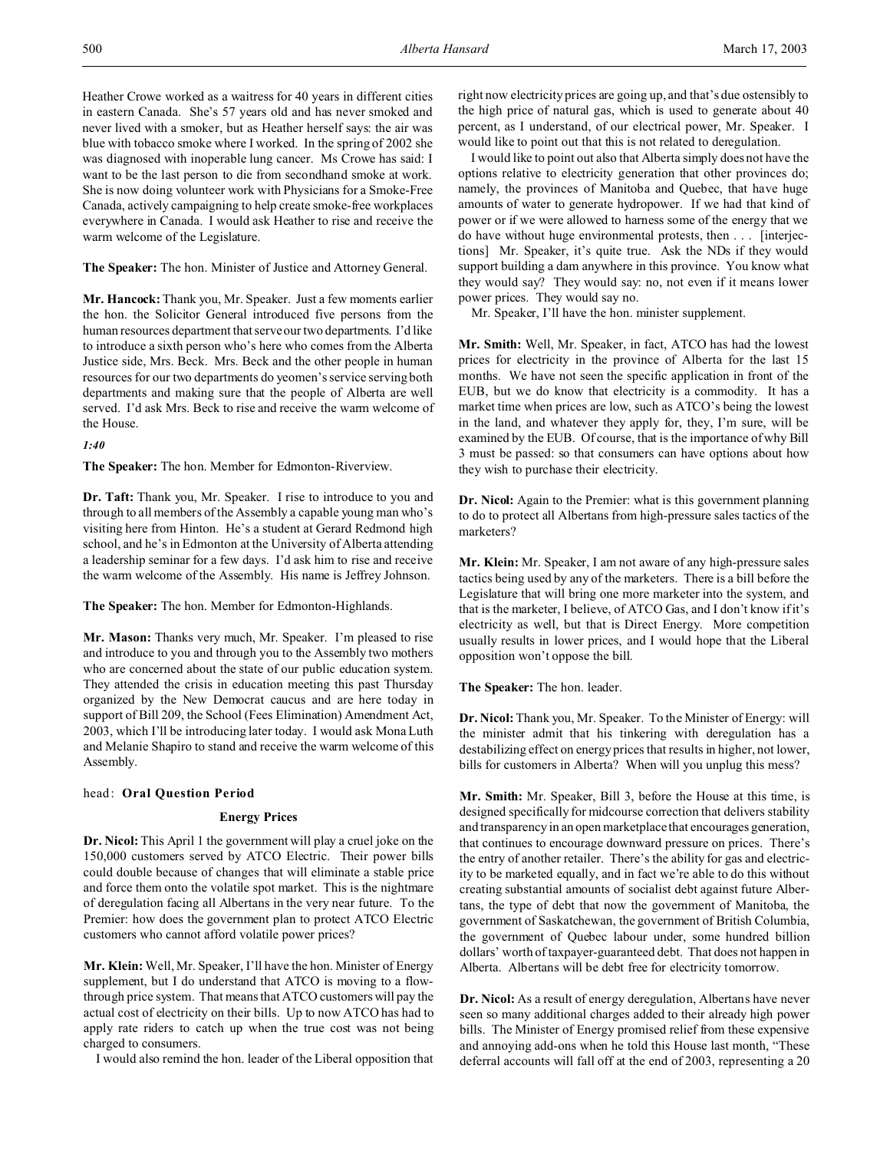Heather Crowe worked as a waitress for 40 years in different cities in eastern Canada. She's 57 years old and has never smoked and never lived with a smoker, but as Heather herself says: the air was blue with tobacco smoke where I worked. In the spring of 2002 she was diagnosed with inoperable lung cancer. Ms Crowe has said: I want to be the last person to die from secondhand smoke at work. She is now doing volunteer work with Physicians for a Smoke-Free Canada, actively campaigning to help create smoke-free workplaces everywhere in Canada. I would ask Heather to rise and receive the warm welcome of the Legislature.

**The Speaker:** The hon. Minister of Justice and Attorney General.

**Mr. Hancock:** Thank you, Mr. Speaker. Just a few moments earlier the hon. the Solicitor General introduced five persons from the human resources department that serve our two departments. I'd like to introduce a sixth person who's here who comes from the Alberta Justice side, Mrs. Beck. Mrs. Beck and the other people in human resources for our two departments do yeomen's service serving both departments and making sure that the people of Alberta are well served. I'd ask Mrs. Beck to rise and receive the warm welcome of the House.

## *1:40*

**The Speaker:** The hon. Member for Edmonton-Riverview.

**Dr. Taft:** Thank you, Mr. Speaker. I rise to introduce to you and through to all members of the Assembly a capable young man who's visiting here from Hinton. He's a student at Gerard Redmond high school, and he's in Edmonton at the University of Alberta attending a leadership seminar for a few days. I'd ask him to rise and receive the warm welcome of the Assembly. His name is Jeffrey Johnson.

**The Speaker:** The hon. Member for Edmonton-Highlands.

**Mr. Mason:** Thanks very much, Mr. Speaker. I'm pleased to rise and introduce to you and through you to the Assembly two mothers who are concerned about the state of our public education system. They attended the crisis in education meeting this past Thursday organized by the New Democrat caucus and are here today in support of Bill 209, the School (Fees Elimination) Amendment Act, 2003, which I'll be introducing later today. I would ask Mona Luth and Melanie Shapiro to stand and receive the warm welcome of this Assembly.

## head: **Oral Question Period**

## **Energy Prices**

**Dr. Nicol:** This April 1 the government will play a cruel joke on the 150,000 customers served by ATCO Electric. Their power bills could double because of changes that will eliminate a stable price and force them onto the volatile spot market. This is the nightmare of deregulation facing all Albertans in the very near future. To the Premier: how does the government plan to protect ATCO Electric customers who cannot afford volatile power prices?

**Mr. Klein:** Well, Mr. Speaker, I'll have the hon. Minister of Energy supplement, but I do understand that ATCO is moving to a flowthrough price system. That means that ATCO customers will pay the actual cost of electricity on their bills. Up to now ATCO has had to apply rate riders to catch up when the true cost was not being charged to consumers.

I would also remind the hon. leader of the Liberal opposition that

right now electricity prices are going up, and that's due ostensibly to the high price of natural gas, which is used to generate about 40 percent, as I understand, of our electrical power, Mr. Speaker. I would like to point out that this is not related to deregulation.

I would like to point out also that Alberta simply does not have the options relative to electricity generation that other provinces do; namely, the provinces of Manitoba and Quebec, that have huge amounts of water to generate hydropower. If we had that kind of power or if we were allowed to harness some of the energy that we do have without huge environmental protests, then . . . [interjections] Mr. Speaker, it's quite true. Ask the NDs if they would support building a dam anywhere in this province. You know what they would say? They would say: no, not even if it means lower power prices. They would say no.

Mr. Speaker, I'll have the hon. minister supplement.

**Mr. Smith:** Well, Mr. Speaker, in fact, ATCO has had the lowest prices for electricity in the province of Alberta for the last 15 months. We have not seen the specific application in front of the EUB, but we do know that electricity is a commodity. It has a market time when prices are low, such as ATCO's being the lowest in the land, and whatever they apply for, they, I'm sure, will be examined by the EUB. Of course, that is the importance of why Bill 3 must be passed: so that consumers can have options about how they wish to purchase their electricity.

**Dr. Nicol:** Again to the Premier: what is this government planning to do to protect all Albertans from high-pressure sales tactics of the marketers?

**Mr. Klein:** Mr. Speaker, I am not aware of any high-pressure sales tactics being used by any of the marketers. There is a bill before the Legislature that will bring one more marketer into the system, and that is the marketer, I believe, of ATCO Gas, and I don't know if it's electricity as well, but that is Direct Energy. More competition usually results in lower prices, and I would hope that the Liberal opposition won't oppose the bill.

**The Speaker:** The hon. leader.

**Dr. Nicol:** Thank you, Mr. Speaker. To the Minister of Energy: will the minister admit that his tinkering with deregulation has a destabilizing effect on energy prices that results in higher, not lower, bills for customers in Alberta? When will you unplug this mess?

**Mr. Smith:** Mr. Speaker, Bill 3, before the House at this time, is designed specifically for midcourse correction that delivers stability and transparency in an open marketplace that encourages generation, that continues to encourage downward pressure on prices. There's the entry of another retailer. There's the ability for gas and electricity to be marketed equally, and in fact we're able to do this without creating substantial amounts of socialist debt against future Albertans, the type of debt that now the government of Manitoba, the government of Saskatchewan, the government of British Columbia, the government of Quebec labour under, some hundred billion dollars' worth of taxpayer-guaranteed debt. That does not happen in Alberta. Albertans will be debt free for electricity tomorrow.

**Dr. Nicol:** As a result of energy deregulation, Albertans have never seen so many additional charges added to their already high power bills. The Minister of Energy promised relief from these expensive and annoying add-ons when he told this House last month, "These deferral accounts will fall off at the end of 2003, representing a 20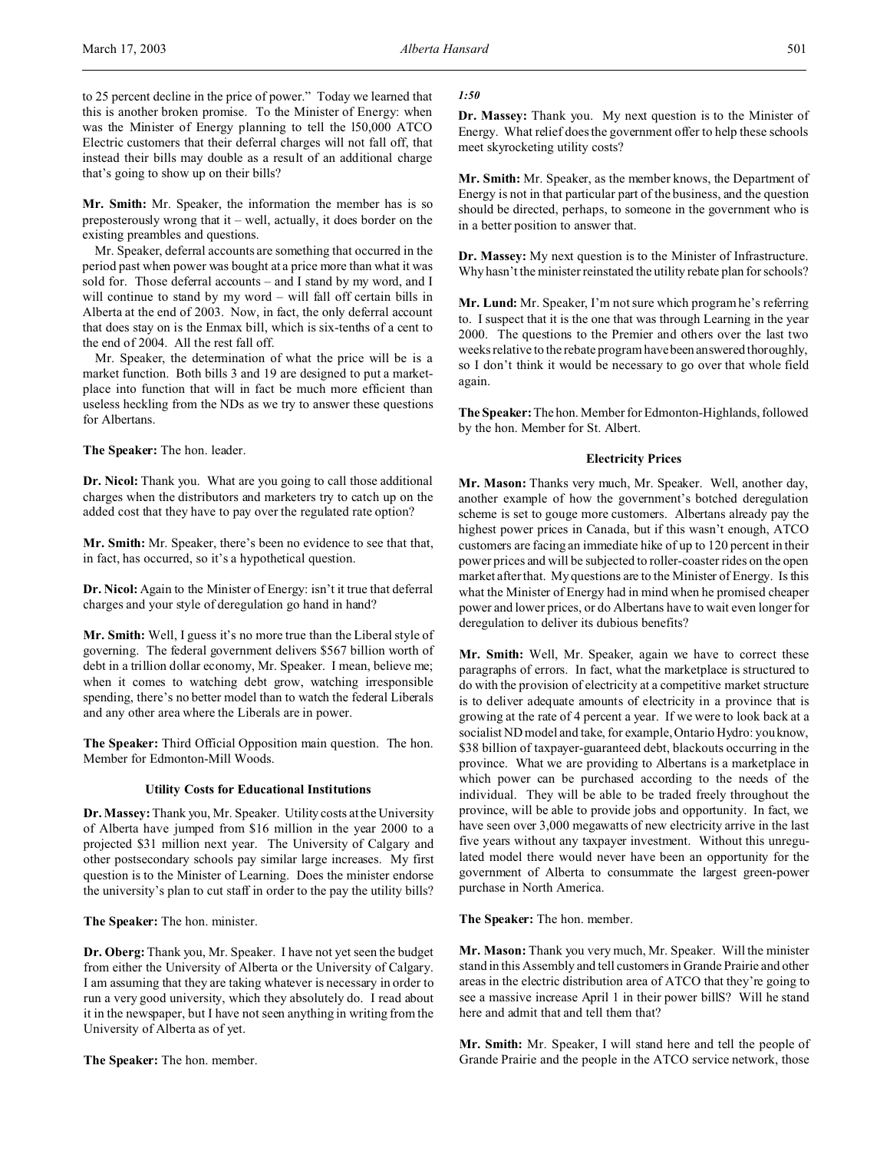to 25 percent decline in the price of power." Today we learned that this is another broken promise. To the Minister of Energy: when was the Minister of Energy planning to tell the l50,000 ATCO Electric customers that their deferral charges will not fall off, that instead their bills may double as a result of an additional charge that's going to show up on their bills?

**Mr. Smith:** Mr. Speaker, the information the member has is so preposterously wrong that it – well, actually, it does border on the existing preambles and questions.

Mr. Speaker, deferral accounts are something that occurred in the period past when power was bought at a price more than what it was sold for. Those deferral accounts – and I stand by my word, and I will continue to stand by my word – will fall off certain bills in Alberta at the end of 2003. Now, in fact, the only deferral account that does stay on is the Enmax bill, which is six-tenths of a cent to the end of 2004. All the rest fall off.

Mr. Speaker, the determination of what the price will be is a market function. Both bills 3 and 19 are designed to put a marketplace into function that will in fact be much more efficient than useless heckling from the NDs as we try to answer these questions for Albertans.

**The Speaker:** The hon. leader.

**Dr. Nicol:** Thank you. What are you going to call those additional charges when the distributors and marketers try to catch up on the added cost that they have to pay over the regulated rate option?

**Mr. Smith:** Mr. Speaker, there's been no evidence to see that that, in fact, has occurred, so it's a hypothetical question.

**Dr. Nicol:** Again to the Minister of Energy: isn't it true that deferral charges and your style of deregulation go hand in hand?

**Mr. Smith:** Well, I guess it's no more true than the Liberal style of governing. The federal government delivers \$567 billion worth of debt in a trillion dollar economy, Mr. Speaker. I mean, believe me; when it comes to watching debt grow, watching irresponsible spending, there's no better model than to watch the federal Liberals and any other area where the Liberals are in power.

**The Speaker:** Third Official Opposition main question. The hon. Member for Edmonton-Mill Woods.

## **Utility Costs for Educational Institutions**

**Dr. Massey:** Thank you, Mr. Speaker. Utility costs at the University of Alberta have jumped from \$16 million in the year 2000 to a projected \$31 million next year. The University of Calgary and other postsecondary schools pay similar large increases. My first question is to the Minister of Learning. Does the minister endorse the university's plan to cut staff in order to the pay the utility bills?

**The Speaker:** The hon. minister.

**Dr. Oberg:**Thank you, Mr. Speaker. I have not yet seen the budget from either the University of Alberta or the University of Calgary. I am assuming that they are taking whatever is necessary in order to run a very good university, which they absolutely do. I read about it in the newspaper, but I have not seen anything in writing from the University of Alberta as of yet.

**The Speaker:** The hon. member.

## *1:50*

**Dr. Massey:** Thank you. My next question is to the Minister of Energy. What relief does the government offer to help these schools meet skyrocketing utility costs?

**Mr. Smith:** Mr. Speaker, as the member knows, the Department of Energy is not in that particular part of the business, and the question should be directed, perhaps, to someone in the government who is in a better position to answer that.

**Dr. Massey:** My next question is to the Minister of Infrastructure. Why hasn't the minister reinstated the utility rebate plan for schools?

**Mr. Lund:** Mr. Speaker, I'm not sure which program he's referring to. I suspect that it is the one that was through Learning in the year 2000. The questions to the Premier and others over the last two weeks relative to the rebate program have been answered thoroughly, so I don't think it would be necessary to go over that whole field again.

**The Speaker:** The hon. Member for Edmonton-Highlands, followed by the hon. Member for St. Albert.

#### **Electricity Prices**

**Mr. Mason:** Thanks very much, Mr. Speaker. Well, another day, another example of how the government's botched deregulation scheme is set to gouge more customers. Albertans already pay the highest power prices in Canada, but if this wasn't enough, ATCO customers are facing an immediate hike of up to 120 percent in their power prices and will be subjected to roller-coaster rides on the open market after that. My questions are to the Minister of Energy. Is this what the Minister of Energy had in mind when he promised cheaper power and lower prices, or do Albertans have to wait even longer for deregulation to deliver its dubious benefits?

**Mr. Smith:** Well, Mr. Speaker, again we have to correct these paragraphs of errors. In fact, what the marketplace is structured to do with the provision of electricity at a competitive market structure is to deliver adequate amounts of electricity in a province that is growing at the rate of 4 percent a year. If we were to look back at a socialist ND model and take, for example, Ontario Hydro: you know, \$38 billion of taxpayer-guaranteed debt, blackouts occurring in the province. What we are providing to Albertans is a marketplace in which power can be purchased according to the needs of the individual. They will be able to be traded freely throughout the province, will be able to provide jobs and opportunity. In fact, we have seen over 3,000 megawatts of new electricity arrive in the last five years without any taxpayer investment. Without this unregulated model there would never have been an opportunity for the government of Alberta to consummate the largest green-power purchase in North America.

**The Speaker:** The hon. member.

**Mr. Mason:** Thank you very much, Mr. Speaker. Will the minister stand in this Assembly and tell customers in Grande Prairie and other areas in the electric distribution area of ATCO that they're going to see a massive increase April 1 in their power billS? Will he stand here and admit that and tell them that?

**Mr. Smith:** Mr. Speaker, I will stand here and tell the people of Grande Prairie and the people in the ATCO service network, those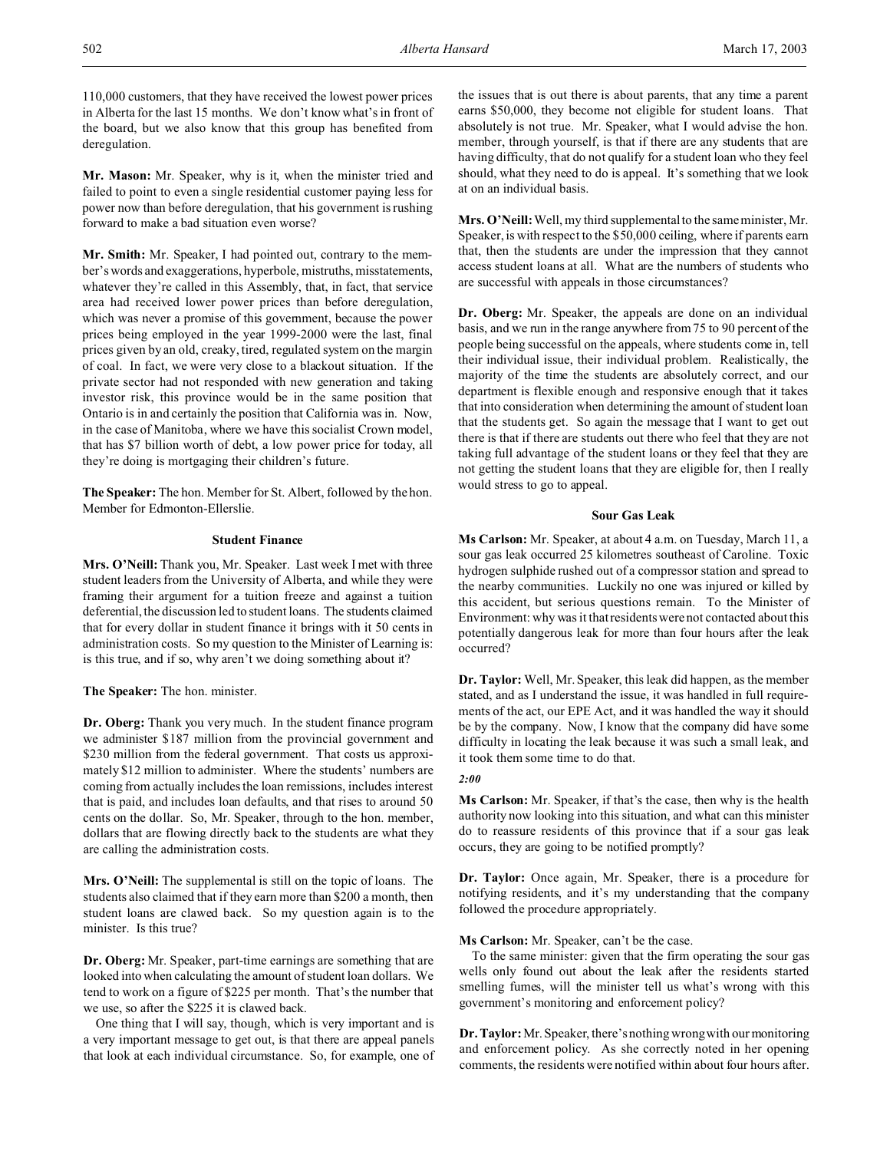110,000 customers, that they have received the lowest power prices in Alberta for the last 15 months. We don't know what's in front of the board, but we also know that this group has benefited from deregulation.

**Mr. Mason:** Mr. Speaker, why is it, when the minister tried and failed to point to even a single residential customer paying less for power now than before deregulation, that his government is rushing forward to make a bad situation even worse?

**Mr. Smith:** Mr. Speaker, I had pointed out, contrary to the member's words and exaggerations, hyperbole, mistruths, misstatements, whatever they're called in this Assembly, that, in fact, that service area had received lower power prices than before deregulation, which was never a promise of this government, because the power prices being employed in the year 1999-2000 were the last, final prices given by an old, creaky, tired, regulated system on the margin of coal. In fact, we were very close to a blackout situation. If the private sector had not responded with new generation and taking investor risk, this province would be in the same position that Ontario is in and certainly the position that California was in. Now, in the case of Manitoba, where we have this socialist Crown model, that has \$7 billion worth of debt, a low power price for today, all they're doing is mortgaging their children's future.

**The Speaker:** The hon. Member for St. Albert, followed by the hon. Member for Edmonton-Ellerslie.

## **Student Finance**

**Mrs. O'Neill:** Thank you, Mr. Speaker. Last week I met with three student leaders from the University of Alberta, and while they were framing their argument for a tuition freeze and against a tuition deferential, the discussion led to student loans. The students claimed that for every dollar in student finance it brings with it 50 cents in administration costs. So my question to the Minister of Learning is: is this true, and if so, why aren't we doing something about it?

**The Speaker:** The hon. minister.

**Dr. Oberg:** Thank you very much. In the student finance program we administer \$187 million from the provincial government and \$230 million from the federal government. That costs us approximately \$12 million to administer. Where the students' numbers are coming from actually includes the loan remissions, includes interest that is paid, and includes loan defaults, and that rises to around 50 cents on the dollar. So, Mr. Speaker, through to the hon. member, dollars that are flowing directly back to the students are what they are calling the administration costs.

**Mrs. O'Neill:** The supplemental is still on the topic of loans. The students also claimed that if they earn more than \$200 a month, then student loans are clawed back. So my question again is to the minister. Is this true?

**Dr. Oberg:** Mr. Speaker, part-time earnings are something that are looked into when calculating the amount of student loan dollars. We tend to work on a figure of \$225 per month. That's the number that we use, so after the \$225 it is clawed back.

One thing that I will say, though, which is very important and is a very important message to get out, is that there are appeal panels that look at each individual circumstance. So, for example, one of the issues that is out there is about parents, that any time a parent earns \$50,000, they become not eligible for student loans. That absolutely is not true. Mr. Speaker, what I would advise the hon. member, through yourself, is that if there are any students that are having difficulty, that do not qualify for a student loan who they feel should, what they need to do is appeal. It's something that we look at on an individual basis.

**Mrs. O'Neill:**Well, my third supplemental to the same minister, Mr. Speaker, is with respect to the \$50,000 ceiling, where if parents earn that, then the students are under the impression that they cannot access student loans at all. What are the numbers of students who are successful with appeals in those circumstances?

**Dr. Oberg:** Mr. Speaker, the appeals are done on an individual basis, and we run in the range anywhere from 75 to 90 percent of the people being successful on the appeals, where students come in, tell their individual issue, their individual problem. Realistically, the majority of the time the students are absolutely correct, and our department is flexible enough and responsive enough that it takes that into consideration when determining the amount of student loan that the students get. So again the message that I want to get out there is that if there are students out there who feel that they are not taking full advantage of the student loans or they feel that they are not getting the student loans that they are eligible for, then I really would stress to go to appeal.

#### **Sour Gas Leak**

**Ms Carlson:** Mr. Speaker, at about 4 a.m. on Tuesday, March 11, a sour gas leak occurred 25 kilometres southeast of Caroline. Toxic hydrogen sulphide rushed out of a compressor station and spread to the nearby communities. Luckily no one was injured or killed by this accident, but serious questions remain. To the Minister of Environment: why was it that residents were not contacted about this potentially dangerous leak for more than four hours after the leak occurred?

**Dr. Taylor:** Well, Mr. Speaker, this leak did happen, as the member stated, and as I understand the issue, it was handled in full requirements of the act, our EPE Act, and it was handled the way it should be by the company. Now, I know that the company did have some difficulty in locating the leak because it was such a small leak, and it took them some time to do that.

## *2:00*

**Ms Carlson:** Mr. Speaker, if that's the case, then why is the health authority now looking into this situation, and what can this minister do to reassure residents of this province that if a sour gas leak occurs, they are going to be notified promptly?

**Dr. Taylor:** Once again, Mr. Speaker, there is a procedure for notifying residents, and it's my understanding that the company followed the procedure appropriately.

## **Ms Carlson:** Mr. Speaker, can't be the case.

To the same minister: given that the firm operating the sour gas wells only found out about the leak after the residents started smelling fumes, will the minister tell us what's wrong with this government's monitoring and enforcement policy?

**Dr. Taylor:**Mr. Speaker, there's nothing wrong with our monitoring and enforcement policy. As she correctly noted in her opening comments, the residents were notified within about four hours after.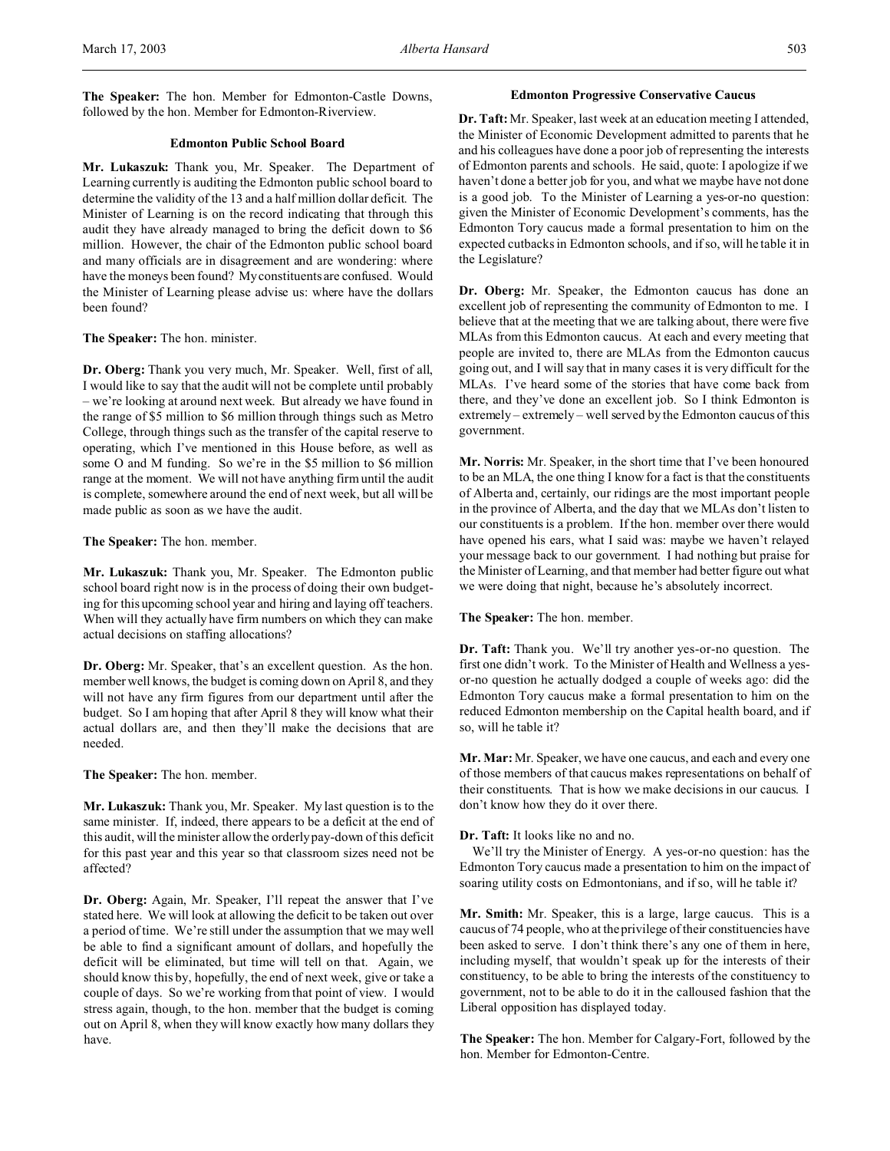**The Speaker:** The hon. Member for Edmonton-Castle Downs, followed by the hon. Member for Edmonton-Riverview.

## **Edmonton Public School Board**

**Mr. Lukaszuk:** Thank you, Mr. Speaker. The Department of Learning currently is auditing the Edmonton public school board to determine the validity of the 13 and a half million dollar deficit. The Minister of Learning is on the record indicating that through this audit they have already managed to bring the deficit down to \$6 million. However, the chair of the Edmonton public school board and many officials are in disagreement and are wondering: where have the moneys been found? My constituents are confused. Would the Minister of Learning please advise us: where have the dollars been found?

#### **The Speaker:** The hon. minister.

**Dr. Oberg:** Thank you very much, Mr. Speaker. Well, first of all, I would like to say that the audit will not be complete until probably – we're looking at around next week. But already we have found in the range of \$5 million to \$6 million through things such as Metro College, through things such as the transfer of the capital reserve to operating, which I've mentioned in this House before, as well as some O and M funding. So we're in the \$5 million to \$6 million range at the moment. We will not have anything firm until the audit is complete, somewhere around the end of next week, but all will be made public as soon as we have the audit.

## **The Speaker:** The hon. member.

**Mr. Lukaszuk:** Thank you, Mr. Speaker. The Edmonton public school board right now is in the process of doing their own budgeting for this upcoming school year and hiring and laying off teachers. When will they actually have firm numbers on which they can make actual decisions on staffing allocations?

**Dr. Oberg:** Mr. Speaker, that's an excellent question. As the hon. member well knows, the budget is coming down on April 8, and they will not have any firm figures from our department until after the budget. So I am hoping that after April 8 they will know what their actual dollars are, and then they'll make the decisions that are needed.

**The Speaker:** The hon. member.

**Mr. Lukaszuk:** Thank you, Mr. Speaker. My last question is to the same minister. If, indeed, there appears to be a deficit at the end of this audit, will the minister allow the orderly pay-down of this deficit for this past year and this year so that classroom sizes need not be affected?

**Dr. Oberg:** Again, Mr. Speaker, I'll repeat the answer that I've stated here. We will look at allowing the deficit to be taken out over a period of time. We're still under the assumption that we may well be able to find a significant amount of dollars, and hopefully the deficit will be eliminated, but time will tell on that. Again, we should know this by, hopefully, the end of next week, give or take a couple of days. So we're working from that point of view. I would stress again, though, to the hon. member that the budget is coming out on April 8, when they will know exactly how many dollars they have.

## **Edmonton Progressive Conservative Caucus**

**Dr. Taft:** Mr. Speaker, last week at an education meeting I attended, the Minister of Economic Development admitted to parents that he and his colleagues have done a poor job of representing the interests of Edmonton parents and schools. He said, quote: I apologize if we haven't done a better job for you, and what we maybe have not done is a good job. To the Minister of Learning a yes-or-no question: given the Minister of Economic Development's comments, has the Edmonton Tory caucus made a formal presentation to him on the expected cutbacks in Edmonton schools, and if so, will he table it in the Legislature?

**Dr. Oberg:** Mr. Speaker, the Edmonton caucus has done an excellent job of representing the community of Edmonton to me. I believe that at the meeting that we are talking about, there were five MLAs from this Edmonton caucus. At each and every meeting that people are invited to, there are MLAs from the Edmonton caucus going out, and I will say that in many cases it is very difficult for the MLAs. I've heard some of the stories that have come back from there, and they've done an excellent job. So I think Edmonton is extremely – extremely – well served by the Edmonton caucus of this government.

**Mr. Norris:** Mr. Speaker, in the short time that I've been honoured to be an MLA, the one thing I know for a fact is that the constituents of Alberta and, certainly, our ridings are the most important people in the province of Alberta, and the day that we MLAs don't listen to our constituents is a problem. If the hon. member over there would have opened his ears, what I said was: maybe we haven't relayed your message back to our government. I had nothing but praise for the Minister of Learning, and that member had better figure out what we were doing that night, because he's absolutely incorrect.

#### **The Speaker:** The hon. member.

**Dr. Taft:** Thank you. We'll try another yes-or-no question. The first one didn't work. To the Minister of Health and Wellness a yesor-no question he actually dodged a couple of weeks ago: did the Edmonton Tory caucus make a formal presentation to him on the reduced Edmonton membership on the Capital health board, and if so, will he table it?

**Mr. Mar:** Mr. Speaker, we have one caucus, and each and every one of those members of that caucus makes representations on behalf of their constituents. That is how we make decisions in our caucus. I don't know how they do it over there.

## **Dr. Taft:** It looks like no and no.

We'll try the Minister of Energy. A yes-or-no question: has the Edmonton Tory caucus made a presentation to him on the impact of soaring utility costs on Edmontonians, and if so, will he table it?

**Mr. Smith:** Mr. Speaker, this is a large, large caucus. This is a caucus of 74 people, who at the privilege of their constituencies have been asked to serve. I don't think there's any one of them in here, including myself, that wouldn't speak up for the interests of their constituency, to be able to bring the interests of the constituency to government, not to be able to do it in the calloused fashion that the Liberal opposition has displayed today.

**The Speaker:** The hon. Member for Calgary-Fort, followed by the hon. Member for Edmonton-Centre.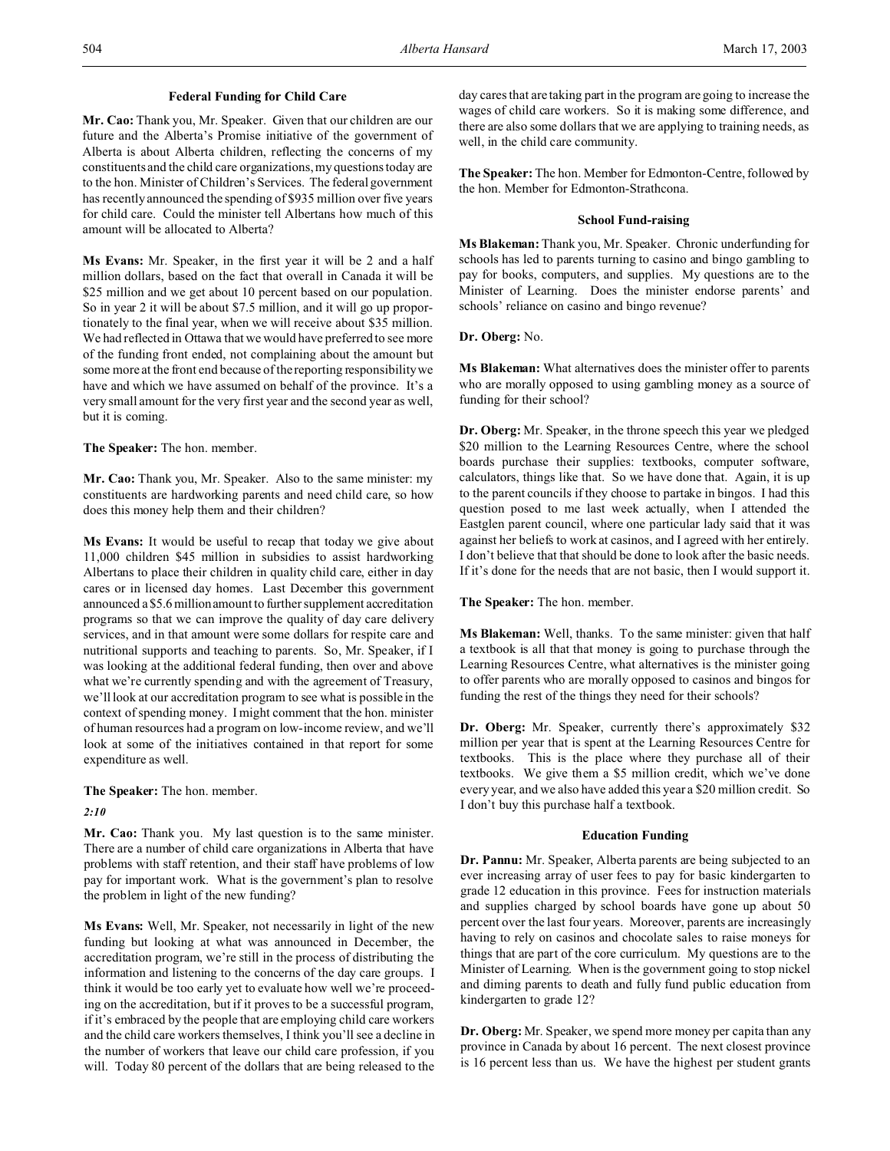## **Federal Funding for Child Care**

**Mr. Cao:** Thank you, Mr. Speaker. Given that our children are our future and the Alberta's Promise initiative of the government of Alberta is about Alberta children, reflecting the concerns of my constituents and the child care organizations, my questions today are to the hon. Minister of Children's Services. The federal government has recently announced the spending of \$935 million over five years for child care. Could the minister tell Albertans how much of this amount will be allocated to Alberta?

**Ms Evans:** Mr. Speaker, in the first year it will be 2 and a half million dollars, based on the fact that overall in Canada it will be \$25 million and we get about 10 percent based on our population. So in year 2 it will be about \$7.5 million, and it will go up proportionately to the final year, when we will receive about \$35 million. We had reflected in Ottawa that we would have preferred to see more of the funding front ended, not complaining about the amount but some more at the front end because of the reporting responsibility we have and which we have assumed on behalf of the province. It's a very small amount for the very first year and the second year as well, but it is coming.

**The Speaker:** The hon. member.

**Mr. Cao:** Thank you, Mr. Speaker. Also to the same minister: my constituents are hardworking parents and need child care, so how does this money help them and their children?

**Ms Evans:** It would be useful to recap that today we give about 11,000 children \$45 million in subsidies to assist hardworking Albertans to place their children in quality child care, either in day cares or in licensed day homes. Last December this government announced a \$5.6millionamount to further supplement accreditation programs so that we can improve the quality of day care delivery services, and in that amount were some dollars for respite care and nutritional supports and teaching to parents. So, Mr. Speaker, if I was looking at the additional federal funding, then over and above what we're currently spending and with the agreement of Treasury, we'll look at our accreditation program to see what is possible in the context of spending money. I might comment that the hon. minister of human resources had a program on low-income review, and we'll look at some of the initiatives contained in that report for some expenditure as well.

**The Speaker:** The hon. member.

*2:10*

**Mr. Cao:** Thank you. My last question is to the same minister. There are a number of child care organizations in Alberta that have problems with staff retention, and their staff have problems of low pay for important work. What is the government's plan to resolve the problem in light of the new funding?

**Ms Evans:** Well, Mr. Speaker, not necessarily in light of the new funding but looking at what was announced in December, the accreditation program, we're still in the process of distributing the information and listening to the concerns of the day care groups. I think it would be too early yet to evaluate how well we're proceeding on the accreditation, but if it proves to be a successful program, if it's embraced by the people that are employing child care workers and the child care workers themselves, I think you'll see a decline in the number of workers that leave our child care profession, if you will. Today 80 percent of the dollars that are being released to the day cares that are taking part in the program are going to increase the wages of child care workers. So it is making some difference, and there are also some dollars that we are applying to training needs, as well, in the child care community.

**The Speaker:** The hon. Member for Edmonton-Centre, followed by the hon. Member for Edmonton-Strathcona.

## **School Fund-raising**

**Ms Blakeman:** Thank you, Mr. Speaker. Chronic underfunding for schools has led to parents turning to casino and bingo gambling to pay for books, computers, and supplies. My questions are to the Minister of Learning. Does the minister endorse parents' and schools' reliance on casino and bingo revenue?

**Dr. Oberg:** No.

**Ms Blakeman:** What alternatives does the minister offer to parents who are morally opposed to using gambling money as a source of funding for their school?

**Dr. Oberg:** Mr. Speaker, in the throne speech this year we pledged \$20 million to the Learning Resources Centre, where the school boards purchase their supplies: textbooks, computer software, calculators, things like that. So we have done that. Again, it is up to the parent councils if they choose to partake in bingos. I had this question posed to me last week actually, when I attended the Eastglen parent council, where one particular lady said that it was against her beliefs to work at casinos, and I agreed with her entirely. I don't believe that that should be done to look after the basic needs. If it's done for the needs that are not basic, then I would support it.

**The Speaker:** The hon. member.

**Ms Blakeman:** Well, thanks. To the same minister: given that half a textbook is all that that money is going to purchase through the Learning Resources Centre, what alternatives is the minister going to offer parents who are morally opposed to casinos and bingos for funding the rest of the things they need for their schools?

**Dr. Oberg:** Mr. Speaker, currently there's approximately \$32 million per year that is spent at the Learning Resources Centre for textbooks. This is the place where they purchase all of their textbooks. We give them a \$5 million credit, which we've done every year, and we also have added this year a \$20 million credit. So I don't buy this purchase half a textbook.

## **Education Funding**

**Dr. Pannu:** Mr. Speaker, Alberta parents are being subjected to an ever increasing array of user fees to pay for basic kindergarten to grade 12 education in this province. Fees for instruction materials and supplies charged by school boards have gone up about 50 percent over the last four years. Moreover, parents are increasingly having to rely on casinos and chocolate sales to raise moneys for things that are part of the core curriculum. My questions are to the Minister of Learning. When is the government going to stop nickel and diming parents to death and fully fund public education from kindergarten to grade 12?

**Dr. Oberg:** Mr. Speaker, we spend more money per capita than any province in Canada by about 16 percent. The next closest province is 16 percent less than us. We have the highest per student grants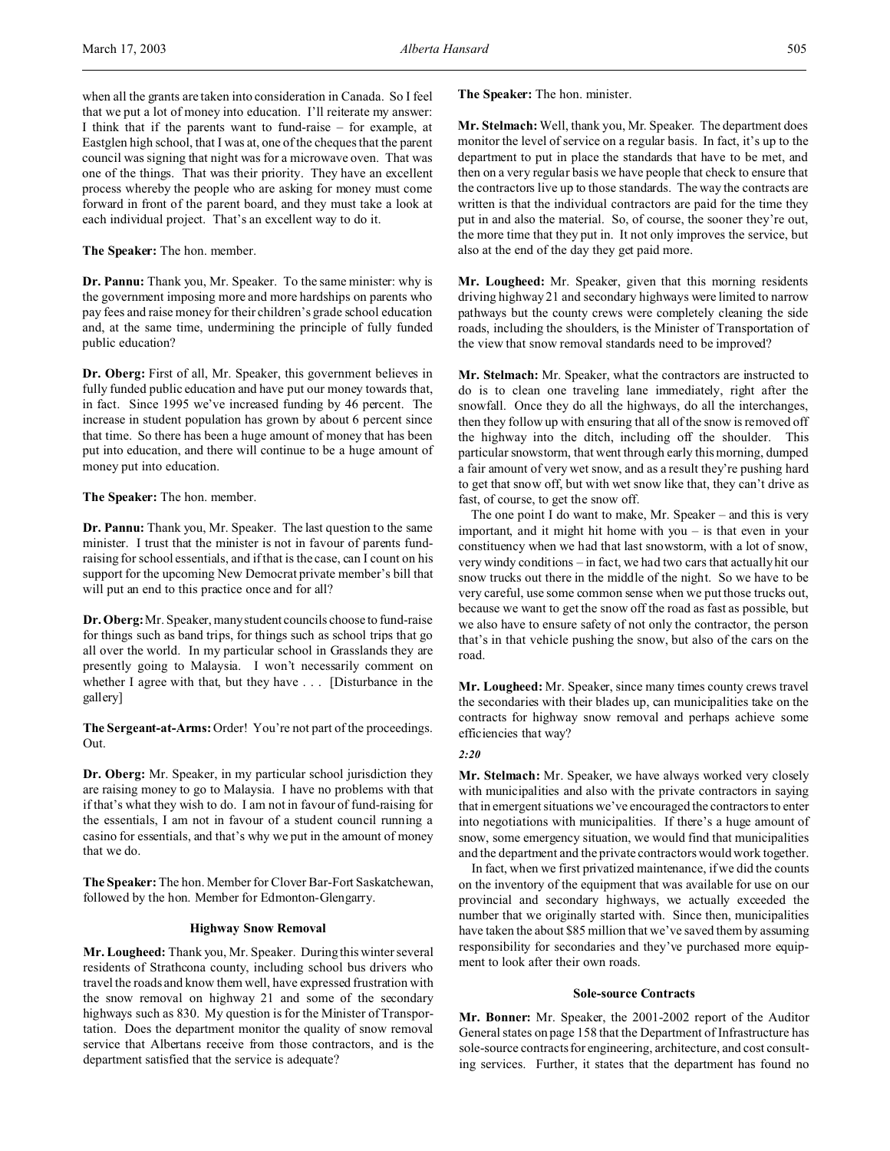when all the grants are taken into consideration in Canada. So I feel that we put a lot of money into education. I'll reiterate my answer: I think that if the parents want to fund-raise – for example, at Eastglen high school, that I was at, one of the cheques that the parent council was signing that night was for a microwave oven. That was one of the things. That was their priority. They have an excellent process whereby the people who are asking for money must come forward in front of the parent board, and they must take a look at each individual project. That's an excellent way to do it.

**The Speaker:** The hon. member.

**Dr. Pannu:** Thank you, Mr. Speaker. To the same minister: why is the government imposing more and more hardships on parents who pay fees and raise money for their children's grade school education and, at the same time, undermining the principle of fully funded public education?

**Dr. Oberg:** First of all, Mr. Speaker, this government believes in fully funded public education and have put our money towards that, in fact. Since 1995 we've increased funding by 46 percent. The increase in student population has grown by about 6 percent since that time. So there has been a huge amount of money that has been put into education, and there will continue to be a huge amount of money put into education.

**The Speaker:** The hon. member.

**Dr. Pannu:** Thank you, Mr. Speaker. The last question to the same minister. I trust that the minister is not in favour of parents fundraising for school essentials, and if that is the case, can I count on his support for the upcoming New Democrat private member's bill that will put an end to this practice once and for all?

**Dr. Oberg:**Mr. Speaker, many student councils choose to fund-raise for things such as band trips, for things such as school trips that go all over the world. In my particular school in Grasslands they are presently going to Malaysia. I won't necessarily comment on whether I agree with that, but they have . . . [Disturbance in the gallery]

**The Sergeant-at-Arms:** Order! You're not part of the proceedings. Out.

**Dr. Oberg:** Mr. Speaker, in my particular school jurisdiction they are raising money to go to Malaysia. I have no problems with that if that's what they wish to do. I am not in favour of fund-raising for the essentials, I am not in favour of a student council running a casino for essentials, and that's why we put in the amount of money that we do.

**The Speaker:** The hon. Member for Clover Bar-Fort Saskatchewan, followed by the hon. Member for Edmonton-Glengarry.

## **Highway Snow Removal**

**Mr. Lougheed:** Thank you, Mr. Speaker. During this winter several residents of Strathcona county, including school bus drivers who travel the roads and know them well, have expressed frustration with the snow removal on highway 21 and some of the secondary highways such as 830. My question is for the Minister of Transportation. Does the department monitor the quality of snow removal service that Albertans receive from those contractors, and is the department satisfied that the service is adequate?

**The Speaker:** The hon. minister.

**Mr. Stelmach:** Well, thank you, Mr. Speaker. The department does monitor the level of service on a regular basis. In fact, it's up to the department to put in place the standards that have to be met, and then on a very regular basis we have people that check to ensure that the contractors live up to those standards. The way the contracts are written is that the individual contractors are paid for the time they put in and also the material. So, of course, the sooner they're out, the more time that they put in. It not only improves the service, but also at the end of the day they get paid more.

**Mr. Lougheed:** Mr. Speaker, given that this morning residents driving highway 21 and secondary highways were limited to narrow pathways but the county crews were completely cleaning the side roads, including the shoulders, is the Minister of Transportation of the view that snow removal standards need to be improved?

**Mr. Stelmach:** Mr. Speaker, what the contractors are instructed to do is to clean one traveling lane immediately, right after the snowfall. Once they do all the highways, do all the interchanges, then they follow up with ensuring that all of the snow is removed off the highway into the ditch, including off the shoulder. This particular snowstorm, that went through early this morning, dumped a fair amount of very wet snow, and as a result they're pushing hard to get that snow off, but with wet snow like that, they can't drive as fast, of course, to get the snow off.

The one point I do want to make, Mr. Speaker – and this is very important, and it might hit home with you – is that even in your constituency when we had that last snowstorm, with a lot of snow, very windy conditions – in fact, we had two cars that actually hit our snow trucks out there in the middle of the night. So we have to be very careful, use some common sense when we put those trucks out, because we want to get the snow off the road as fast as possible, but we also have to ensure safety of not only the contractor, the person that's in that vehicle pushing the snow, but also of the cars on the road.

**Mr. Lougheed:** Mr. Speaker, since many times county crews travel the secondaries with their blades up, can municipalities take on the contracts for highway snow removal and perhaps achieve some efficiencies that way?

## *2:20*

**Mr. Stelmach:** Mr. Speaker, we have always worked very closely with municipalities and also with the private contractors in saying that in emergent situations we've encouraged the contractors to enter into negotiations with municipalities. If there's a huge amount of snow, some emergency situation, we would find that municipalities and the department and the private contractors would work together.

In fact, when we first privatized maintenance, if we did the counts on the inventory of the equipment that was available for use on our provincial and secondary highways, we actually exceeded the number that we originally started with. Since then, municipalities have taken the about \$85 million that we've saved them by assuming responsibility for secondaries and they've purchased more equipment to look after their own roads.

#### **Sole-source Contracts**

**Mr. Bonner:** Mr. Speaker, the 2001-2002 report of the Auditor General states on page 158 that the Department of Infrastructure has sole-source contracts for engineering, architecture, and cost consulting services. Further, it states that the department has found no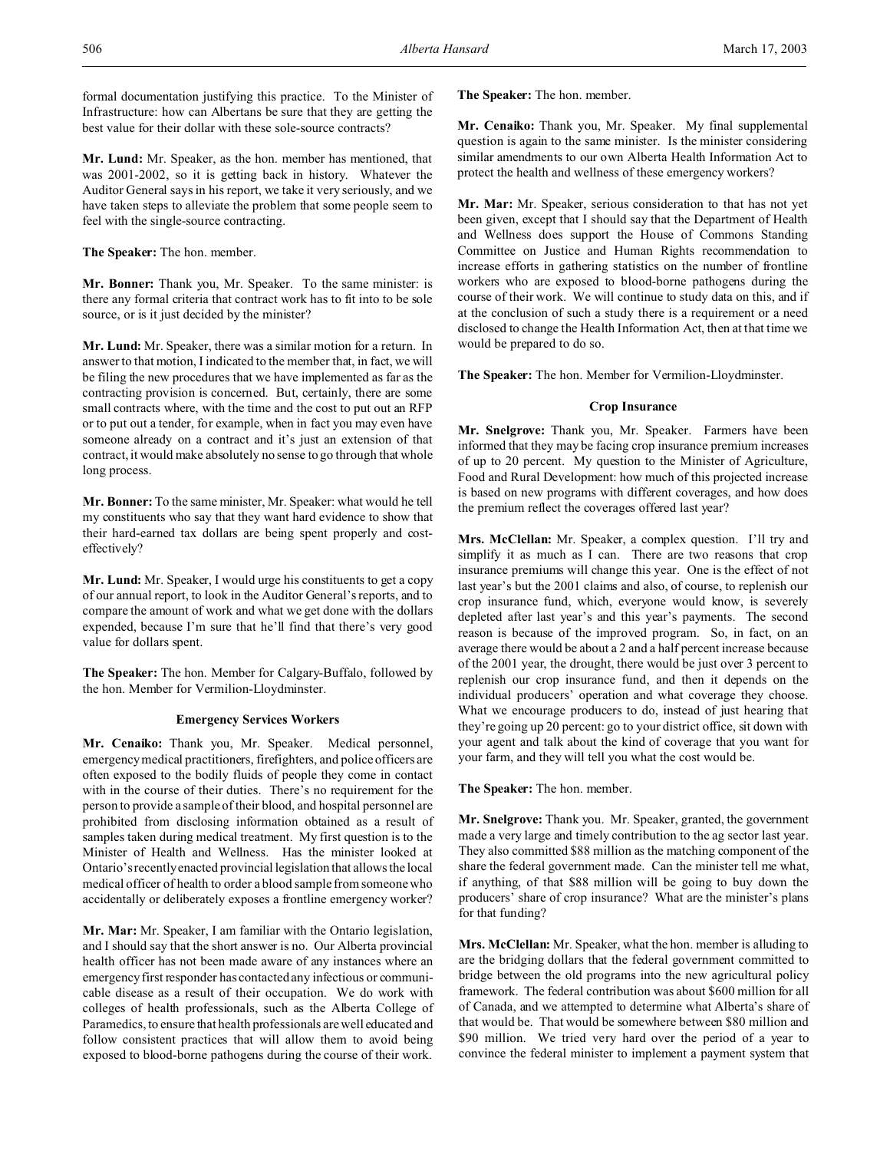formal documentation justifying this practice. To the Minister of Infrastructure: how can Albertans be sure that they are getting the best value for their dollar with these sole-source contracts?

**Mr. Lund:** Mr. Speaker, as the hon. member has mentioned, that was 2001-2002, so it is getting back in history. Whatever the Auditor General says in his report, we take it very seriously, and we have taken steps to alleviate the problem that some people seem to feel with the single-source contracting.

**The Speaker:** The hon. member.

**Mr. Bonner:** Thank you, Mr. Speaker. To the same minister: is there any formal criteria that contract work has to fit into to be sole source, or is it just decided by the minister?

**Mr. Lund:** Mr. Speaker, there was a similar motion for a return. In answer to that motion, I indicated to the member that, in fact, we will be filing the new procedures that we have implemented as far as the contracting provision is concerned. But, certainly, there are some small contracts where, with the time and the cost to put out an RFP or to put out a tender, for example, when in fact you may even have someone already on a contract and it's just an extension of that contract, it would make absolutely no sense to go through that whole long process.

**Mr. Bonner:** To the same minister, Mr. Speaker: what would he tell my constituents who say that they want hard evidence to show that their hard-earned tax dollars are being spent properly and costeffectively?

**Mr. Lund:** Mr. Speaker, I would urge his constituents to get a copy of our annual report, to look in the Auditor General's reports, and to compare the amount of work and what we get done with the dollars expended, because I'm sure that he'll find that there's very good value for dollars spent.

**The Speaker:** The hon. Member for Calgary-Buffalo, followed by the hon. Member for Vermilion-Lloydminster.

## **Emergency Services Workers**

**Mr. Cenaiko:** Thank you, Mr. Speaker. Medical personnel, emergency medical practitioners, firefighters, and police officers are often exposed to the bodily fluids of people they come in contact with in the course of their duties. There's no requirement for the person to provide a sample of their blood, and hospital personnel are prohibited from disclosing information obtained as a result of samples taken during medical treatment. My first question is to the Minister of Health and Wellness. Has the minister looked at Ontario's recently enacted provincial legislation that allows the local medical officer of health to order a blood sample from someone who accidentally or deliberately exposes a frontline emergency worker?

**Mr. Mar:** Mr. Speaker, I am familiar with the Ontario legislation, and I should say that the short answer is no. Our Alberta provincial health officer has not been made aware of any instances where an emergency first responder has contacted any infectious or communicable disease as a result of their occupation. We do work with colleges of health professionals, such as the Alberta College of Paramedics, to ensure that health professionals are well educated and follow consistent practices that will allow them to avoid being exposed to blood-borne pathogens during the course of their work.

**The Speaker:** The hon. member.

**Mr. Cenaiko:** Thank you, Mr. Speaker. My final supplemental question is again to the same minister. Is the minister considering similar amendments to our own Alberta Health Information Act to protect the health and wellness of these emergency workers?

**Mr. Mar:** Mr. Speaker, serious consideration to that has not yet been given, except that I should say that the Department of Health and Wellness does support the House of Commons Standing Committee on Justice and Human Rights recommendation to increase efforts in gathering statistics on the number of frontline workers who are exposed to blood-borne pathogens during the course of their work. We will continue to study data on this, and if at the conclusion of such a study there is a requirement or a need disclosed to change the Health Information Act, then at that time we would be prepared to do so.

**The Speaker:** The hon. Member for Vermilion-Lloydminster.

## **Crop Insurance**

**Mr. Snelgrove:** Thank you, Mr. Speaker. Farmers have been informed that they may be facing crop insurance premium increases of up to 20 percent. My question to the Minister of Agriculture, Food and Rural Development: how much of this projected increase is based on new programs with different coverages, and how does the premium reflect the coverages offered last year?

**Mrs. McClellan:** Mr. Speaker, a complex question. I'll try and simplify it as much as I can. There are two reasons that crop insurance premiums will change this year. One is the effect of not last year's but the 2001 claims and also, of course, to replenish our crop insurance fund, which, everyone would know, is severely depleted after last year's and this year's payments. The second reason is because of the improved program. So, in fact, on an average there would be about a 2 and a half percent increase because of the 2001 year, the drought, there would be just over 3 percent to replenish our crop insurance fund, and then it depends on the individual producers' operation and what coverage they choose. What we encourage producers to do, instead of just hearing that they're going up 20 percent: go to your district office, sit down with your agent and talk about the kind of coverage that you want for your farm, and they will tell you what the cost would be.

**The Speaker:** The hon. member.

**Mr. Snelgrove:** Thank you. Mr. Speaker, granted, the government made a very large and timely contribution to the ag sector last year. They also committed \$88 million as the matching component of the share the federal government made. Can the minister tell me what, if anything, of that \$88 million will be going to buy down the producers' share of crop insurance? What are the minister's plans for that funding?

**Mrs. McClellan:** Mr. Speaker, what the hon. member is alluding to are the bridging dollars that the federal government committed to bridge between the old programs into the new agricultural policy framework. The federal contribution was about \$600 million for all of Canada, and we attempted to determine what Alberta's share of that would be. That would be somewhere between \$80 million and \$90 million. We tried very hard over the period of a year to convince the federal minister to implement a payment system that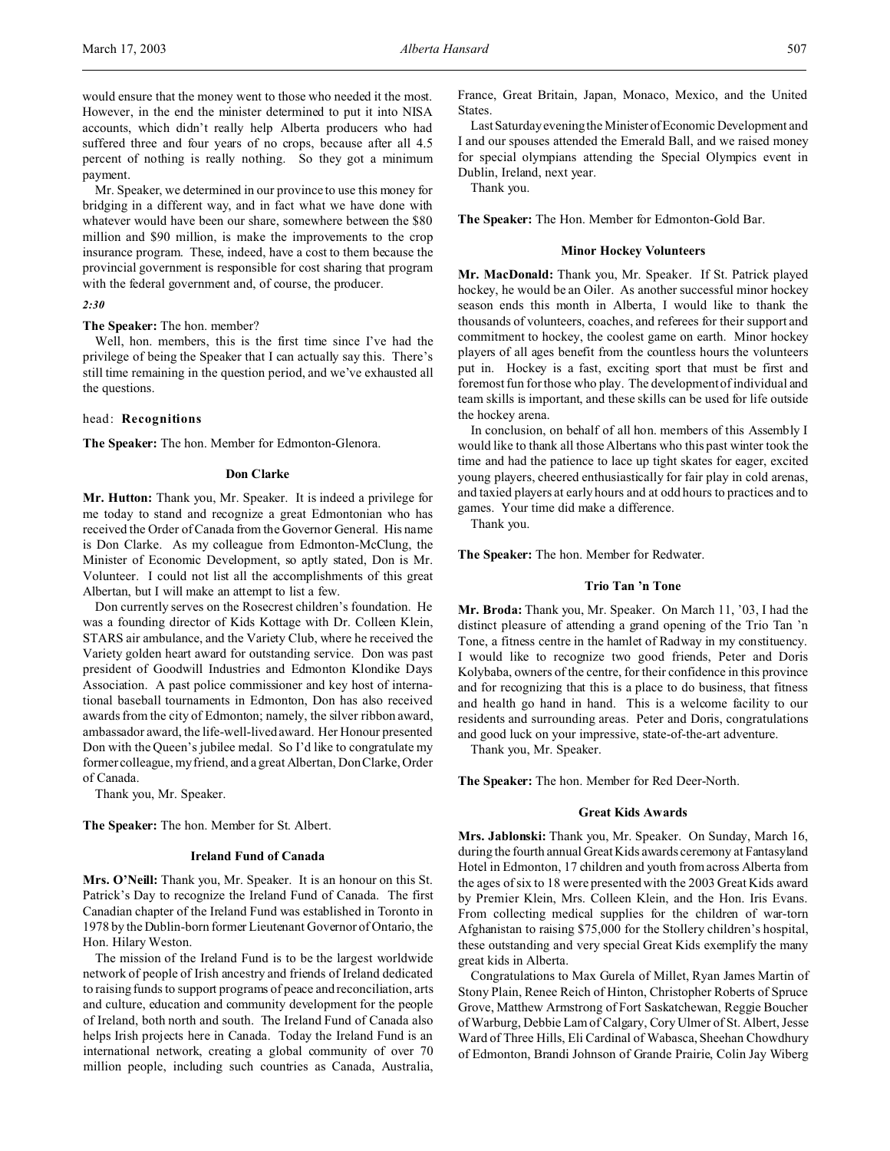would ensure that the money went to those who needed it the most. However, in the end the minister determined to put it into NISA accounts, which didn't really help Alberta producers who had suffered three and four years of no crops, because after all 4.5 percent of nothing is really nothing. So they got a minimum payment.

Mr. Speaker, we determined in our province to use this money for bridging in a different way, and in fact what we have done with whatever would have been our share, somewhere between the \$80 million and \$90 million, is make the improvements to the crop insurance program. These, indeed, have a cost to them because the provincial government is responsible for cost sharing that program with the federal government and, of course, the producer.

#### *2:30*

**The Speaker:** The hon. member?

Well, hon. members, this is the first time since I've had the privilege of being the Speaker that I can actually say this. There's still time remaining in the question period, and we've exhausted all the questions.

#### head: **Recognitions**

**The Speaker:** The hon. Member for Edmonton-Glenora.

#### **Don Clarke**

**Mr. Hutton:** Thank you, Mr. Speaker. It is indeed a privilege for me today to stand and recognize a great Edmontonian who has received the Order of Canada from the Governor General. His name is Don Clarke. As my colleague from Edmonton-McClung, the Minister of Economic Development, so aptly stated, Don is Mr. Volunteer. I could not list all the accomplishments of this great Albertan, but I will make an attempt to list a few.

Don currently serves on the Rosecrest children's foundation. He was a founding director of Kids Kottage with Dr. Colleen Klein, STARS air ambulance, and the Variety Club, where he received the Variety golden heart award for outstanding service. Don was past president of Goodwill Industries and Edmonton Klondike Days Association. A past police commissioner and key host of international baseball tournaments in Edmonton, Don has also received awards from the city of Edmonton; namely, the silver ribbon award, ambassador award, the life-well-lived award. Her Honour presented Don with the Queen's jubilee medal. So I'd like to congratulate my former colleague, my friend, and a great Albertan, Don Clarke, Order of Canada.

Thank you, Mr. Speaker.

**The Speaker:** The hon. Member for St. Albert.

#### **Ireland Fund of Canada**

**Mrs. O'Neill:** Thank you, Mr. Speaker. It is an honour on this St. Patrick's Day to recognize the Ireland Fund of Canada. The first Canadian chapter of the Ireland Fund was established in Toronto in 1978 by the Dublin-born former Lieutenant Governor of Ontario, the Hon. Hilary Weston.

The mission of the Ireland Fund is to be the largest worldwide network of people of Irish ancestry and friends of Ireland dedicated to raising funds to support programs of peace and reconciliation, arts and culture, education and community development for the people of Ireland, both north and south. The Ireland Fund of Canada also helps Irish projects here in Canada. Today the Ireland Fund is an international network, creating a global community of over 70 million people, including such countries as Canada, Australia,

France, Great Britain, Japan, Monaco, Mexico, and the United States.

Last Saturday evening the Minister of Economic Development and I and our spouses attended the Emerald Ball, and we raised money for special olympians attending the Special Olympics event in Dublin, Ireland, next year.

Thank you.

**The Speaker:** The Hon. Member for Edmonton-Gold Bar.

#### **Minor Hockey Volunteers**

**Mr. MacDonald:** Thank you, Mr. Speaker. If St. Patrick played hockey, he would be an Oiler. As another successful minor hockey season ends this month in Alberta, I would like to thank the thousands of volunteers, coaches, and referees for their support and commitment to hockey, the coolest game on earth. Minor hockey players of all ages benefit from the countless hours the volunteers put in. Hockey is a fast, exciting sport that must be first and foremost fun for those who play. The development of individual and team skills is important, and these skills can be used for life outside the hockey arena.

In conclusion, on behalf of all hon. members of this Assembly I would like to thank all those Albertans who this past winter took the time and had the patience to lace up tight skates for eager, excited young players, cheered enthusiastically for fair play in cold arenas, and taxied players at early hours and at odd hours to practices and to games. Your time did make a difference.

Thank you.

**The Speaker:** The hon. Member for Redwater.

## **Trio Tan 'n Tone**

**Mr. Broda:** Thank you, Mr. Speaker. On March 11, '03, I had the distinct pleasure of attending a grand opening of the Trio Tan 'n Tone, a fitness centre in the hamlet of Radway in my constituency. I would like to recognize two good friends, Peter and Doris Kolybaba, owners of the centre, for their confidence in this province and for recognizing that this is a place to do business, that fitness and health go hand in hand. This is a welcome facility to our residents and surrounding areas. Peter and Doris, congratulations and good luck on your impressive, state-of-the-art adventure.

Thank you, Mr. Speaker.

**The Speaker:** The hon. Member for Red Deer-North.

#### **Great Kids Awards**

**Mrs. Jablonski:** Thank you, Mr. Speaker. On Sunday, March 16, during the fourth annual Great Kids awards ceremony at Fantasyland Hotel in Edmonton, 17 children and youth from across Alberta from the ages of six to 18 were presented with the 2003 Great Kids award by Premier Klein, Mrs. Colleen Klein, and the Hon. Iris Evans. From collecting medical supplies for the children of war-torn Afghanistan to raising \$75,000 for the Stollery children's hospital, these outstanding and very special Great Kids exemplify the many great kids in Alberta.

Congratulations to Max Gurela of Millet, Ryan James Martin of Stony Plain, Renee Reich of Hinton, Christopher Roberts of Spruce Grove, Matthew Armstrong of Fort Saskatchewan, Reggie Boucher of Warburg, Debbie Lam of Calgary, Cory Ulmer of St. Albert, Jesse Ward of Three Hills, Eli Cardinal of Wabasca, Sheehan Chowdhury of Edmonton, Brandi Johnson of Grande Prairie, Colin Jay Wiberg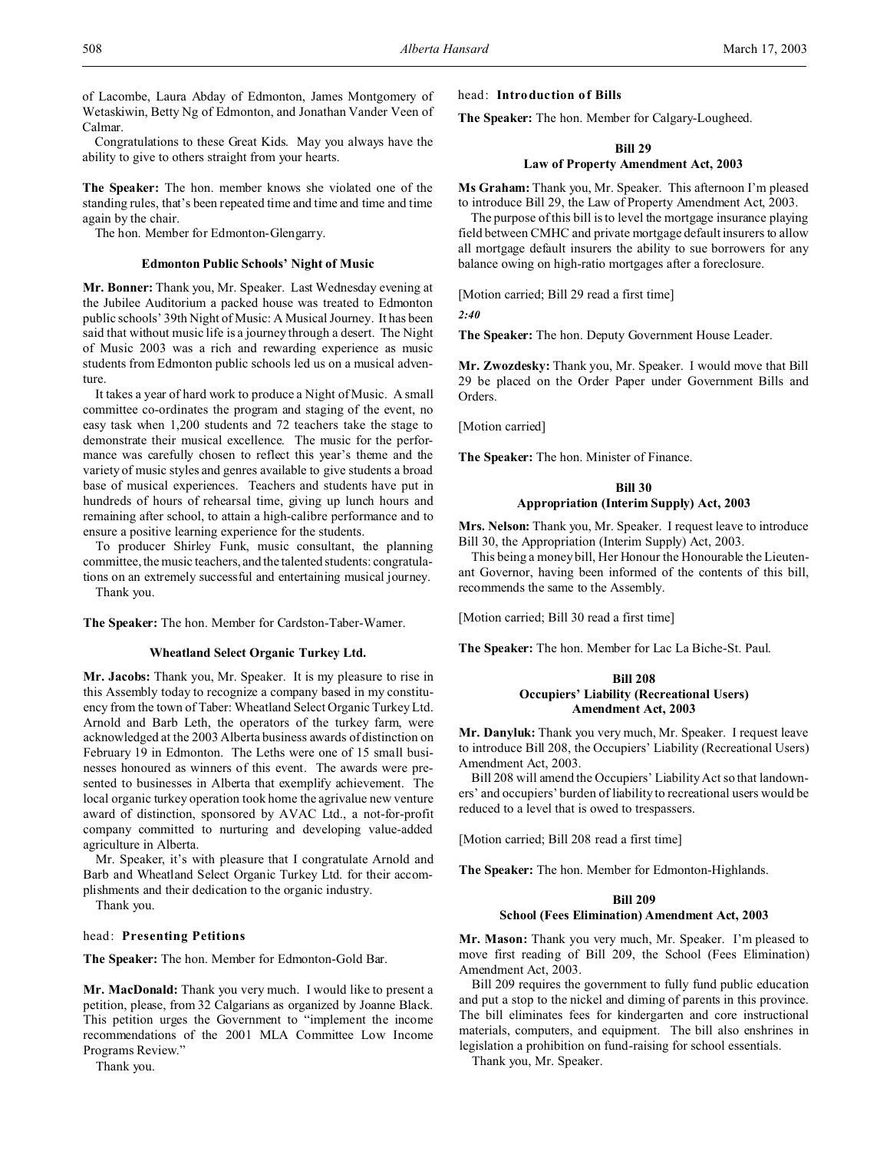of Lacombe, Laura Abday of Edmonton, James Montgomery of Wetaskiwin, Betty Ng of Edmonton, and Jonathan Vander Veen of Calmar.

Congratulations to these Great Kids. May you always have the ability to give to others straight from your hearts.

**The Speaker:** The hon. member knows she violated one of the standing rules, that's been repeated time and time and time and time again by the chair.

The hon. Member for Edmonton-Glengarry.

#### **Edmonton Public Schools' Night of Music**

**Mr. Bonner:** Thank you, Mr. Speaker. Last Wednesday evening at the Jubilee Auditorium a packed house was treated to Edmonton public schools' 39th Night of Music: A Musical Journey. It has been said that without music life is a journey through a desert. The Night of Music 2003 was a rich and rewarding experience as music students from Edmonton public schools led us on a musical adventure.

It takes a year of hard work to produce a Night of Music. A small committee co-ordinates the program and staging of the event, no easy task when 1,200 students and 72 teachers take the stage to demonstrate their musical excellence. The music for the performance was carefully chosen to reflect this year's theme and the variety of music styles and genres available to give students a broad base of musical experiences. Teachers and students have put in hundreds of hours of rehearsal time, giving up lunch hours and remaining after school, to attain a high-calibre performance and to ensure a positive learning experience for the students.

To producer Shirley Funk, music consultant, the planning committee, the music teachers, and the talented students: congratulations on an extremely successful and entertaining musical journey. Thank you.

**The Speaker:** The hon. Member for Cardston-Taber-Warner.

## **Wheatland Select Organic Turkey Ltd.**

**Mr. Jacobs:** Thank you, Mr. Speaker. It is my pleasure to rise in this Assembly today to recognize a company based in my constituency from the town of Taber: Wheatland Select Organic Turkey Ltd. Arnold and Barb Leth, the operators of the turkey farm, were acknowledged at the 2003 Alberta business awards of distinction on February 19 in Edmonton. The Leths were one of 15 small businesses honoured as winners of this event. The awards were presented to businesses in Alberta that exemplify achievement. The local organic turkey operation took home the agrivalue new venture award of distinction, sponsored by AVAC Ltd., a not-for-profit company committed to nurturing and developing value-added agriculture in Alberta.

Mr. Speaker, it's with pleasure that I congratulate Arnold and Barb and Wheatland Select Organic Turkey Ltd. for their accomplishments and their dedication to the organic industry.

Thank you.

#### head: **Presenting Petitions**

**The Speaker:** The hon. Member for Edmonton-Gold Bar.

**Mr. MacDonald:** Thank you very much. I would like to present a petition, please, from 32 Calgarians as organized by Joanne Black. This petition urges the Government to "implement the income recommendations of the 2001 MLA Committee Low Income Programs Review."

Thank you.

head: **Introduction of Bills**

**The Speaker:** The hon. Member for Calgary-Lougheed.

#### **Bill 29**

## **Law of Property Amendment Act, 2003**

**Ms Graham:** Thank you, Mr. Speaker. This afternoon I'm pleased to introduce Bill 29, the Law of Property Amendment Act, 2003.

The purpose of this bill is to level the mortgage insurance playing field between CMHC and private mortgage default insurers to allow all mortgage default insurers the ability to sue borrowers for any balance owing on high-ratio mortgages after a foreclosure.

[Motion carried; Bill 29 read a first time]

*2:40*

**The Speaker:** The hon. Deputy Government House Leader.

**Mr. Zwozdesky:** Thank you, Mr. Speaker. I would move that Bill 29 be placed on the Order Paper under Government Bills and Orders.

[Motion carried]

**The Speaker:** The hon. Minister of Finance.

# **Bill 30 Appropriation (Interim Supply) Act, 2003**

**Mrs. Nelson:** Thank you, Mr. Speaker. I request leave to introduce Bill 30, the Appropriation (Interim Supply) Act, 2003.

This being a money bill, Her Honour the Honourable the Lieutenant Governor, having been informed of the contents of this bill, recommends the same to the Assembly.

[Motion carried; Bill 30 read a first time]

**The Speaker:** The hon. Member for Lac La Biche-St. Paul.

## **Bill 208 Occupiers' Liability (Recreational Users) Amendment Act, 2003**

**Mr. Danyluk:** Thank you very much, Mr. Speaker. I request leave to introduce Bill 208, the Occupiers' Liability (Recreational Users) Amendment Act, 2003.

Bill 208 will amend the Occupiers' Liability Act so that landowners' and occupiers' burden of liability to recreational users would be reduced to a level that is owed to trespassers.

[Motion carried; Bill 208 read a first time]

**The Speaker:** The hon. Member for Edmonton-Highlands.

#### **Bill 209**

#### **School (Fees Elimination) Amendment Act, 2003**

**Mr. Mason:** Thank you very much, Mr. Speaker. I'm pleased to move first reading of Bill 209, the School (Fees Elimination) Amendment Act, 2003.

Bill 209 requires the government to fully fund public education and put a stop to the nickel and diming of parents in this province. The bill eliminates fees for kindergarten and core instructional materials, computers, and equipment. The bill also enshrines in legislation a prohibition on fund-raising for school essentials.

Thank you, Mr. Speaker.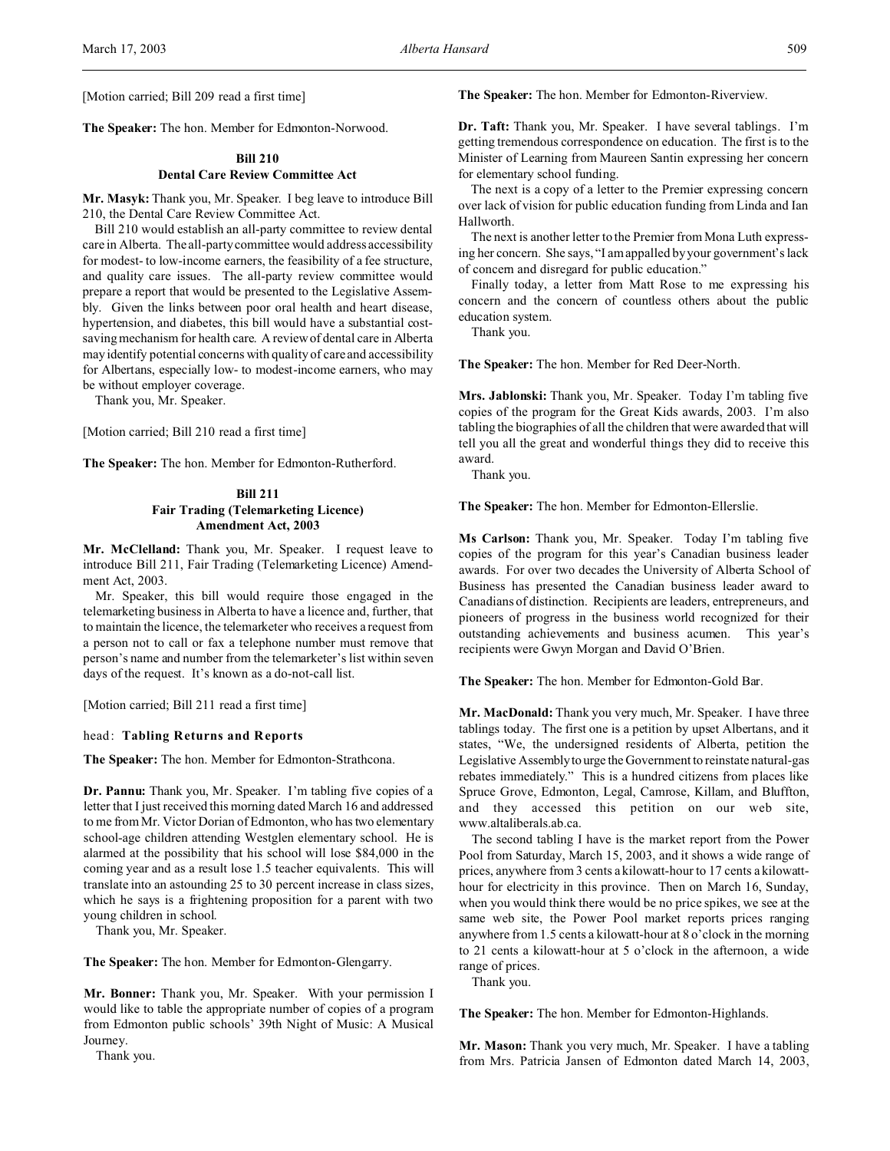**The Speaker:** The hon. Member for Edmonton-Norwood.

## **Bill 210 Dental Care Review Committee Act**

**Mr. Masyk:** Thank you, Mr. Speaker. I beg leave to introduce Bill 210, the Dental Care Review Committee Act.

Bill 210 would establish an all-party committee to review dental care in Alberta. The all-party committee would address accessibility for modest- to low-income earners, the feasibility of a fee structure, and quality care issues. The all-party review committee would prepare a report that would be presented to the Legislative Assembly. Given the links between poor oral health and heart disease, hypertension, and diabetes, this bill would have a substantial costsaving mechanism for health care. A review of dental care in Alberta may identify potential concerns with quality of care and accessibility for Albertans, especially low- to modest-income earners, who may be without employer coverage.

Thank you, Mr. Speaker.

[Motion carried; Bill 210 read a first time]

**The Speaker:** The hon. Member for Edmonton-Rutherford.

## **Bill 211 Fair Trading (Telemarketing Licence) Amendment Act, 2003**

**Mr. McClelland:** Thank you, Mr. Speaker. I request leave to introduce Bill 211, Fair Trading (Telemarketing Licence) Amendment Act, 2003.

Mr. Speaker, this bill would require those engaged in the telemarketing business in Alberta to have a licence and, further, that to maintain the licence, the telemarketer who receives a request from a person not to call or fax a telephone number must remove that person's name and number from the telemarketer's list within seven days of the request. It's known as a do-not-call list.

[Motion carried; Bill 211 read a first time]

## head: **Tabling Returns and Reports**

**The Speaker:** The hon. Member for Edmonton-Strathcona.

**Dr. Pannu:** Thank you, Mr. Speaker. I'm tabling five copies of a letter that I just received this morning dated March 16 and addressed to me from Mr. Victor Dorian of Edmonton, who has two elementary school-age children attending Westglen elementary school. He is alarmed at the possibility that his school will lose \$84,000 in the coming year and as a result lose 1.5 teacher equivalents. This will translate into an astounding 25 to 30 percent increase in class sizes, which he says is a frightening proposition for a parent with two young children in school.

Thank you, Mr. Speaker.

**The Speaker:** The hon. Member for Edmonton-Glengarry.

**Mr. Bonner:** Thank you, Mr. Speaker. With your permission I would like to table the appropriate number of copies of a program from Edmonton public schools' 39th Night of Music: A Musical Journey.

Thank you.

**The Speaker:** The hon. Member for Edmonton-Riverview.

**Dr. Taft:** Thank you, Mr. Speaker. I have several tablings. I'm getting tremendous correspondence on education. The first is to the Minister of Learning from Maureen Santin expressing her concern for elementary school funding.

The next is a copy of a letter to the Premier expressing concern over lack of vision for public education funding from Linda and Ian Hallworth.

The next is another letter to the Premier from Mona Luth expressing her concern. She says, "I am appalled by your government's lack of concern and disregard for public education."

Finally today, a letter from Matt Rose to me expressing his concern and the concern of countless others about the public education system.

Thank you.

**The Speaker:** The hon. Member for Red Deer-North.

**Mrs. Jablonski:** Thank you, Mr. Speaker. Today I'm tabling five copies of the program for the Great Kids awards, 2003. I'm also tabling the biographies of all the children that were awarded that will tell you all the great and wonderful things they did to receive this award.

Thank you.

**The Speaker:** The hon. Member for Edmonton-Ellerslie.

**Ms Carlson:** Thank you, Mr. Speaker. Today I'm tabling five copies of the program for this year's Canadian business leader awards. For over two decades the University of Alberta School of Business has presented the Canadian business leader award to Canadians of distinction. Recipients are leaders, entrepreneurs, and pioneers of progress in the business world recognized for their outstanding achievements and business acumen. This year's recipients were Gwyn Morgan and David O'Brien.

**The Speaker:** The hon. Member for Edmonton-Gold Bar.

**Mr. MacDonald:** Thank you very much, Mr. Speaker. I have three tablings today. The first one is a petition by upset Albertans, and it states, "We, the undersigned residents of Alberta, petition the Legislative Assemblyto urge the Government to reinstate natural-gas rebates immediately." This is a hundred citizens from places like Spruce Grove, Edmonton, Legal, Camrose, Killam, and Bluffton, and they accessed this petition on our web site, www.altaliberals.ab.ca.

The second tabling I have is the market report from the Power Pool from Saturday, March 15, 2003, and it shows a wide range of prices, anywhere from 3 cents a kilowatt-hour to 17 cents a kilowatthour for electricity in this province. Then on March 16, Sunday, when you would think there would be no price spikes, we see at the same web site, the Power Pool market reports prices ranging anywhere from 1.5 cents a kilowatt-hour at 8 o'clock in the morning to 21 cents a kilowatt-hour at 5 o'clock in the afternoon, a wide range of prices.

Thank you.

**The Speaker:** The hon. Member for Edmonton-Highlands.

**Mr. Mason:** Thank you very much, Mr. Speaker. I have a tabling from Mrs. Patricia Jansen of Edmonton dated March 14, 2003,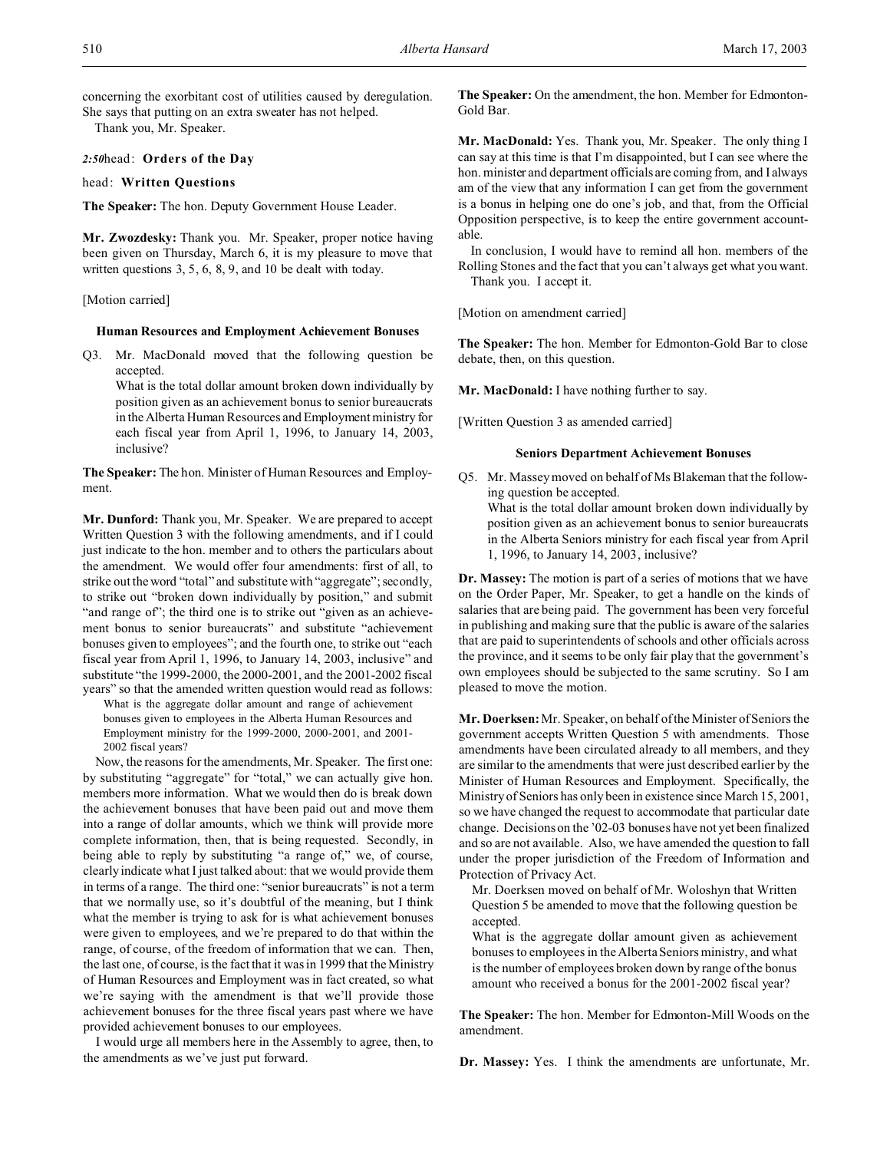concerning the exorbitant cost of utilities caused by deregulation. She says that putting on an extra sweater has not helped.

Thank you, Mr. Speaker.

#### *2:50*head: **Orders of the Day**

## head: **Written Questions**

**The Speaker:** The hon. Deputy Government House Leader.

**Mr. Zwozdesky:** Thank you. Mr. Speaker, proper notice having been given on Thursday, March 6, it is my pleasure to move that written questions 3, 5, 6, 8, 9, and 10 be dealt with today.

## [Motion carried]

#### **Human Resources and Employment Achievement Bonuses**

Q3. Mr. MacDonald moved that the following question be accepted.

What is the total dollar amount broken down individually by position given as an achievement bonus to senior bureaucrats in the Alberta Human Resources and Employment ministry for each fiscal year from April 1, 1996, to January 14, 2003, inclusive?

**The Speaker:** The hon. Minister of Human Resources and Employment.

**Mr. Dunford:** Thank you, Mr. Speaker. We are prepared to accept Written Question 3 with the following amendments, and if I could just indicate to the hon. member and to others the particulars about the amendment. We would offer four amendments: first of all, to strike out the word "total" and substitute with "aggregate"; secondly, to strike out "broken down individually by position," and submit "and range of"; the third one is to strike out "given as an achievement bonus to senior bureaucrats" and substitute "achievement bonuses given to employees"; and the fourth one, to strike out "each fiscal year from April 1, 1996, to January 14, 2003, inclusive" and substitute "the 1999-2000, the 2000-2001, and the 2001-2002 fiscal years" so that the amended written question would read as follows:

What is the aggregate dollar amount and range of achievement bonuses given to employees in the Alberta Human Resources and Employment ministry for the 1999-2000, 2000-2001, and 2001- 2002 fiscal years?

Now, the reasons for the amendments, Mr. Speaker. The first one: by substituting "aggregate" for "total," we can actually give hon. members more information. What we would then do is break down the achievement bonuses that have been paid out and move them into a range of dollar amounts, which we think will provide more complete information, then, that is being requested. Secondly, in being able to reply by substituting "a range of," we, of course, clearly indicate what I just talked about: that we would provide them in terms of a range. The third one: "senior bureaucrats" is not a term that we normally use, so it's doubtful of the meaning, but I think what the member is trying to ask for is what achievement bonuses were given to employees, and we're prepared to do that within the range, of course, of the freedom of information that we can. Then, the last one, of course, is the fact that it was in 1999 that the Ministry of Human Resources and Employment was in fact created, so what we're saying with the amendment is that we'll provide those achievement bonuses for the three fiscal years past where we have provided achievement bonuses to our employees.

I would urge all members here in the Assembly to agree, then, to the amendments as we've just put forward.

**The Speaker:** On the amendment, the hon. Member for Edmonton-Gold Bar.

**Mr. MacDonald:** Yes. Thank you, Mr. Speaker. The only thing I can say at this time is that I'm disappointed, but I can see where the hon. minister and department officials are coming from, and I always am of the view that any information I can get from the government is a bonus in helping one do one's job, and that, from the Official Opposition perspective, is to keep the entire government accountable.

In conclusion, I would have to remind all hon. members of the Rolling Stones and the fact that you can't always get what you want. Thank you. I accept it.

[Motion on amendment carried]

**The Speaker:** The hon. Member for Edmonton-Gold Bar to close debate, then, on this question.

**Mr. MacDonald:** I have nothing further to say.

[Written Question 3 as amended carried]

## **Seniors Department Achievement Bonuses**

Q5. Mr. Massey moved on behalf of Ms Blakeman that the following question be accepted. What is the total dollar amount broken down individually by position given as an achievement bonus to senior bureaucrats in the Alberta Seniors ministry for each fiscal year from April 1, 1996, to January 14, 2003, inclusive?

**Dr. Massey:** The motion is part of a series of motions that we have on the Order Paper, Mr. Speaker, to get a handle on the kinds of salaries that are being paid. The government has been very forceful in publishing and making sure that the public is aware of the salaries that are paid to superintendents of schools and other officials across the province, and it seems to be only fair play that the government's own employees should be subjected to the same scrutiny. So I am pleased to move the motion.

**Mr. Doerksen:** Mr. Speaker, on behalf of the Minister of Seniors the government accepts Written Question 5 with amendments. Those amendments have been circulated already to all members, and they are similar to the amendments that were just described earlier by the Minister of Human Resources and Employment. Specifically, the Ministry of Seniors has only been in existence since March 15, 2001, so we have changed the request to accommodate that particular date change. Decisions on the '02-03 bonuses have not yet been finalized and so are not available. Also, we have amended the question to fall under the proper jurisdiction of the Freedom of Information and Protection of Privacy Act.

Mr. Doerksen moved on behalf of Mr. Woloshyn that Written Question 5 be amended to move that the following question be accepted.

What is the aggregate dollar amount given as achievement bonuses to employees in the Alberta Seniors ministry, and what is the number of employees broken down by range of the bonus amount who received a bonus for the 2001-2002 fiscal year?

**The Speaker:** The hon. Member for Edmonton-Mill Woods on the amendment.

**Dr. Massey:** Yes. I think the amendments are unfortunate, Mr.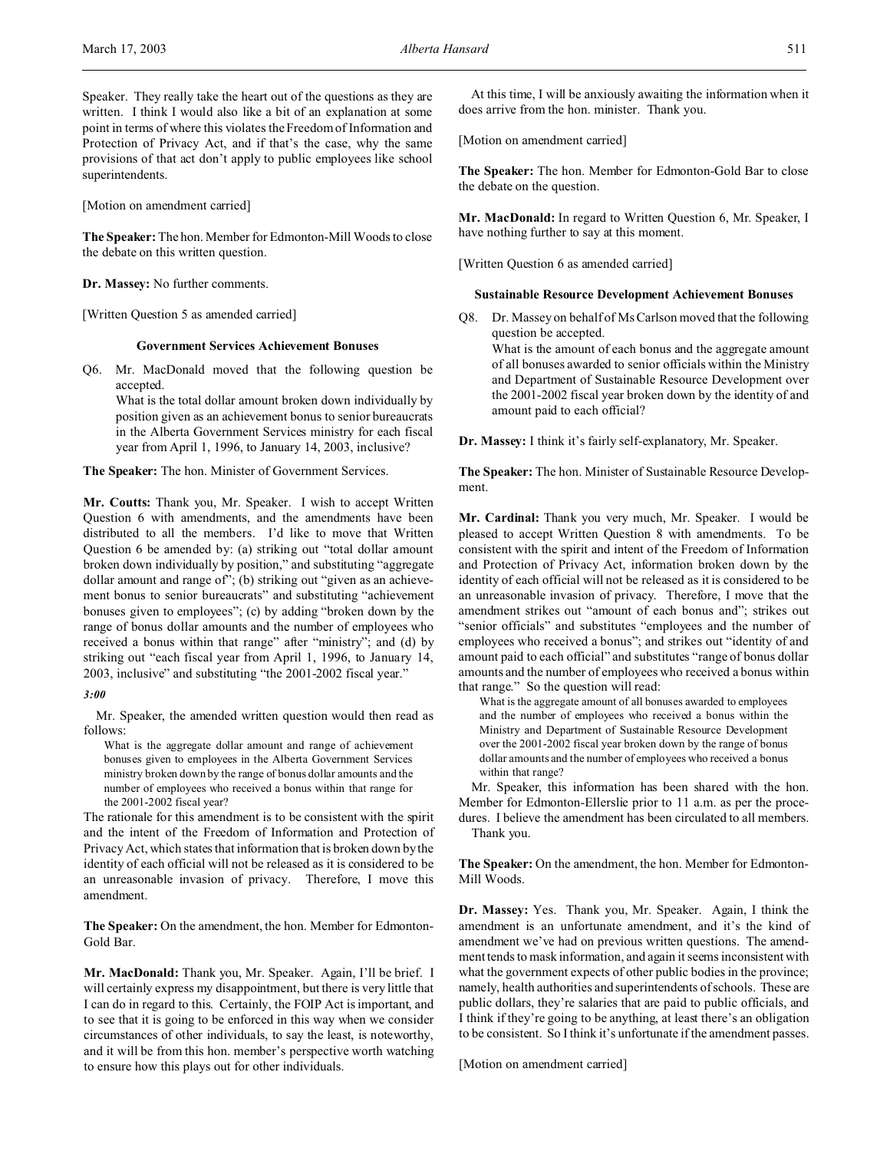Speaker. They really take the heart out of the questions as they are written. I think I would also like a bit of an explanation at some point in terms of where this violates the Freedom of Information and Protection of Privacy Act, and if that's the case, why the same provisions of that act don't apply to public employees like school superintendents.

[Motion on amendment carried]

**The Speaker:** The hon. Member for Edmonton-Mill Woods to close the debate on this written question.

**Dr. Massey:** No further comments.

[Written Question 5 as amended carried]

#### **Government Services Achievement Bonuses**

Q6. Mr. MacDonald moved that the following question be accepted.

What is the total dollar amount broken down individually by position given as an achievement bonus to senior bureaucrats in the Alberta Government Services ministry for each fiscal year from April 1, 1996, to January 14, 2003, inclusive?

**The Speaker:** The hon. Minister of Government Services.

**Mr. Coutts:** Thank you, Mr. Speaker. I wish to accept Written Question 6 with amendments, and the amendments have been distributed to all the members. I'd like to move that Written Question 6 be amended by: (a) striking out "total dollar amount broken down individually by position," and substituting "aggregate dollar amount and range of"; (b) striking out "given as an achievement bonus to senior bureaucrats" and substituting "achievement bonuses given to employees"; (c) by adding "broken down by the range of bonus dollar amounts and the number of employees who received a bonus within that range" after "ministry"; and (d) by striking out "each fiscal year from April 1, 1996, to January 14, 2003, inclusive" and substituting "the 2001-2002 fiscal year."

*3:00*

Mr. Speaker, the amended written question would then read as follows:

What is the aggregate dollar amount and range of achievement bonuses given to employees in the Alberta Government Services ministry broken down by the range of bonus dollar amounts and the number of employees who received a bonus within that range for the 2001-2002 fiscal year?

The rationale for this amendment is to be consistent with the spirit and the intent of the Freedom of Information and Protection of Privacy Act, which states that information that is broken down by the identity of each official will not be released as it is considered to be an unreasonable invasion of privacy. Therefore, I move this amendment.

**The Speaker:** On the amendment, the hon. Member for Edmonton-Gold Bar.

**Mr. MacDonald:** Thank you, Mr. Speaker. Again, I'll be brief. I will certainly express my disappointment, but there is very little that I can do in regard to this. Certainly, the FOIP Act is important, and to see that it is going to be enforced in this way when we consider circumstances of other individuals, to say the least, is noteworthy, and it will be from this hon. member's perspective worth watching to ensure how this plays out for other individuals.

At this time, I will be anxiously awaiting the information when it does arrive from the hon. minister. Thank you.

[Motion on amendment carried]

**The Speaker:** The hon. Member for Edmonton-Gold Bar to close the debate on the question.

**Mr. MacDonald:** In regard to Written Question 6, Mr. Speaker, I have nothing further to say at this moment.

[Written Question 6 as amended carried]

#### **Sustainable Resource Development Achievement Bonuses**

Q8. Dr. Massey on behalf of Ms Carlson moved that the following question be accepted. What is the amount of each bonus and the aggregate amount of all bonuses awarded to senior officials within the Ministry and Department of Sustainable Resource Development over the 2001-2002 fiscal year broken down by the identity of and amount paid to each official?

**Dr. Massey:** I think it's fairly self-explanatory, Mr. Speaker.

**The Speaker:** The hon. Minister of Sustainable Resource Development.

**Mr. Cardinal:** Thank you very much, Mr. Speaker. I would be pleased to accept Written Question 8 with amendments. To be consistent with the spirit and intent of the Freedom of Information and Protection of Privacy Act, information broken down by the identity of each official will not be released as it is considered to be an unreasonable invasion of privacy. Therefore, I move that the amendment strikes out "amount of each bonus and"; strikes out "senior officials" and substitutes "employees and the number of employees who received a bonus"; and strikes out "identity of and amount paid to each official" and substitutes "range of bonus dollar amounts and the number of employees who received a bonus within that range." So the question will read:

What is the aggregate amount of all bonuses awarded to employees and the number of employees who received a bonus within the Ministry and Department of Sustainable Resource Development over the 2001-2002 fiscal year broken down by the range of bonus dollar amounts and the number of employees who received a bonus within that range?

Mr. Speaker, this information has been shared with the hon. Member for Edmonton-Ellerslie prior to 11 a.m. as per the procedures. I believe the amendment has been circulated to all members. Thank you.

**The Speaker:** On the amendment, the hon. Member for Edmonton-Mill Woods.

**Dr. Massey:** Yes. Thank you, Mr. Speaker. Again, I think the amendment is an unfortunate amendment, and it's the kind of amendment we've had on previous written questions. The amendment tends to mask information, and again it seems inconsistent with what the government expects of other public bodies in the province; namely, health authorities and superintendents of schools. These are public dollars, they're salaries that are paid to public officials, and I think if they're going to be anything, at least there's an obligation to be consistent. So I think it's unfortunate if the amendment passes.

[Motion on amendment carried]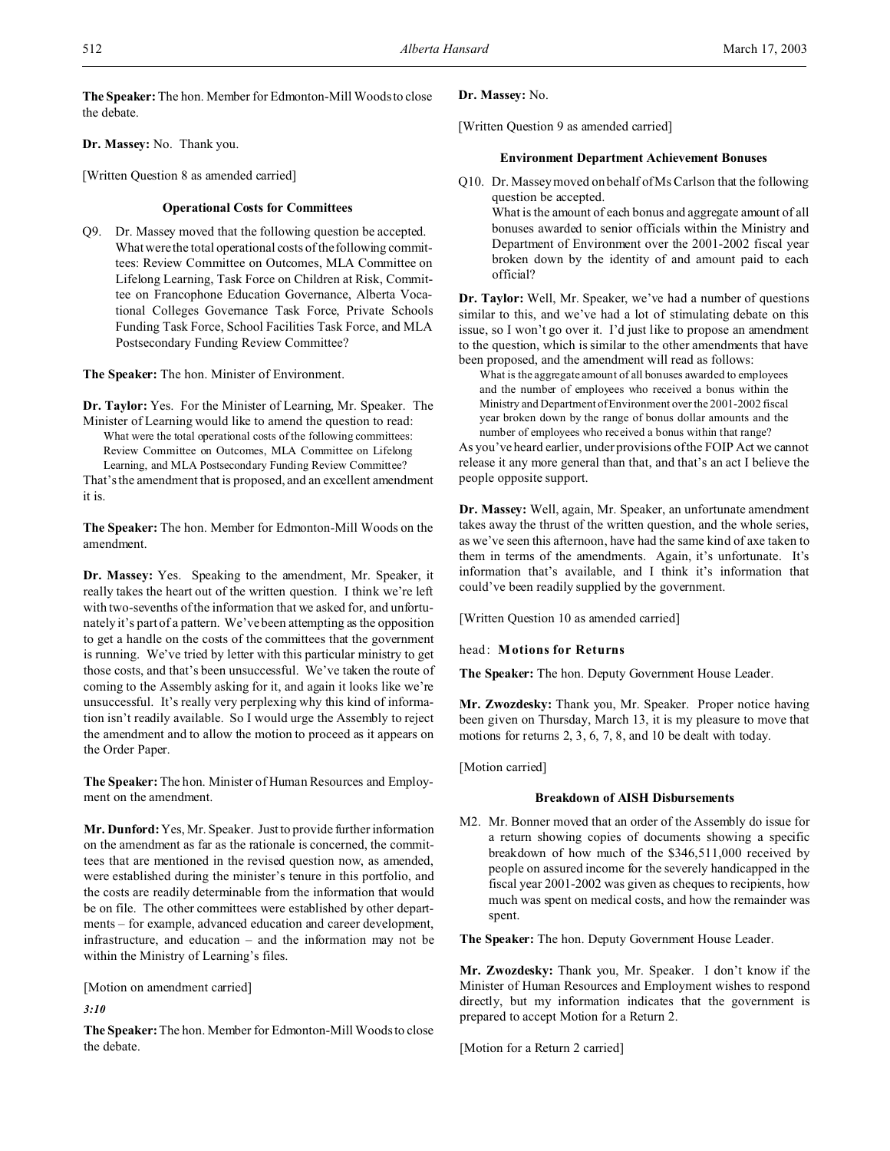**The Speaker:** The hon. Member for Edmonton-Mill Woods to close the debate.

**Dr. Massey:** No. Thank you.

[Written Question 8 as amended carried]

## **Operational Costs for Committees**

Q9. Dr. Massey moved that the following question be accepted. What were the total operational costs of the following committees: Review Committee on Outcomes, MLA Committee on Lifelong Learning, Task Force on Children at Risk, Committee on Francophone Education Governance, Alberta Vocational Colleges Governance Task Force, Private Schools Funding Task Force, School Facilities Task Force, and MLA Postsecondary Funding Review Committee?

**The Speaker:** The hon. Minister of Environment.

**Dr. Taylor:** Yes. For the Minister of Learning, Mr. Speaker. The Minister of Learning would like to amend the question to read: What were the total operational costs of the following committees: Review Committee on Outcomes, MLA Committee on Lifelong Learning, and MLA Postsecondary Funding Review Committee?

That's the amendment that is proposed, and an excellent amendment it is.

**The Speaker:** The hon. Member for Edmonton-Mill Woods on the amendment.

**Dr. Massey:** Yes. Speaking to the amendment, Mr. Speaker, it really takes the heart out of the written question. I think we're left with two-sevenths of the information that we asked for, and unfortunately it's part of a pattern. We've been attempting as the opposition to get a handle on the costs of the committees that the government is running. We've tried by letter with this particular ministry to get those costs, and that's been unsuccessful. We've taken the route of coming to the Assembly asking for it, and again it looks like we're unsuccessful. It's really very perplexing why this kind of information isn't readily available. So I would urge the Assembly to reject the amendment and to allow the motion to proceed as it appears on the Order Paper.

**The Speaker:** The hon. Minister of Human Resources and Employment on the amendment.

**Mr. Dunford:** Yes, Mr. Speaker. Just to provide further information on the amendment as far as the rationale is concerned, the committees that are mentioned in the revised question now, as amended, were established during the minister's tenure in this portfolio, and the costs are readily determinable from the information that would be on file. The other committees were established by other departments – for example, advanced education and career development, infrastructure, and education – and the information may not be within the Ministry of Learning's files.

[Motion on amendment carried]

*3:10*

**The Speaker:**The hon. Member for Edmonton-Mill Woods to close the debate.

# **Dr. Massey:** No.

[Written Question 9 as amended carried]

# **Environment Department Achievement Bonuses**

Q10. Dr. Massey moved on behalf of Ms Carlson that the following question be accepted.

What is the amount of each bonus and aggregate amount of all bonuses awarded to senior officials within the Ministry and Department of Environment over the 2001-2002 fiscal year broken down by the identity of and amount paid to each official?

**Dr. Taylor:** Well, Mr. Speaker, we've had a number of questions similar to this, and we've had a lot of stimulating debate on this issue, so I won't go over it. I'd just like to propose an amendment to the question, which is similar to the other amendments that have been proposed, and the amendment will read as follows:

What is the aggregate amount of all bonuses awarded to employees and the number of employees who received a bonus within the Ministry and Department of Environment over the 2001-2002 fiscal year broken down by the range of bonus dollar amounts and the number of employees who received a bonus within that range?

As you've heard earlier, under provisions of the FOIP Act we cannot release it any more general than that, and that's an act I believe the people opposite support.

**Dr. Massey:** Well, again, Mr. Speaker, an unfortunate amendment takes away the thrust of the written question, and the whole series, as we've seen this afternoon, have had the same kind of axe taken to them in terms of the amendments. Again, it's unfortunate. It's information that's available, and I think it's information that could've been readily supplied by the government.

[Written Question 10 as amended carried]

head: **Motions for Returns**

**The Speaker:** The hon. Deputy Government House Leader.

**Mr. Zwozdesky:** Thank you, Mr. Speaker. Proper notice having been given on Thursday, March 13, it is my pleasure to move that motions for returns 2, 3, 6, 7, 8, and 10 be dealt with today.

[Motion carried]

# **Breakdown of AISH Disbursements**

M2. Mr. Bonner moved that an order of the Assembly do issue for a return showing copies of documents showing a specific breakdown of how much of the \$346,511,000 received by people on assured income for the severely handicapped in the fiscal year 2001-2002 was given as cheques to recipients, how much was spent on medical costs, and how the remainder was spent.

**The Speaker:** The hon. Deputy Government House Leader.

**Mr. Zwozdesky:** Thank you, Mr. Speaker. I don't know if the Minister of Human Resources and Employment wishes to respond directly, but my information indicates that the government is prepared to accept Motion for a Return 2.

[Motion for a Return 2 carried]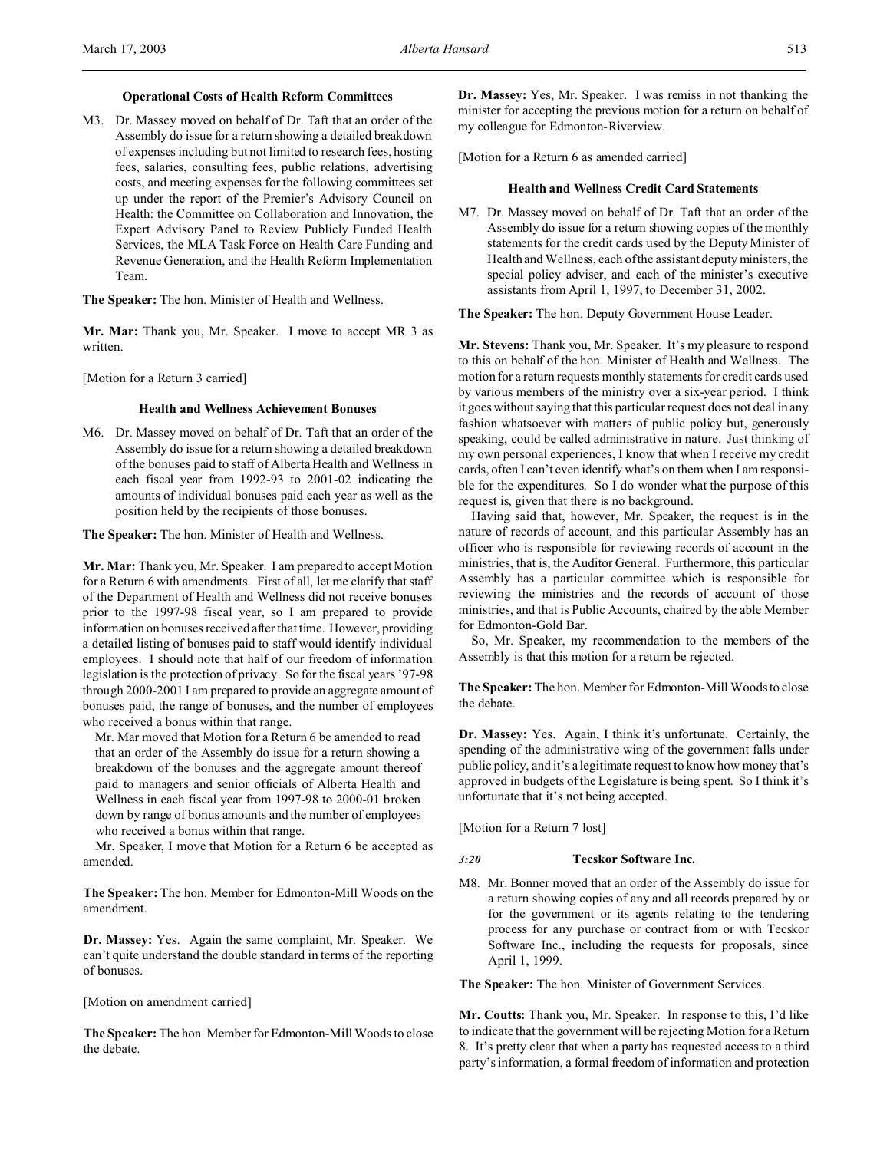#### **Operational Costs of Health Reform Committees**

M3. Dr. Massey moved on behalf of Dr. Taft that an order of the Assembly do issue for a return showing a detailed breakdown of expenses including but not limited to research fees, hosting fees, salaries, consulting fees, public relations, advertising costs, and meeting expenses for the following committees set up under the report of the Premier's Advisory Council on Health: the Committee on Collaboration and Innovation, the Expert Advisory Panel to Review Publicly Funded Health Services, the MLA Task Force on Health Care Funding and Revenue Generation, and the Health Reform Implementation Team.

**The Speaker:** The hon. Minister of Health and Wellness.

**Mr. Mar:** Thank you, Mr. Speaker. I move to accept MR 3 as written.

[Motion for a Return 3 carried]

## **Health and Wellness Achievement Bonuses**

M6. Dr. Massey moved on behalf of Dr. Taft that an order of the Assembly do issue for a return showing a detailed breakdown of the bonuses paid to staff of Alberta Health and Wellness in each fiscal year from 1992-93 to 2001-02 indicating the amounts of individual bonuses paid each year as well as the position held by the recipients of those bonuses.

**The Speaker:** The hon. Minister of Health and Wellness.

**Mr. Mar:** Thank you, Mr. Speaker. I am prepared to accept Motion for a Return 6 with amendments. First of all, let me clarify that staff of the Department of Health and Wellness did not receive bonuses prior to the 1997-98 fiscal year, so I am prepared to provide information on bonuses received after that time. However, providing a detailed listing of bonuses paid to staff would identify individual employees. I should note that half of our freedom of information legislation is the protection of privacy. So for the fiscal years '97-98 through 2000-2001 I am prepared to provide an aggregate amount of bonuses paid, the range of bonuses, and the number of employees who received a bonus within that range.

Mr. Mar moved that Motion for a Return 6 be amended to read that an order of the Assembly do issue for a return showing a breakdown of the bonuses and the aggregate amount thereof paid to managers and senior officials of Alberta Health and Wellness in each fiscal year from 1997-98 to 2000-01 broken down by range of bonus amounts and the number of employees who received a bonus within that range.

Mr. Speaker, I move that Motion for a Return 6 be accepted as amended.

**The Speaker:** The hon. Member for Edmonton-Mill Woods on the amendment.

**Dr. Massey:** Yes. Again the same complaint, Mr. Speaker. We can't quite understand the double standard in terms of the reporting of bonuses.

[Motion on amendment carried]

**The Speaker:** The hon. Member for Edmonton-Mill Woods to close the debate.

**Dr. Massey:** Yes, Mr. Speaker. I was remiss in not thanking the minister for accepting the previous motion for a return on behalf of my colleague for Edmonton-Riverview.

[Motion for a Return 6 as amended carried]

#### **Health and Wellness Credit Card Statements**

M7. Dr. Massey moved on behalf of Dr. Taft that an order of the Assembly do issue for a return showing copies of the monthly statements for the credit cards used by the Deputy Minister of Health and Wellness, each of the assistant deputy ministers, the special policy adviser, and each of the minister's executive assistants from April 1, 1997, to December 31, 2002.

**The Speaker:** The hon. Deputy Government House Leader.

**Mr. Stevens:** Thank you, Mr. Speaker. It's my pleasure to respond to this on behalf of the hon. Minister of Health and Wellness. The motion for a return requests monthly statements for credit cards used by various members of the ministry over a six-year period. I think it goes without saying that this particular request does not deal in any fashion whatsoever with matters of public policy but, generously speaking, could be called administrative in nature. Just thinking of my own personal experiences, I know that when I receive my credit cards, often I can't even identify what's on them when I am responsible for the expenditures. So I do wonder what the purpose of this request is, given that there is no background.

Having said that, however, Mr. Speaker, the request is in the nature of records of account, and this particular Assembly has an officer who is responsible for reviewing records of account in the ministries, that is, the Auditor General. Furthermore, this particular Assembly has a particular committee which is responsible for reviewing the ministries and the records of account of those ministries, and that is Public Accounts, chaired by the able Member for Edmonton-Gold Bar.

So, Mr. Speaker, my recommendation to the members of the Assembly is that this motion for a return be rejected.

**The Speaker:** The hon. Member for Edmonton-Mill Woods to close the debate.

**Dr. Massey:** Yes. Again, I think it's unfortunate. Certainly, the spending of the administrative wing of the government falls under public policy, and it's a legitimate request to know how money that's approved in budgets of the Legislature is being spent. So I think it's unfortunate that it's not being accepted.

[Motion for a Return 7 lost]

#### *3:20* **Tecskor Software Inc.**

M8. Mr. Bonner moved that an order of the Assembly do issue for a return showing copies of any and all records prepared by or for the government or its agents relating to the tendering process for any purchase or contract from or with Tecskor Software Inc., including the requests for proposals, since April 1, 1999.

**The Speaker:** The hon. Minister of Government Services.

**Mr. Coutts:** Thank you, Mr. Speaker. In response to this, I'd like to indicate that the government will be rejecting Motion for a Return 8. It's pretty clear that when a party has requested access to a third party's information, a formal freedom of information and protection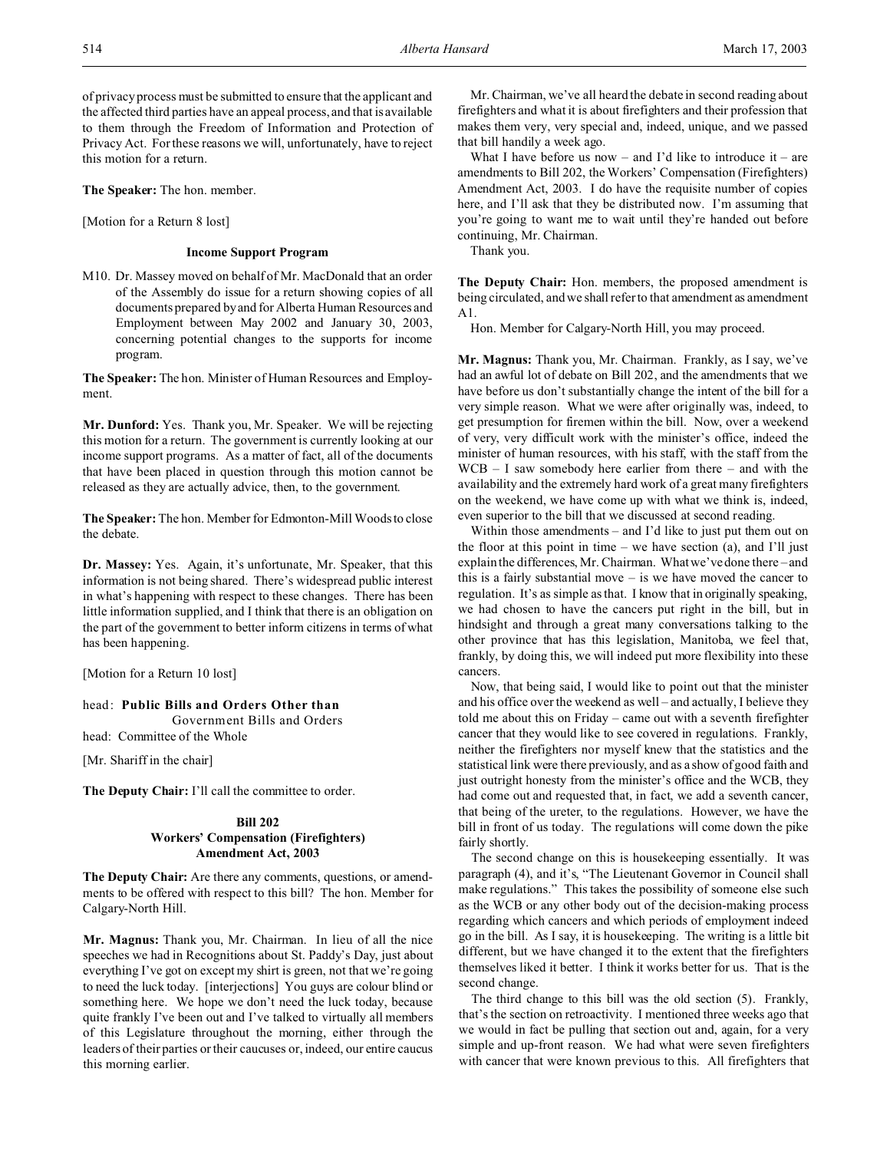**The Speaker:** The hon. member.

[Motion for a Return 8 lost]

#### **Income Support Program**

M10. Dr. Massey moved on behalf of Mr. MacDonald that an order of the Assembly do issue for a return showing copies of all documents prepared by and for Alberta Human Resources and Employment between May 2002 and January 30, 2003, concerning potential changes to the supports for income program.

**The Speaker:** The hon. Minister of Human Resources and Employment.

**Mr. Dunford:** Yes. Thank you, Mr. Speaker. We will be rejecting this motion for a return. The government is currently looking at our income support programs. As a matter of fact, all of the documents that have been placed in question through this motion cannot be released as they are actually advice, then, to the government.

**The Speaker:** The hon. Member for Edmonton-Mill Woods to close the debate.

**Dr. Massey:** Yes. Again, it's unfortunate, Mr. Speaker, that this information is not being shared. There's widespread public interest in what's happening with respect to these changes. There has been little information supplied, and I think that there is an obligation on the part of the government to better inform citizens in terms of what has been happening.

[Motion for a Return 10 lost]

head: **Public Bills and Orders Other than**

Government Bills and Orders

head: Committee of the Whole

[Mr. Shariff in the chair]

**The Deputy Chair:** I'll call the committee to order.

## **Bill 202**

# **Workers' Compensation (Firefighters) Amendment Act, 2003**

**The Deputy Chair:** Are there any comments, questions, or amendments to be offered with respect to this bill? The hon. Member for Calgary-North Hill.

**Mr. Magnus:** Thank you, Mr. Chairman. In lieu of all the nice speeches we had in Recognitions about St. Paddy's Day, just about everything I've got on except my shirt is green, not that we're going to need the luck today. [interjections] You guys are colour blind or something here. We hope we don't need the luck today, because quite frankly I've been out and I've talked to virtually all members of this Legislature throughout the morning, either through the leaders of their parties or their caucuses or, indeed, our entire caucus this morning earlier.

Mr. Chairman, we've all heard the debate in second reading about firefighters and what it is about firefighters and their profession that makes them very, very special and, indeed, unique, and we passed that bill handily a week ago.

What I have before us now – and I'd like to introduce it – are amendments to Bill 202, the Workers' Compensation (Firefighters) Amendment Act, 2003. I do have the requisite number of copies here, and I'll ask that they be distributed now. I'm assuming that you're going to want me to wait until they're handed out before continuing, Mr. Chairman.

Thank you.

**The Deputy Chair:** Hon. members, the proposed amendment is being circulated, and we shall refer to that amendment as amendment A1.

Hon. Member for Calgary-North Hill, you may proceed.

**Mr. Magnus:** Thank you, Mr. Chairman. Frankly, as I say, we've had an awful lot of debate on Bill 202, and the amendments that we have before us don't substantially change the intent of the bill for a very simple reason. What we were after originally was, indeed, to get presumption for firemen within the bill. Now, over a weekend of very, very difficult work with the minister's office, indeed the minister of human resources, with his staff, with the staff from the WCB – I saw somebody here earlier from there – and with the availability and the extremely hard work of a great many firefighters on the weekend, we have come up with what we think is, indeed, even superior to the bill that we discussed at second reading.

Within those amendments – and I'd like to just put them out on the floor at this point in time – we have section  $(a)$ , and I'll just explain the differences, Mr. Chairman. What we've done there – and this is a fairly substantial move – is we have moved the cancer to regulation. It's as simple as that. I know that in originally speaking, we had chosen to have the cancers put right in the bill, but in hindsight and through a great many conversations talking to the other province that has this legislation, Manitoba, we feel that, frankly, by doing this, we will indeed put more flexibility into these cancers.

Now, that being said, I would like to point out that the minister and his office over the weekend as well – and actually, I believe they told me about this on Friday – came out with a seventh firefighter cancer that they would like to see covered in regulations. Frankly, neither the firefighters nor myself knew that the statistics and the statistical link were there previously, and as a show of good faith and just outright honesty from the minister's office and the WCB, they had come out and requested that, in fact, we add a seventh cancer, that being of the ureter, to the regulations. However, we have the bill in front of us today. The regulations will come down the pike fairly shortly.

The second change on this is housekeeping essentially. It was paragraph (4), and it's, "The Lieutenant Governor in Council shall make regulations." This takes the possibility of someone else such as the WCB or any other body out of the decision-making process regarding which cancers and which periods of employment indeed go in the bill. As I say, it is housekeeping. The writing is a little bit different, but we have changed it to the extent that the firefighters themselves liked it better. I think it works better for us. That is the second change.

The third change to this bill was the old section (5). Frankly, that's the section on retroactivity. I mentioned three weeks ago that we would in fact be pulling that section out and, again, for a very simple and up-front reason. We had what were seven firefighters with cancer that were known previous to this. All firefighters that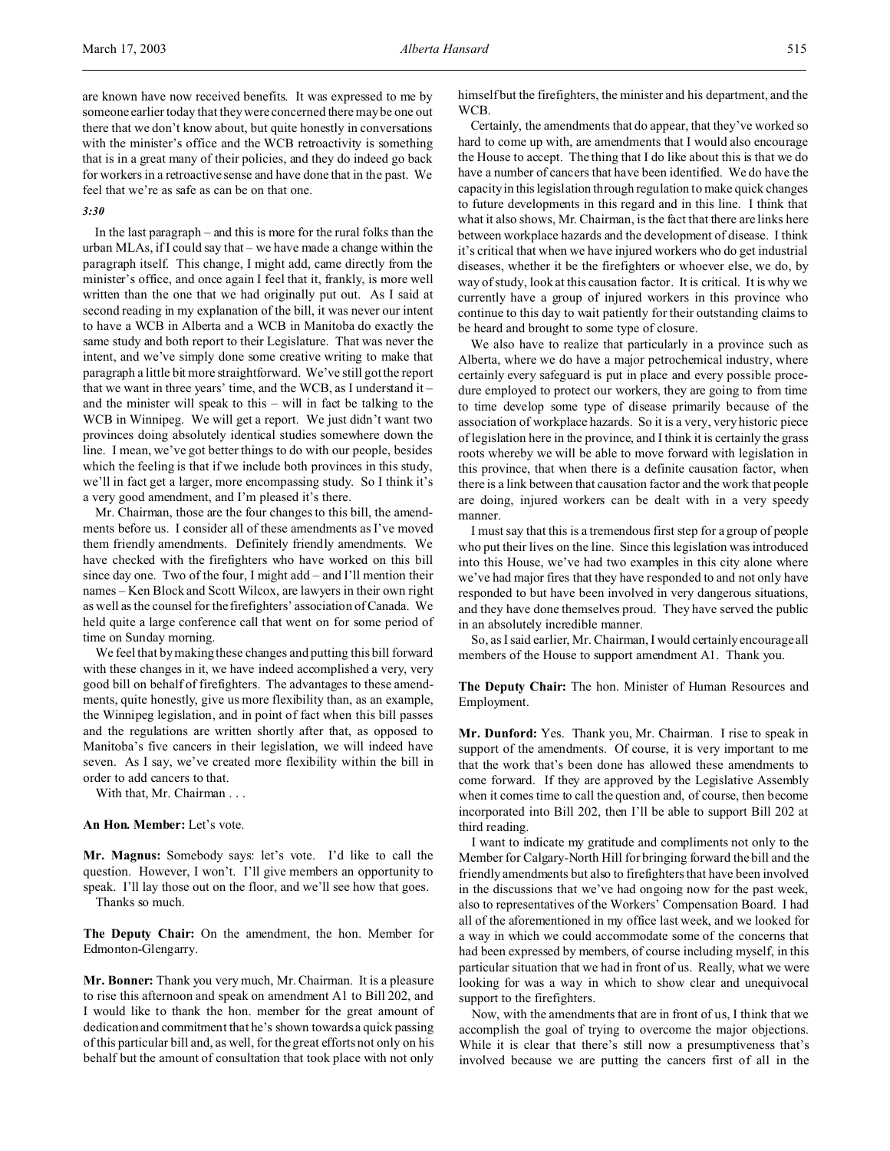#### *3:30*

In the last paragraph – and this is more for the rural folks than the urban MLAs, if I could say that – we have made a change within the paragraph itself. This change, I might add, came directly from the minister's office, and once again I feel that it, frankly, is more well written than the one that we had originally put out. As I said at second reading in my explanation of the bill, it was never our intent to have a WCB in Alberta and a WCB in Manitoba do exactly the same study and both report to their Legislature. That was never the intent, and we've simply done some creative writing to make that paragraph a little bit more straightforward. We've still got the report that we want in three years' time, and the WCB, as I understand it – and the minister will speak to this – will in fact be talking to the WCB in Winnipeg. We will get a report. We just didn't want two provinces doing absolutely identical studies somewhere down the line. I mean, we've got better things to do with our people, besides which the feeling is that if we include both provinces in this study, we'll in fact get a larger, more encompassing study. So I think it's a very good amendment, and I'm pleased it's there.

Mr. Chairman, those are the four changes to this bill, the amendments before us. I consider all of these amendments as I've moved them friendly amendments. Definitely friendly amendments. We have checked with the firefighters who have worked on this bill since day one. Two of the four, I might add – and I'll mention their names – Ken Block and Scott Wilcox, are lawyers in their own right as well as the counsel for the firefighters' association of Canada. We held quite a large conference call that went on for some period of time on Sunday morning.

We feel that by making these changes and putting this bill forward with these changes in it, we have indeed accomplished a very, very good bill on behalf of firefighters. The advantages to these amendments, quite honestly, give us more flexibility than, as an example, the Winnipeg legislation, and in point of fact when this bill passes and the regulations are written shortly after that, as opposed to Manitoba's five cancers in their legislation, we will indeed have seven. As I say, we've created more flexibility within the bill in order to add cancers to that.

With that, Mr. Chairman . . .

## **An Hon. Member:** Let's vote.

**Mr. Magnus:** Somebody says: let's vote. I'd like to call the question. However, I won't. I'll give members an opportunity to speak. I'll lay those out on the floor, and we'll see how that goes. Thanks so much.

**The Deputy Chair:** On the amendment, the hon. Member for Edmonton-Glengarry.

**Mr. Bonner:** Thank you very much, Mr. Chairman. It is a pleasure to rise this afternoon and speak on amendment A1 to Bill 202, and I would like to thank the hon. member for the great amount of dedication and commitment that he's shown towards a quick passing of this particular bill and, as well, for the great efforts not only on his behalf but the amount of consultation that took place with not only

himself but the firefighters, the minister and his department, and the WCB.

Certainly, the amendments that do appear, that they've worked so hard to come up with, are amendments that I would also encourage the House to accept. The thing that I do like about this is that we do have a number of cancers that have been identified. We do have the capacity in this legislation through regulation to make quick changes to future developments in this regard and in this line. I think that what it also shows, Mr. Chairman, is the fact that there are links here between workplace hazards and the development of disease. I think it's critical that when we have injured workers who do get industrial diseases, whether it be the firefighters or whoever else, we do, by way of study, look at this causation factor. It is critical. It is why we currently have a group of injured workers in this province who continue to this day to wait patiently for their outstanding claims to be heard and brought to some type of closure.

We also have to realize that particularly in a province such as Alberta, where we do have a major petrochemical industry, where certainly every safeguard is put in place and every possible procedure employed to protect our workers, they are going to from time to time develop some type of disease primarily because of the association of workplace hazards. So it is a very, very historic piece of legislation here in the province, and I think it is certainly the grass roots whereby we will be able to move forward with legislation in this province, that when there is a definite causation factor, when there is a link between that causation factor and the work that people are doing, injured workers can be dealt with in a very speedy manner.

I must say that this is a tremendous first step for a group of people who put their lives on the line. Since this legislation was introduced into this House, we've had two examples in this city alone where we've had major fires that they have responded to and not only have responded to but have been involved in very dangerous situations, and they have done themselves proud. They have served the public in an absolutely incredible manner.

So, as I said earlier, Mr. Chairman, I would certainly encourage all members of the House to support amendment A1. Thank you.

## **The Deputy Chair:** The hon. Minister of Human Resources and Employment.

**Mr. Dunford:** Yes. Thank you, Mr. Chairman. I rise to speak in support of the amendments. Of course, it is very important to me that the work that's been done has allowed these amendments to come forward. If they are approved by the Legislative Assembly when it comes time to call the question and, of course, then become incorporated into Bill 202, then I'll be able to support Bill 202 at third reading.

I want to indicate my gratitude and compliments not only to the Member for Calgary-North Hill for bringing forward the bill and the friendly amendments but also to firefighters that have been involved in the discussions that we've had ongoing now for the past week, also to representatives of the Workers' Compensation Board. I had all of the aforementioned in my office last week, and we looked for a way in which we could accommodate some of the concerns that had been expressed by members, of course including myself, in this particular situation that we had in front of us. Really, what we were looking for was a way in which to show clear and unequivocal support to the firefighters.

Now, with the amendments that are in front of us, I think that we accomplish the goal of trying to overcome the major objections. While it is clear that there's still now a presumptiveness that's involved because we are putting the cancers first of all in the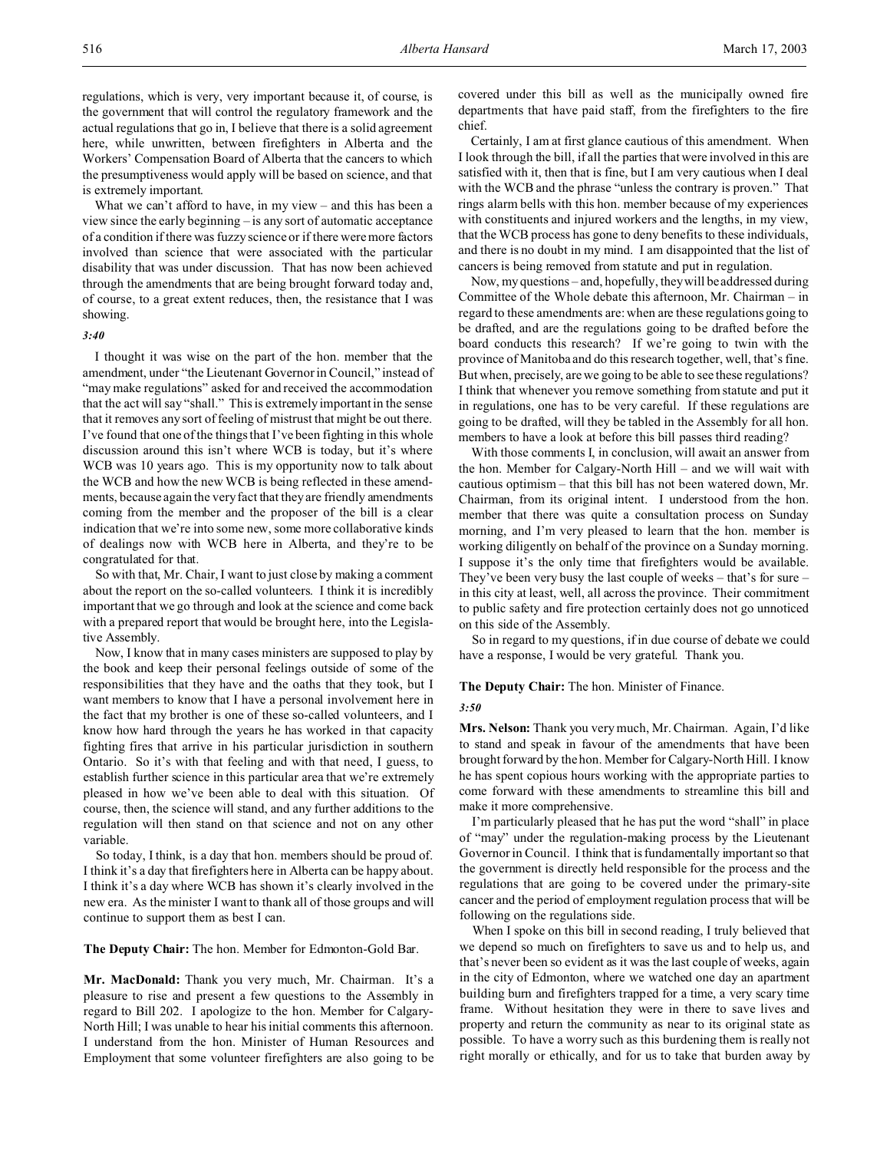What we can't afford to have, in my view – and this has been a view since the early beginning – is any sort of automatic acceptance of a condition if there was fuzzy science or if there were more factors involved than science that were associated with the particular disability that was under discussion. That has now been achieved through the amendments that are being brought forward today and, of course, to a great extent reduces, then, the resistance that I was showing.

#### *3:40*

I thought it was wise on the part of the hon. member that the amendment, under "the Lieutenant Governor in Council," instead of "may make regulations" asked for and received the accommodation that the act will say "shall." This is extremely important in the sense that it removes any sort of feeling of mistrust that might be out there. I've found that one of the things that I've been fighting in this whole discussion around this isn't where WCB is today, but it's where WCB was 10 years ago. This is my opportunity now to talk about the WCB and how the new WCB is being reflected in these amendments, because again the very fact that they are friendly amendments coming from the member and the proposer of the bill is a clear indication that we're into some new, some more collaborative kinds of dealings now with WCB here in Alberta, and they're to be congratulated for that.

So with that, Mr. Chair, I want to just close by making a comment about the report on the so-called volunteers. I think it is incredibly important that we go through and look at the science and come back with a prepared report that would be brought here, into the Legislative Assembly.

Now, I know that in many cases ministers are supposed to play by the book and keep their personal feelings outside of some of the responsibilities that they have and the oaths that they took, but I want members to know that I have a personal involvement here in the fact that my brother is one of these so-called volunteers, and I know how hard through the years he has worked in that capacity fighting fires that arrive in his particular jurisdiction in southern Ontario. So it's with that feeling and with that need, I guess, to establish further science in this particular area that we're extremely pleased in how we've been able to deal with this situation. Of course, then, the science will stand, and any further additions to the regulation will then stand on that science and not on any other variable.

So today, I think, is a day that hon. members should be proud of. I think it's a day that firefighters here in Alberta can be happy about. I think it's a day where WCB has shown it's clearly involved in the new era. As the minister I want to thank all of those groups and will continue to support them as best I can.

**The Deputy Chair:** The hon. Member for Edmonton-Gold Bar.

**Mr. MacDonald:** Thank you very much, Mr. Chairman. It's a pleasure to rise and present a few questions to the Assembly in regard to Bill 202. I apologize to the hon. Member for Calgary-North Hill; I was unable to hear his initial comments this afternoon. I understand from the hon. Minister of Human Resources and Employment that some volunteer firefighters are also going to be

covered under this bill as well as the municipally owned fire departments that have paid staff, from the firefighters to the fire chief.

Certainly, I am at first glance cautious of this amendment. When I look through the bill, if all the parties that were involved in this are satisfied with it, then that is fine, but I am very cautious when I deal with the WCB and the phrase "unless the contrary is proven." That rings alarm bells with this hon. member because of my experiences with constituents and injured workers and the lengths, in my view, that the WCB process has gone to deny benefits to these individuals, and there is no doubt in my mind. I am disappointed that the list of cancers is being removed from statute and put in regulation.

Now, my questions – and, hopefully, they will be addressed during Committee of the Whole debate this afternoon, Mr. Chairman – in regard to these amendments are: when are these regulations going to be drafted, and are the regulations going to be drafted before the board conducts this research? If we're going to twin with the province of Manitoba and do this research together, well, that's fine. But when, precisely, are we going to be able to see these regulations? I think that whenever you remove something from statute and put it in regulations, one has to be very careful. If these regulations are going to be drafted, will they be tabled in the Assembly for all hon. members to have a look at before this bill passes third reading?

With those comments I, in conclusion, will await an answer from the hon. Member for Calgary-North Hill – and we will wait with cautious optimism – that this bill has not been watered down, Mr. Chairman, from its original intent. I understood from the hon. member that there was quite a consultation process on Sunday morning, and I'm very pleased to learn that the hon. member is working diligently on behalf of the province on a Sunday morning. I suppose it's the only time that firefighters would be available. They've been very busy the last couple of weeks – that's for sure – in this city at least, well, all across the province. Their commitment to public safety and fire protection certainly does not go unnoticed on this side of the Assembly.

So in regard to my questions, if in due course of debate we could have a response, I would be very grateful. Thank you.

**The Deputy Chair:** The hon. Minister of Finance.

#### *3:50*

**Mrs. Nelson:** Thank you very much, Mr. Chairman. Again, I'd like to stand and speak in favour of the amendments that have been brought forward by the hon. Member for Calgary-North Hill. I know he has spent copious hours working with the appropriate parties to come forward with these amendments to streamline this bill and make it more comprehensive.

I'm particularly pleased that he has put the word "shall" in place of "may" under the regulation-making process by the Lieutenant Governor in Council. I think that is fundamentally important so that the government is directly held responsible for the process and the regulations that are going to be covered under the primary-site cancer and the period of employment regulation process that will be following on the regulations side.

When I spoke on this bill in second reading, I truly believed that we depend so much on firefighters to save us and to help us, and that's never been so evident as it was the last couple of weeks, again in the city of Edmonton, where we watched one day an apartment building burn and firefighters trapped for a time, a very scary time frame. Without hesitation they were in there to save lives and property and return the community as near to its original state as possible. To have a worry such as this burdening them is really not right morally or ethically, and for us to take that burden away by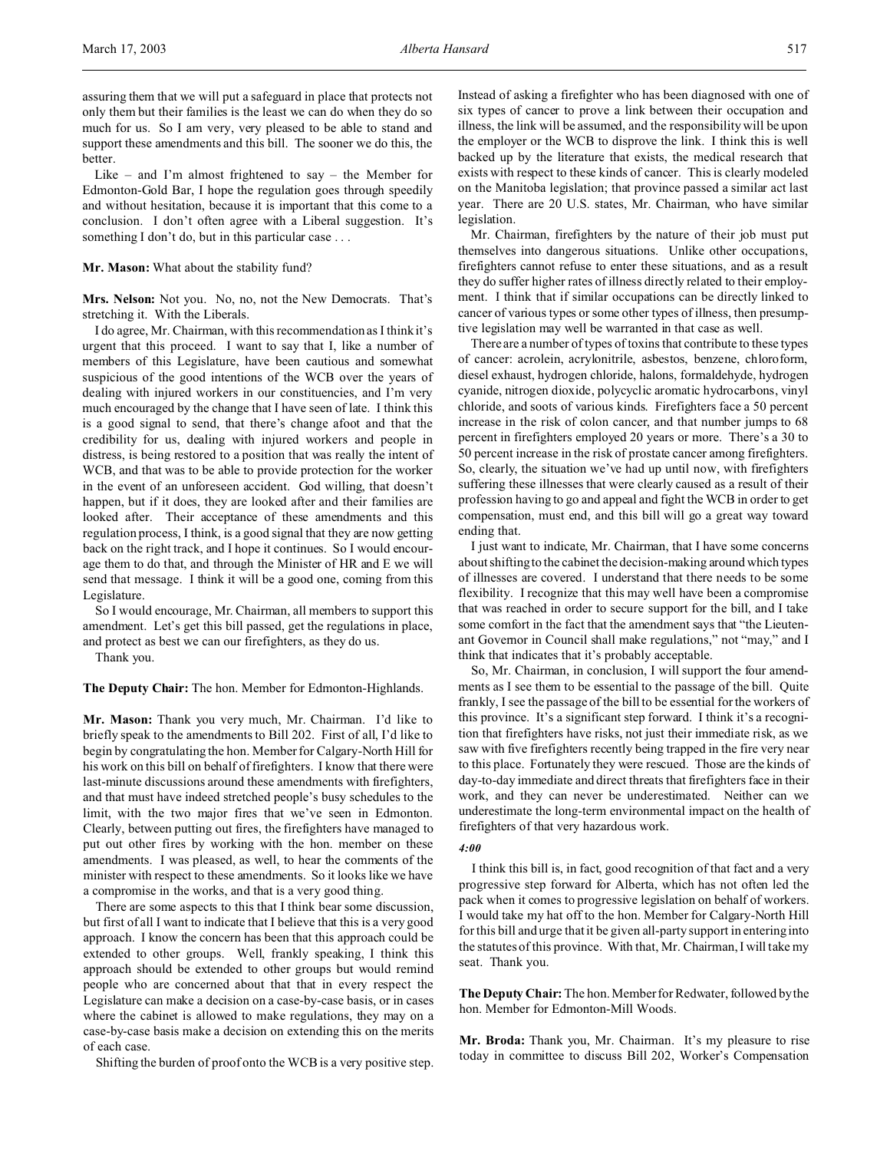assuring them that we will put a safeguard in place that protects not only them but their families is the least we can do when they do so much for us. So I am very, very pleased to be able to stand and support these amendments and this bill. The sooner we do this, the better.

Like – and I'm almost frightened to say – the Member for Edmonton-Gold Bar, I hope the regulation goes through speedily and without hesitation, because it is important that this come to a conclusion. I don't often agree with a Liberal suggestion. It's something I don't do, but in this particular case ...

## **Mr. Mason:** What about the stability fund?

**Mrs. Nelson:** Not you. No, no, not the New Democrats. That's stretching it. With the Liberals.

I do agree, Mr. Chairman, with this recommendation as I think it's urgent that this proceed. I want to say that I, like a number of members of this Legislature, have been cautious and somewhat suspicious of the good intentions of the WCB over the years of dealing with injured workers in our constituencies, and I'm very much encouraged by the change that I have seen of late. I think this is a good signal to send, that there's change afoot and that the credibility for us, dealing with injured workers and people in distress, is being restored to a position that was really the intent of WCB, and that was to be able to provide protection for the worker in the event of an unforeseen accident. God willing, that doesn't happen, but if it does, they are looked after and their families are looked after. Their acceptance of these amendments and this regulation process, I think, is a good signal that they are now getting back on the right track, and I hope it continues. So I would encourage them to do that, and through the Minister of HR and E we will send that message. I think it will be a good one, coming from this Legislature.

So I would encourage, Mr. Chairman, all members to support this amendment. Let's get this bill passed, get the regulations in place, and protect as best we can our firefighters, as they do us.

Thank you.

**The Deputy Chair:** The hon. Member for Edmonton-Highlands.

**Mr. Mason:** Thank you very much, Mr. Chairman. I'd like to briefly speak to the amendments to Bill 202. First of all, I'd like to begin by congratulating the hon. Member for Calgary-North Hill for his work on this bill on behalf of firefighters. I know that there were last-minute discussions around these amendments with firefighters, and that must have indeed stretched people's busy schedules to the limit, with the two major fires that we've seen in Edmonton. Clearly, between putting out fires, the firefighters have managed to put out other fires by working with the hon. member on these amendments. I was pleased, as well, to hear the comments of the minister with respect to these amendments. So it looks like we have a compromise in the works, and that is a very good thing.

There are some aspects to this that I think bear some discussion, but first of all I want to indicate that I believe that this is a very good approach. I know the concern has been that this approach could be extended to other groups. Well, frankly speaking, I think this approach should be extended to other groups but would remind people who are concerned about that that in every respect the Legislature can make a decision on a case-by-case basis, or in cases where the cabinet is allowed to make regulations, they may on a case-by-case basis make a decision on extending this on the merits of each case.

Shifting the burden of proof onto the WCB is a very positive step.

Instead of asking a firefighter who has been diagnosed with one of six types of cancer to prove a link between their occupation and illness, the link will be assumed, and the responsibility will be upon the employer or the WCB to disprove the link. I think this is well backed up by the literature that exists, the medical research that exists with respect to these kinds of cancer. This is clearly modeled on the Manitoba legislation; that province passed a similar act last year. There are 20 U.S. states, Mr. Chairman, who have similar legislation.

Mr. Chairman, firefighters by the nature of their job must put themselves into dangerous situations. Unlike other occupations, firefighters cannot refuse to enter these situations, and as a result they do suffer higher rates of illness directly related to their employment. I think that if similar occupations can be directly linked to cancer of various types or some other types of illness, then presumptive legislation may well be warranted in that case as well.

There are a number of types of toxins that contribute to these types of cancer: acrolein, acrylonitrile, asbestos, benzene, chloroform, diesel exhaust, hydrogen chloride, halons, formaldehyde, hydrogen cyanide, nitrogen dioxide, polycyclic aromatic hydrocarbons, vinyl chloride, and soots of various kinds. Firefighters face a 50 percent increase in the risk of colon cancer, and that number jumps to 68 percent in firefighters employed 20 years or more. There's a 30 to 50 percent increase in the risk of prostate cancer among firefighters. So, clearly, the situation we've had up until now, with firefighters suffering these illnesses that were clearly caused as a result of their profession having to go and appeal and fight the WCB in order to get compensation, must end, and this bill will go a great way toward ending that.

I just want to indicate, Mr. Chairman, that I have some concerns about shifting to the cabinet the decision-making around which types of illnesses are covered. I understand that there needs to be some flexibility. I recognize that this may well have been a compromise that was reached in order to secure support for the bill, and I take some comfort in the fact that the amendment says that "the Lieutenant Governor in Council shall make regulations," not "may," and I think that indicates that it's probably acceptable.

So, Mr. Chairman, in conclusion, I will support the four amendments as I see them to be essential to the passage of the bill. Quite frankly, I see the passage of the bill to be essential for the workers of this province. It's a significant step forward. I think it's a recognition that firefighters have risks, not just their immediate risk, as we saw with five firefighters recently being trapped in the fire very near to this place. Fortunately they were rescued. Those are the kinds of day-to-day immediate and direct threats that firefighters face in their work, and they can never be underestimated. Neither can we underestimate the long-term environmental impact on the health of firefighters of that very hazardous work.

#### *4:00*

I think this bill is, in fact, good recognition of that fact and a very progressive step forward for Alberta, which has not often led the pack when it comes to progressive legislation on behalf of workers. I would take my hat off to the hon. Member for Calgary-North Hill for this bill and urge that it be given all-party support in entering into the statutes of this province. With that, Mr. Chairman, I will take my seat. Thank you.

**The Deputy Chair:** The hon. Member for Redwater, followed by the hon. Member for Edmonton-Mill Woods.

**Mr. Broda:** Thank you, Mr. Chairman. It's my pleasure to rise today in committee to discuss Bill 202, Worker's Compensation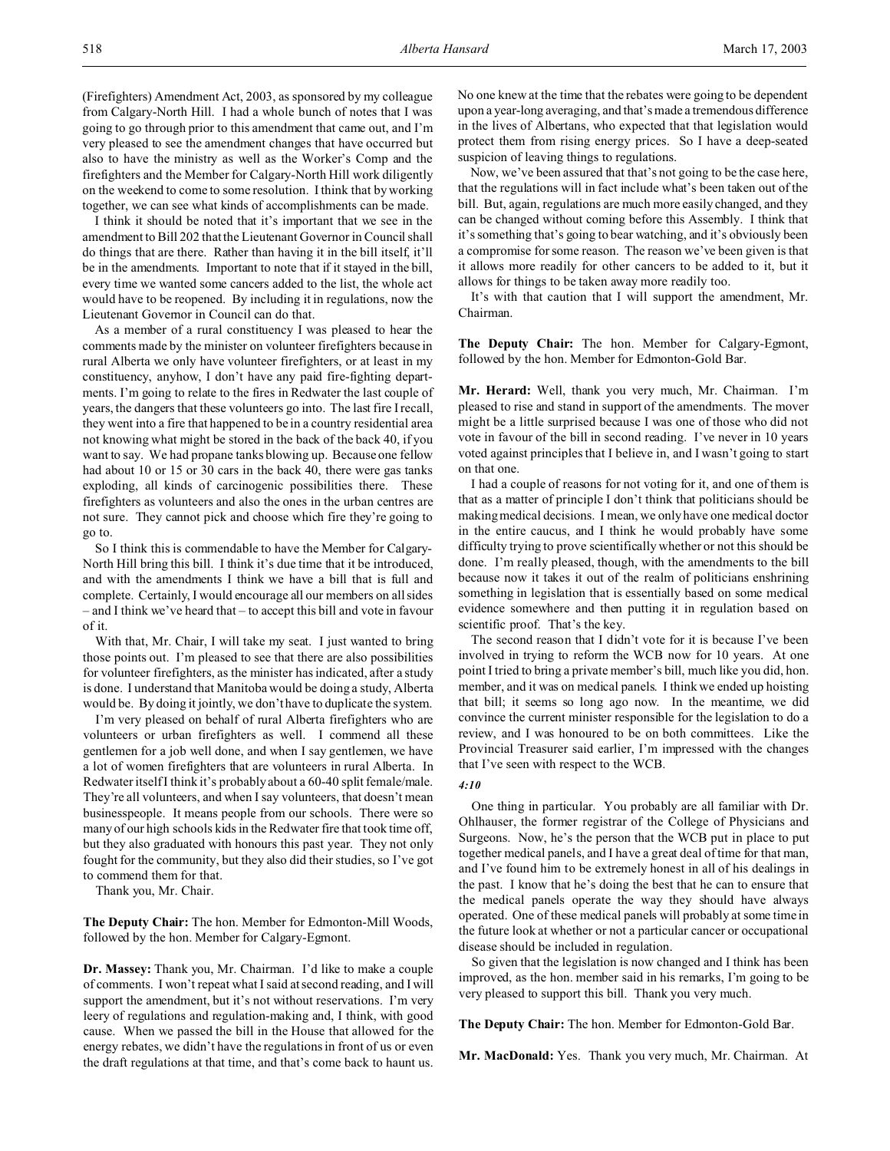(Firefighters) Amendment Act, 2003, as sponsored by my colleague from Calgary-North Hill. I had a whole bunch of notes that I was going to go through prior to this amendment that came out, and I'm very pleased to see the amendment changes that have occurred but also to have the ministry as well as the Worker's Comp and the firefighters and the Member for Calgary-North Hill work diligently on the weekend to come to some resolution. I think that by working together, we can see what kinds of accomplishments can be made.

I think it should be noted that it's important that we see in the amendment to Bill 202 that the Lieutenant Governor in Council shall do things that are there. Rather than having it in the bill itself, it'll be in the amendments. Important to note that if it stayed in the bill, every time we wanted some cancers added to the list, the whole act would have to be reopened. By including it in regulations, now the Lieutenant Governor in Council can do that.

As a member of a rural constituency I was pleased to hear the comments made by the minister on volunteer firefighters because in rural Alberta we only have volunteer firefighters, or at least in my constituency, anyhow, I don't have any paid fire-fighting departments. I'm going to relate to the fires in Redwater the last couple of years, the dangers that these volunteers go into. The last fire I recall, they went into a fire that happened to be in a country residential area not knowing what might be stored in the back of the back 40, if you want to say. We had propane tanks blowing up. Because one fellow had about 10 or 15 or 30 cars in the back 40, there were gas tanks exploding, all kinds of carcinogenic possibilities there. These firefighters as volunteers and also the ones in the urban centres are not sure. They cannot pick and choose which fire they're going to go to.

So I think this is commendable to have the Member for Calgary-North Hill bring this bill. I think it's due time that it be introduced, and with the amendments I think we have a bill that is full and complete. Certainly, I would encourage all our members on all sides – and I think we've heard that – to accept this bill and vote in favour of it.

With that, Mr. Chair, I will take my seat. I just wanted to bring those points out. I'm pleased to see that there are also possibilities for volunteer firefighters, as the minister has indicated, after a study is done. I understand that Manitoba would be doing a study, Alberta would be. By doing it jointly, we don't have to duplicate the system.

I'm very pleased on behalf of rural Alberta firefighters who are volunteers or urban firefighters as well. I commend all these gentlemen for a job well done, and when I say gentlemen, we have a lot of women firefighters that are volunteers in rural Alberta. In Redwater itself I think it's probably about a 60-40 split female/male. They're all volunteers, and when I say volunteers, that doesn't mean businesspeople. It means people from our schools. There were so many of our high schools kids in the Redwater fire that took time off, but they also graduated with honours this past year. They not only fought for the community, but they also did their studies, so I've got to commend them for that.

Thank you, Mr. Chair.

**The Deputy Chair:** The hon. Member for Edmonton-Mill Woods, followed by the hon. Member for Calgary-Egmont.

**Dr. Massey:** Thank you, Mr. Chairman. I'd like to make a couple of comments. I won't repeat what I said at second reading, and I will support the amendment, but it's not without reservations. I'm very leery of regulations and regulation-making and, I think, with good cause. When we passed the bill in the House that allowed for the energy rebates, we didn't have the regulations in front of us or even the draft regulations at that time, and that's come back to haunt us.

No one knew at the time that the rebates were going to be dependent upon a year-long averaging, and that's made a tremendous difference in the lives of Albertans, who expected that that legislation would protect them from rising energy prices. So I have a deep-seated suspicion of leaving things to regulations.

Now, we've been assured that that's not going to be the case here, that the regulations will in fact include what's been taken out of the bill. But, again, regulations are much more easily changed, and they can be changed without coming before this Assembly. I think that it's something that's going to bear watching, and it's obviously been a compromise for some reason. The reason we've been given is that it allows more readily for other cancers to be added to it, but it allows for things to be taken away more readily too.

It's with that caution that I will support the amendment, Mr. Chairman.

**The Deputy Chair:** The hon. Member for Calgary-Egmont, followed by the hon. Member for Edmonton-Gold Bar.

**Mr. Herard:** Well, thank you very much, Mr. Chairman. I'm pleased to rise and stand in support of the amendments. The mover might be a little surprised because I was one of those who did not vote in favour of the bill in second reading. I've never in 10 years voted against principles that I believe in, and I wasn't going to start on that one.

I had a couple of reasons for not voting for it, and one of them is that as a matter of principle I don't think that politicians should be making medical decisions. I mean, we only have one medical doctor in the entire caucus, and I think he would probably have some difficulty trying to prove scientifically whether or not this should be done. I'm really pleased, though, with the amendments to the bill because now it takes it out of the realm of politicians enshrining something in legislation that is essentially based on some medical evidence somewhere and then putting it in regulation based on scientific proof. That's the key.

The second reason that I didn't vote for it is because I've been involved in trying to reform the WCB now for 10 years. At one point I tried to bring a private member's bill, much like you did, hon. member, and it was on medical panels. I think we ended up hoisting that bill; it seems so long ago now. In the meantime, we did convince the current minister responsible for the legislation to do a review, and I was honoured to be on both committees. Like the Provincial Treasurer said earlier, I'm impressed with the changes that I've seen with respect to the WCB.

#### *4:10*

One thing in particular. You probably are all familiar with Dr. Ohlhauser, the former registrar of the College of Physicians and Surgeons. Now, he's the person that the WCB put in place to put together medical panels, and I have a great deal of time for that man, and I've found him to be extremely honest in all of his dealings in the past. I know that he's doing the best that he can to ensure that the medical panels operate the way they should have always operated. One of these medical panels will probably at some time in the future look at whether or not a particular cancer or occupational disease should be included in regulation.

So given that the legislation is now changed and I think has been improved, as the hon. member said in his remarks, I'm going to be very pleased to support this bill. Thank you very much.

**The Deputy Chair:** The hon. Member for Edmonton-Gold Bar.

**Mr. MacDonald:** Yes. Thank you very much, Mr. Chairman. At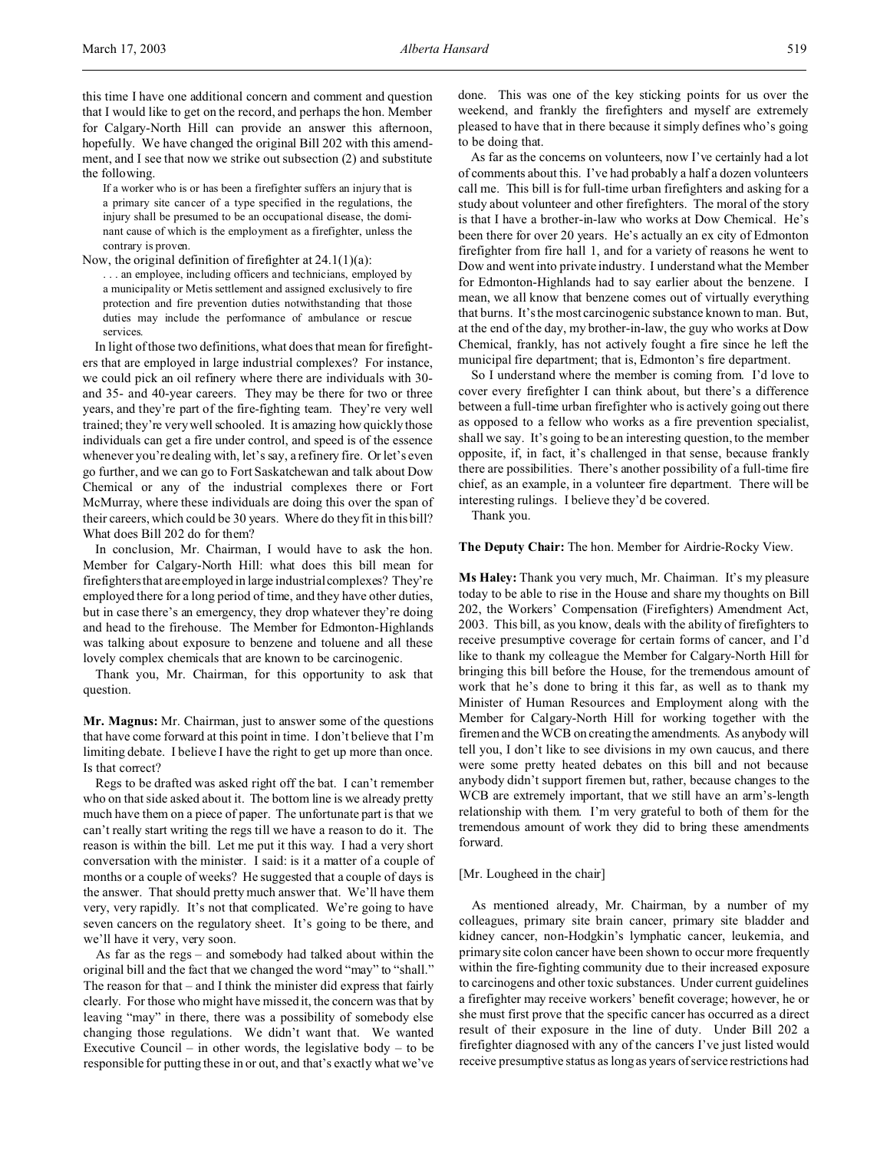this time I have one additional concern and comment and question that I would like to get on the record, and perhaps the hon. Member for Calgary-North Hill can provide an answer this afternoon, hopefully. We have changed the original Bill 202 with this amendment, and I see that now we strike out subsection (2) and substitute the following.

If a worker who is or has been a firefighter suffers an injury that is a primary site cancer of a type specified in the regulations, the injury shall be presumed to be an occupational disease, the dominant cause of which is the employment as a firefighter, unless the contrary is proven.

Now, the original definition of firefighter at 24.1(1)(a):

. . . an employee, including officers and technicians, employed by a municipality or Metis settlement and assigned exclusively to fire protection and fire prevention duties notwithstanding that those duties may include the performance of ambulance or rescue services.

In light of those two definitions, what does that mean for firefighters that are employed in large industrial complexes? For instance, we could pick an oil refinery where there are individuals with 30 and 35- and 40-year careers. They may be there for two or three years, and they're part of the fire-fighting team. They're very well trained; they're very well schooled. It is amazing how quickly those individuals can get a fire under control, and speed is of the essence whenever you're dealing with, let's say, a refinery fire. Or let's even go further, and we can go to Fort Saskatchewan and talk about Dow Chemical or any of the industrial complexes there or Fort McMurray, where these individuals are doing this over the span of their careers, which could be 30 years. Where do they fit in this bill? What does Bill 202 do for them?

In conclusion, Mr. Chairman, I would have to ask the hon. Member for Calgary-North Hill: what does this bill mean for firefighters that are employed in large industrialcomplexes? They're employed there for a long period of time, and they have other duties, but in case there's an emergency, they drop whatever they're doing and head to the firehouse. The Member for Edmonton-Highlands was talking about exposure to benzene and toluene and all these lovely complex chemicals that are known to be carcinogenic.

Thank you, Mr. Chairman, for this opportunity to ask that question.

**Mr. Magnus:** Mr. Chairman, just to answer some of the questions that have come forward at this point in time. I don't believe that I'm limiting debate. I believe I have the right to get up more than once. Is that correct?

Regs to be drafted was asked right off the bat. I can't remember who on that side asked about it. The bottom line is we already pretty much have them on a piece of paper. The unfortunate part is that we can't really start writing the regs till we have a reason to do it. The reason is within the bill. Let me put it this way. I had a very short conversation with the minister. I said: is it a matter of a couple of months or a couple of weeks? He suggested that a couple of days is the answer. That should pretty much answer that. We'll have them very, very rapidly. It's not that complicated. We're going to have seven cancers on the regulatory sheet. It's going to be there, and we'll have it very, very soon.

As far as the regs – and somebody had talked about within the original bill and the fact that we changed the word "may" to "shall." The reason for that – and I think the minister did express that fairly clearly. For those who might have missed it, the concern was that by leaving "may" in there, there was a possibility of somebody else changing those regulations. We didn't want that. We wanted Executive Council – in other words, the legislative body – to be responsible for putting these in or out, and that's exactly what we've

done. This was one of the key sticking points for us over the weekend, and frankly the firefighters and myself are extremely pleased to have that in there because it simply defines who's going to be doing that.

As far as the concerns on volunteers, now I've certainly had a lot of comments about this. I've had probably a half a dozen volunteers call me. This bill is for full-time urban firefighters and asking for a study about volunteer and other firefighters. The moral of the story is that I have a brother-in-law who works at Dow Chemical. He's been there for over 20 years. He's actually an ex city of Edmonton firefighter from fire hall 1, and for a variety of reasons he went to Dow and went into private industry. I understand what the Member for Edmonton-Highlands had to say earlier about the benzene. I mean, we all know that benzene comes out of virtually everything that burns. It's the most carcinogenic substance known to man. But, at the end of the day, my brother-in-law, the guy who works at Dow Chemical, frankly, has not actively fought a fire since he left the municipal fire department; that is, Edmonton's fire department.

So I understand where the member is coming from. I'd love to cover every firefighter I can think about, but there's a difference between a full-time urban firefighter who is actively going out there as opposed to a fellow who works as a fire prevention specialist, shall we say. It's going to be an interesting question, to the member opposite, if, in fact, it's challenged in that sense, because frankly there are possibilities. There's another possibility of a full-time fire chief, as an example, in a volunteer fire department. There will be interesting rulings. I believe they'd be covered.

Thank you.

**The Deputy Chair:** The hon. Member for Airdrie-Rocky View.

**Ms Haley:** Thank you very much, Mr. Chairman. It's my pleasure today to be able to rise in the House and share my thoughts on Bill 202, the Workers' Compensation (Firefighters) Amendment Act, 2003. This bill, as you know, deals with the ability of firefighters to receive presumptive coverage for certain forms of cancer, and I'd like to thank my colleague the Member for Calgary-North Hill for bringing this bill before the House, for the tremendous amount of work that he's done to bring it this far, as well as to thank my Minister of Human Resources and Employment along with the Member for Calgary-North Hill for working together with the firemen and the WCB on creating the amendments. As anybody will tell you, I don't like to see divisions in my own caucus, and there were some pretty heated debates on this bill and not because anybody didn't support firemen but, rather, because changes to the WCB are extremely important, that we still have an arm's-length relationship with them. I'm very grateful to both of them for the tremendous amount of work they did to bring these amendments forward.

## [Mr. Lougheed in the chair]

As mentioned already, Mr. Chairman, by a number of my colleagues, primary site brain cancer, primary site bladder and kidney cancer, non-Hodgkin's lymphatic cancer, leukemia, and primary site colon cancer have been shown to occur more frequently within the fire-fighting community due to their increased exposure to carcinogens and other toxic substances. Under current guidelines a firefighter may receive workers' benefit coverage; however, he or she must first prove that the specific cancer has occurred as a direct result of their exposure in the line of duty. Under Bill 202 a firefighter diagnosed with any of the cancers I've just listed would receive presumptive status as long as years of service restrictions had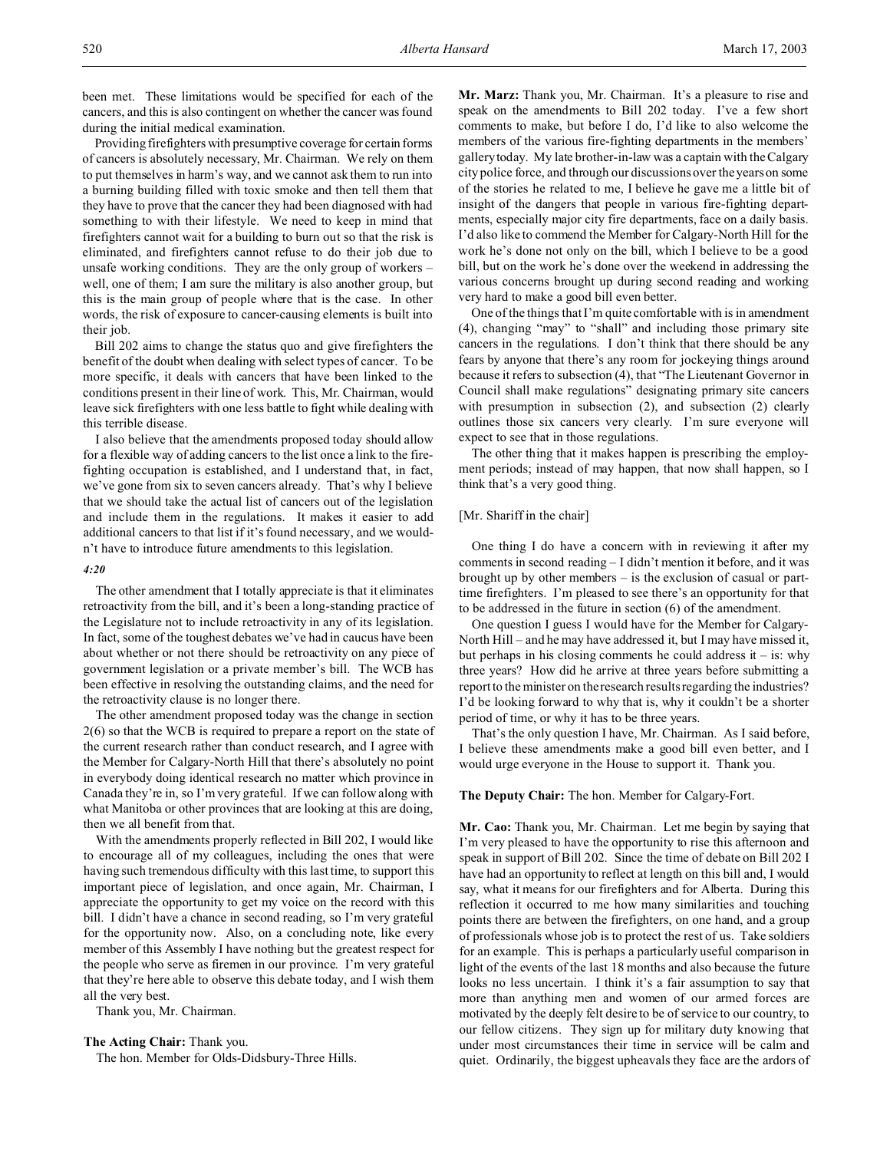been met. These limitations would be specified for each of the cancers, and this is also contingent on whether the cancer was found during the initial medical examination.

Providing firefighters with presumptive coverage for certain forms of cancers is absolutely necessary, Mr. Chairman. We rely on them to put themselves in harm's way, and we cannot ask them to run into a burning building filled with toxic smoke and then tell them that they have to prove that the cancer they had been diagnosed with had something to with their lifestyle. We need to keep in mind that firefighters cannot wait for a building to burn out so that the risk is eliminated, and firefighters cannot refuse to do their job due to unsafe working conditions. They are the only group of workers – well, one of them; I am sure the military is also another group, but this is the main group of people where that is the case. In other words, the risk of exposure to cancer-causing elements is built into their job.

Bill 202 aims to change the status quo and give firefighters the benefit of the doubt when dealing with select types of cancer. To be more specific, it deals with cancers that have been linked to the conditions present in their line of work. This, Mr. Chairman, would leave sick firefighters with one less battle to fight while dealing with this terrible disease.

I also believe that the amendments proposed today should allow for a flexible way of adding cancers to the list once a link to the firefighting occupation is established, and I understand that, in fact, we've gone from six to seven cancers already. That's why I believe that we should take the actual list of cancers out of the legislation and include them in the regulations. It makes it easier to add additional cancers to that list if it's found necessary, and we wouldn't have to introduce future amendments to this legislation.

#### *4:20*

The other amendment that I totally appreciate is that it eliminates retroactivity from the bill, and it's been a long-standing practice of the Legislature not to include retroactivity in any of its legislation. In fact, some of the toughest debates we've had in caucus have been about whether or not there should be retroactivity on any piece of government legislation or a private member's bill. The WCB has been effective in resolving the outstanding claims, and the need for the retroactivity clause is no longer there.

The other amendment proposed today was the change in section 2(6) so that the WCB is required to prepare a report on the state of the current research rather than conduct research, and I agree with the Member for Calgary-North Hill that there's absolutely no point in everybody doing identical research no matter which province in Canada they're in, so I'm very grateful. If we can follow along with what Manitoba or other provinces that are looking at this are doing, then we all benefit from that.

With the amendments properly reflected in Bill 202, I would like to encourage all of my colleagues, including the ones that were having such tremendous difficulty with this last time, to support this important piece of legislation, and once again, Mr. Chairman, I appreciate the opportunity to get my voice on the record with this bill. I didn't have a chance in second reading, so I'm very grateful for the opportunity now. Also, on a concluding note, like every member of this Assembly I have nothing but the greatest respect for the people who serve as firemen in our province. I'm very grateful that they're here able to observe this debate today, and I wish them all the very best.

Thank you, Mr. Chairman.

**The Acting Chair:** Thank you.

The hon. Member for Olds-Didsbury-Three Hills.

**Mr. Marz:** Thank you, Mr. Chairman. It's a pleasure to rise and speak on the amendments to Bill 202 today. I've a few short comments to make, but before I do, I'd like to also welcome the members of the various fire-fighting departments in the members' gallery today. My late brother-in-law was a captain with the Calgary city police force, and through our discussions over the years on some of the stories he related to me, I believe he gave me a little bit of insight of the dangers that people in various fire-fighting departments, especially major city fire departments, face on a daily basis. I'd also like to commend the Member for Calgary-North Hill for the work he's done not only on the bill, which I believe to be a good bill, but on the work he's done over the weekend in addressing the various concerns brought up during second reading and working very hard to make a good bill even better.

One of the things that I'm quite comfortable with is in amendment (4), changing "may" to "shall" and including those primary site cancers in the regulations. I don't think that there should be any fears by anyone that there's any room for jockeying things around because it refers to subsection (4), that "The Lieutenant Governor in Council shall make regulations" designating primary site cancers with presumption in subsection (2), and subsection (2) clearly outlines those six cancers very clearly. I'm sure everyone will expect to see that in those regulations.

The other thing that it makes happen is prescribing the employment periods; instead of may happen, that now shall happen, so I think that's a very good thing.

#### [Mr. Shariff in the chair]

One thing I do have a concern with in reviewing it after my comments in second reading – I didn't mention it before, and it was brought up by other members – is the exclusion of casual or parttime firefighters. I'm pleased to see there's an opportunity for that to be addressed in the future in section (6) of the amendment.

One question I guess I would have for the Member for Calgary-North Hill – and he may have addressed it, but I may have missed it, but perhaps in his closing comments he could address it  $-$  is: why three years? How did he arrive at three years before submitting a report to the minister on the research results regarding the industries? I'd be looking forward to why that is, why it couldn't be a shorter period of time, or why it has to be three years.

That's the only question I have, Mr. Chairman. As I said before, I believe these amendments make a good bill even better, and I would urge everyone in the House to support it. Thank you.

#### **The Deputy Chair:** The hon. Member for Calgary-Fort.

**Mr. Cao:** Thank you, Mr. Chairman. Let me begin by saying that I'm very pleased to have the opportunity to rise this afternoon and speak in support of Bill 202. Since the time of debate on Bill 202 I have had an opportunity to reflect at length on this bill and, I would say, what it means for our firefighters and for Alberta. During this reflection it occurred to me how many similarities and touching points there are between the firefighters, on one hand, and a group of professionals whose job is to protect the rest of us. Take soldiers for an example. This is perhaps a particularly useful comparison in light of the events of the last 18 months and also because the future looks no less uncertain. I think it's a fair assumption to say that more than anything men and women of our armed forces are motivated by the deeply felt desire to be of service to our country, to our fellow citizens. They sign up for military duty knowing that under most circumstances their time in service will be calm and quiet. Ordinarily, the biggest upheavals they face are the ardors of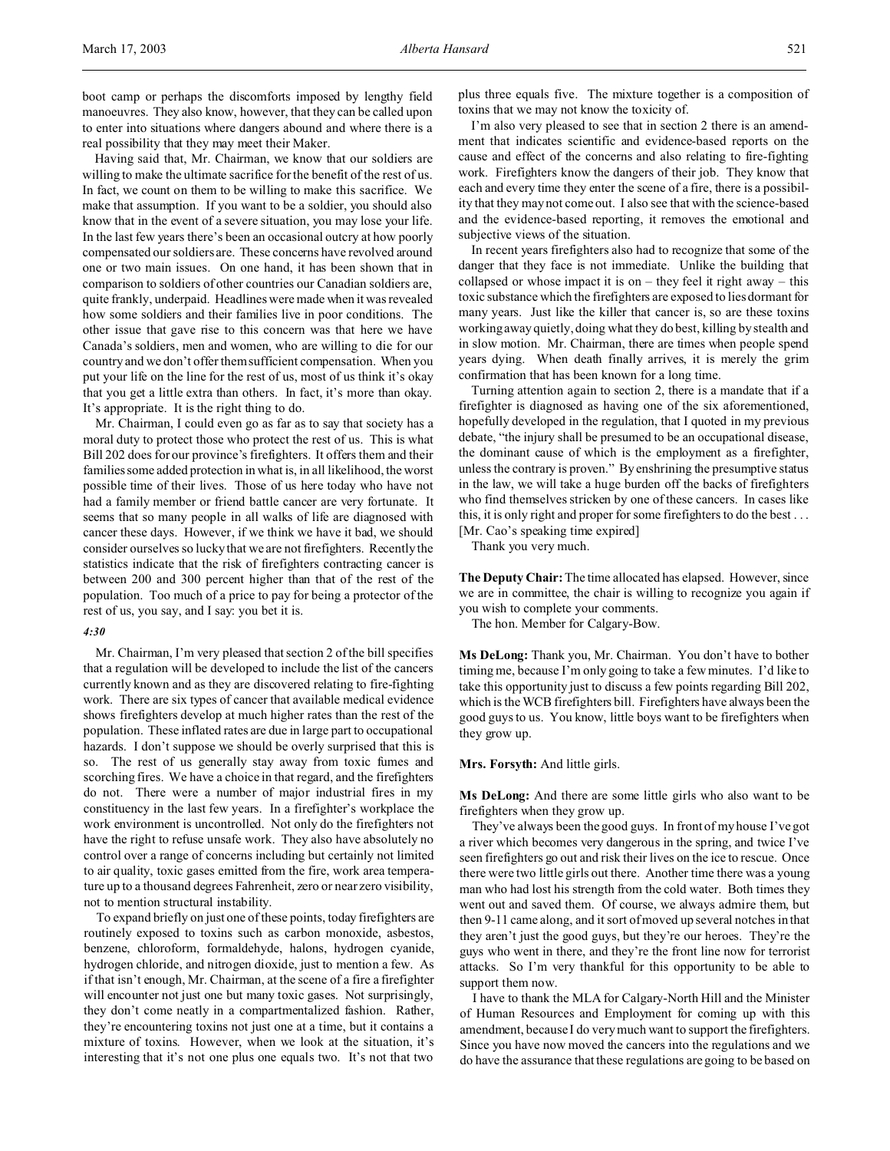Having said that, Mr. Chairman, we know that our soldiers are willing to make the ultimate sacrifice for the benefit of the rest of us. In fact, we count on them to be willing to make this sacrifice. We make that assumption. If you want to be a soldier, you should also know that in the event of a severe situation, you may lose your life. In the last few years there's been an occasional outcry at how poorly compensated our soldiers are. These concerns have revolved around one or two main issues. On one hand, it has been shown that in comparison to soldiers of other countries our Canadian soldiers are, quite frankly, underpaid. Headlines were made when it was revealed how some soldiers and their families live in poor conditions. The other issue that gave rise to this concern was that here we have Canada's soldiers, men and women, who are willing to die for our country and we don't offer them sufficient compensation. When you put your life on the line for the rest of us, most of us think it's okay that you get a little extra than others. In fact, it's more than okay. It's appropriate. It is the right thing to do.

Mr. Chairman, I could even go as far as to say that society has a moral duty to protect those who protect the rest of us. This is what Bill 202 does for our province's firefighters. It offers them and their families some added protection in what is, in all likelihood, the worst possible time of their lives. Those of us here today who have not had a family member or friend battle cancer are very fortunate. It seems that so many people in all walks of life are diagnosed with cancer these days. However, if we think we have it bad, we should consider ourselves so lucky that we are not firefighters. Recently the statistics indicate that the risk of firefighters contracting cancer is between 200 and 300 percent higher than that of the rest of the population. Too much of a price to pay for being a protector of the rest of us, you say, and I say: you bet it is.

#### *4:30*

Mr. Chairman, I'm very pleased that section 2 of the bill specifies that a regulation will be developed to include the list of the cancers currently known and as they are discovered relating to fire-fighting work. There are six types of cancer that available medical evidence shows firefighters develop at much higher rates than the rest of the population. These inflated rates are due in large part to occupational hazards. I don't suppose we should be overly surprised that this is so. The rest of us generally stay away from toxic fumes and scorching fires. We have a choice in that regard, and the firefighters do not. There were a number of major industrial fires in my constituency in the last few years. In a firefighter's workplace the work environment is uncontrolled. Not only do the firefighters not have the right to refuse unsafe work. They also have absolutely no control over a range of concerns including but certainly not limited to air quality, toxic gases emitted from the fire, work area temperature up to a thousand degrees Fahrenheit, zero or near zero visibility, not to mention structural instability.

To expand briefly on just one of these points, today firefighters are routinely exposed to toxins such as carbon monoxide, asbestos, benzene, chloroform, formaldehyde, halons, hydrogen cyanide, hydrogen chloride, and nitrogen dioxide, just to mention a few. As if that isn't enough, Mr. Chairman, at the scene of a fire a firefighter will encounter not just one but many toxic gases. Not surprisingly, they don't come neatly in a compartmentalized fashion. Rather, they're encountering toxins not just one at a time, but it contains a mixture of toxins. However, when we look at the situation, it's interesting that it's not one plus one equals two. It's not that two

plus three equals five. The mixture together is a composition of toxins that we may not know the toxicity of.

I'm also very pleased to see that in section 2 there is an amendment that indicates scientific and evidence-based reports on the cause and effect of the concerns and also relating to fire-fighting work. Firefighters know the dangers of their job. They know that each and every time they enter the scene of a fire, there is a possibility that they may not come out. I also see that with the science-based and the evidence-based reporting, it removes the emotional and subjective views of the situation.

In recent years firefighters also had to recognize that some of the danger that they face is not immediate. Unlike the building that collapsed or whose impact it is on – they feel it right away – this toxic substance which the firefighters are exposed to lies dormant for many years. Just like the killer that cancer is, so are these toxins working away quietly, doing what they do best, killing by stealth and in slow motion. Mr. Chairman, there are times when people spend years dying. When death finally arrives, it is merely the grim confirmation that has been known for a long time.

Turning attention again to section 2, there is a mandate that if a firefighter is diagnosed as having one of the six aforementioned, hopefully developed in the regulation, that I quoted in my previous debate, "the injury shall be presumed to be an occupational disease, the dominant cause of which is the employment as a firefighter, unless the contrary is proven." By enshrining the presumptive status in the law, we will take a huge burden off the backs of firefighters who find themselves stricken by one of these cancers. In cases like this, it is only right and proper for some firefighters to do the best . . . [Mr. Cao's speaking time expired]

Thank you very much.

**The Deputy Chair:**The time allocated has elapsed. However, since we are in committee, the chair is willing to recognize you again if you wish to complete your comments.

The hon. Member for Calgary-Bow.

**Ms DeLong:** Thank you, Mr. Chairman. You don't have to bother timing me, because I'm only going to take a few minutes. I'd like to take this opportunity just to discuss a few points regarding Bill 202, which is the WCB firefighters bill. Firefighters have always been the good guys to us. You know, little boys want to be firefighters when they grow up.

## **Mrs. Forsyth:** And little girls.

**Ms DeLong:** And there are some little girls who also want to be firefighters when they grow up.

They've always been the good guys. In front of my house I've got a river which becomes very dangerous in the spring, and twice I've seen firefighters go out and risk their lives on the ice to rescue. Once there were two little girls out there. Another time there was a young man who had lost his strength from the cold water. Both times they went out and saved them. Of course, we always admire them, but then 9-11 came along, and it sort of moved up several notches in that they aren't just the good guys, but they're our heroes. They're the guys who went in there, and they're the front line now for terrorist attacks. So I'm very thankful for this opportunity to be able to support them now.

I have to thank the MLA for Calgary-North Hill and the Minister of Human Resources and Employment for coming up with this amendment, because I do very much want to support the firefighters. Since you have now moved the cancers into the regulations and we do have the assurance that these regulations are going to be based on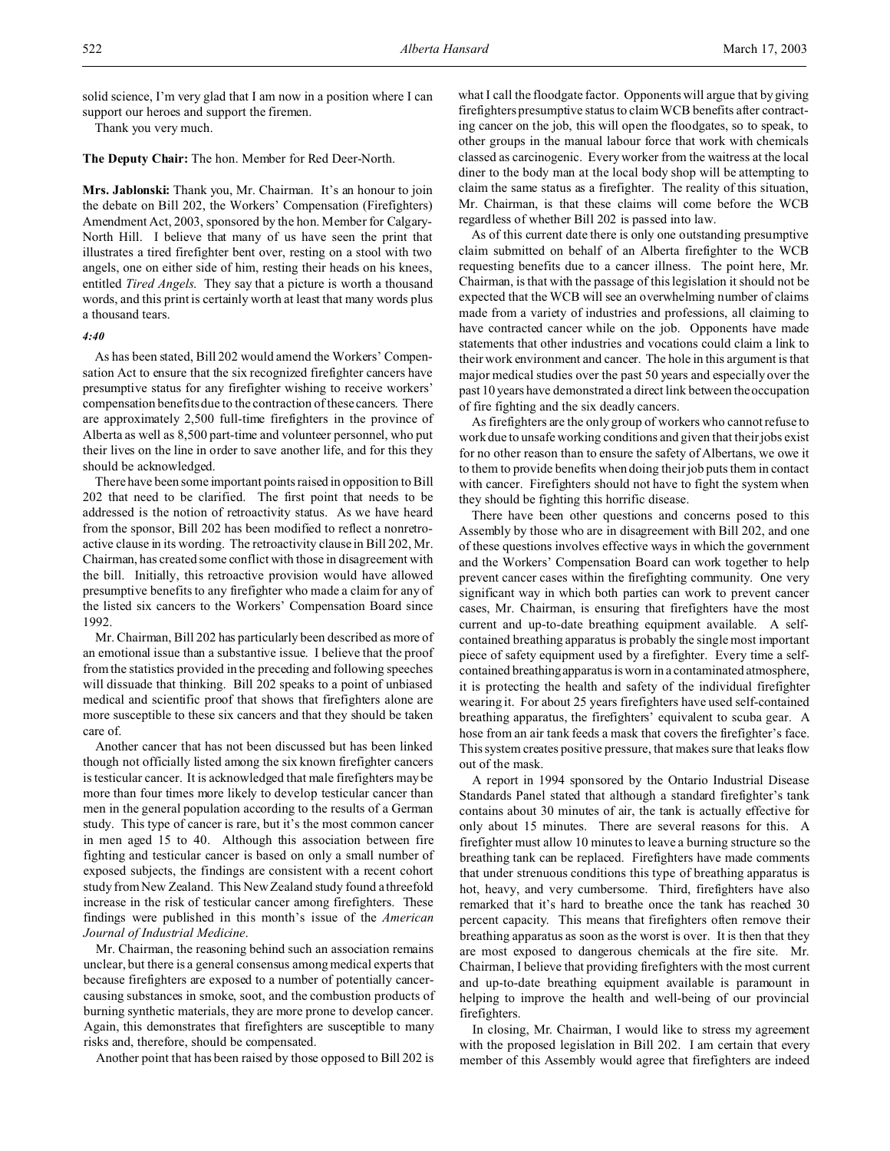solid science, I'm very glad that I am now in a position where I can support our heroes and support the firemen.

Thank you very much.

**The Deputy Chair:** The hon. Member for Red Deer-North.

**Mrs. Jablonski:** Thank you, Mr. Chairman. It's an honour to join the debate on Bill 202, the Workers' Compensation (Firefighters) Amendment Act, 2003, sponsored by the hon. Member for Calgary-North Hill. I believe that many of us have seen the print that illustrates a tired firefighter bent over, resting on a stool with two angels, one on either side of him, resting their heads on his knees, entitled *Tired Angels*. They say that a picture is worth a thousand words, and this print is certainly worth at least that many words plus a thousand tears.

## *4:40*

As has been stated, Bill 202 would amend the Workers' Compensation Act to ensure that the six recognized firefighter cancers have presumptive status for any firefighter wishing to receive workers' compensation benefits due to the contraction of these cancers. There are approximately 2,500 full-time firefighters in the province of Alberta as well as 8,500 part-time and volunteer personnel, who put their lives on the line in order to save another life, and for this they should be acknowledged.

There have been some important points raised in opposition to Bill 202 that need to be clarified. The first point that needs to be addressed is the notion of retroactivity status. As we have heard from the sponsor, Bill 202 has been modified to reflect a nonretroactive clause in its wording. The retroactivity clause in Bill 202, Mr. Chairman, has created some conflict with those in disagreement with the bill. Initially, this retroactive provision would have allowed presumptive benefits to any firefighter who made a claim for any of the listed six cancers to the Workers' Compensation Board since 1992.

Mr. Chairman, Bill 202 has particularly been described as more of an emotional issue than a substantive issue. I believe that the proof from the statistics provided in the preceding and following speeches will dissuade that thinking. Bill 202 speaks to a point of unbiased medical and scientific proof that shows that firefighters alone are more susceptible to these six cancers and that they should be taken care of.

Another cancer that has not been discussed but has been linked though not officially listed among the six known firefighter cancers is testicular cancer. It is acknowledged that male firefighters may be more than four times more likely to develop testicular cancer than men in the general population according to the results of a German study. This type of cancer is rare, but it's the most common cancer in men aged 15 to 40. Although this association between fire fighting and testicular cancer is based on only a small number of exposed subjects, the findings are consistent with a recent cohort study from New Zealand. This New Zealand study found a threefold increase in the risk of testicular cancer among firefighters. These findings were published in this month's issue of the *American Journal of Industrial Medicine*.

Mr. Chairman, the reasoning behind such an association remains unclear, but there is a general consensus among medical experts that because firefighters are exposed to a number of potentially cancercausing substances in smoke, soot, and the combustion products of burning synthetic materials, they are more prone to develop cancer. Again, this demonstrates that firefighters are susceptible to many risks and, therefore, should be compensated.

Another point that has been raised by those opposed to Bill 202 is

what I call the floodgate factor. Opponents will argue that by giving firefighters presumptive status to claim WCB benefits after contracting cancer on the job, this will open the floodgates, so to speak, to other groups in the manual labour force that work with chemicals classed as carcinogenic. Every worker from the waitress at the local diner to the body man at the local body shop will be attempting to claim the same status as a firefighter. The reality of this situation, Mr. Chairman, is that these claims will come before the WCB regardless of whether Bill 202 is passed into law.

As of this current date there is only one outstanding presumptive claim submitted on behalf of an Alberta firefighter to the WCB requesting benefits due to a cancer illness. The point here, Mr. Chairman, is that with the passage of this legislation it should not be expected that the WCB will see an overwhelming number of claims made from a variety of industries and professions, all claiming to have contracted cancer while on the job. Opponents have made statements that other industries and vocations could claim a link to their work environment and cancer. The hole in this argument is that major medical studies over the past 50 years and especially over the past 10 years have demonstrated a direct link between the occupation of fire fighting and the six deadly cancers.

As firefighters are the only group of workers who cannot refuse to work due to unsafe working conditions and given that their jobs exist for no other reason than to ensure the safety of Albertans, we owe it to them to provide benefits when doing their job puts them in contact with cancer. Firefighters should not have to fight the system when they should be fighting this horrific disease.

There have been other questions and concerns posed to this Assembly by those who are in disagreement with Bill 202, and one of these questions involves effective ways in which the government and the Workers' Compensation Board can work together to help prevent cancer cases within the firefighting community. One very significant way in which both parties can work to prevent cancer cases, Mr. Chairman, is ensuring that firefighters have the most current and up-to-date breathing equipment available. A selfcontained breathing apparatus is probably the single most important piece of safety equipment used by a firefighter. Every time a selfcontained breathingapparatus is worn in a contaminated atmosphere, it is protecting the health and safety of the individual firefighter wearing it. For about 25 years firefighters have used self-contained breathing apparatus, the firefighters' equivalent to scuba gear. A hose from an air tank feeds a mask that covers the firefighter's face. This system creates positive pressure, that makes sure that leaks flow out of the mask.

A report in 1994 sponsored by the Ontario Industrial Disease Standards Panel stated that although a standard firefighter's tank contains about 30 minutes of air, the tank is actually effective for only about 15 minutes. There are several reasons for this. A firefighter must allow 10 minutes to leave a burning structure so the breathing tank can be replaced. Firefighters have made comments that under strenuous conditions this type of breathing apparatus is hot, heavy, and very cumbersome. Third, firefighters have also remarked that it's hard to breathe once the tank has reached 30 percent capacity. This means that firefighters often remove their breathing apparatus as soon as the worst is over. It is then that they are most exposed to dangerous chemicals at the fire site. Mr. Chairman, I believe that providing firefighters with the most current and up-to-date breathing equipment available is paramount in helping to improve the health and well-being of our provincial firefighters.

In closing, Mr. Chairman, I would like to stress my agreement with the proposed legislation in Bill 202. I am certain that every member of this Assembly would agree that firefighters are indeed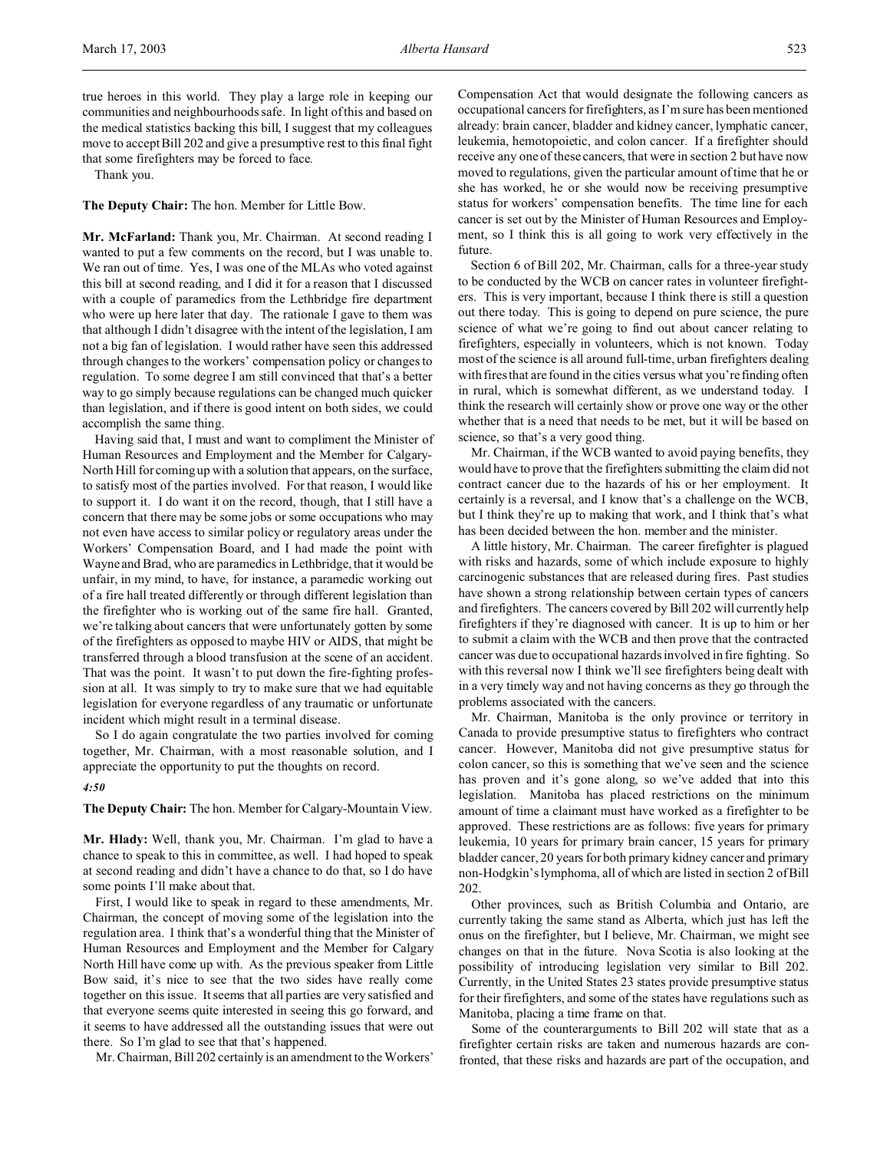true heroes in this world. They play a large role in keeping our communities and neighbourhoods safe. In light of this and based on the medical statistics backing this bill, I suggest that my colleagues move to accept Bill 202 and give a presumptive rest to this final fight that some firefighters may be forced to face.

Thank you.

**The Deputy Chair:** The hon. Member for Little Bow.

**Mr. McFarland:** Thank you, Mr. Chairman. At second reading I wanted to put a few comments on the record, but I was unable to. We ran out of time. Yes, I was one of the MLAs who voted against this bill at second reading, and I did it for a reason that I discussed with a couple of paramedics from the Lethbridge fire department who were up here later that day. The rationale I gave to them was that although I didn't disagree with the intent of the legislation, I am not a big fan of legislation. I would rather have seen this addressed through changes to the workers' compensation policy or changes to regulation. To some degree I am still convinced that that's a better way to go simply because regulations can be changed much quicker than legislation, and if there is good intent on both sides, we could accomplish the same thing.

Having said that, I must and want to compliment the Minister of Human Resources and Employment and the Member for Calgary-North Hill for coming up with a solution that appears, on the surface, to satisfy most of the parties involved. For that reason, I would like to support it. I do want it on the record, though, that I still have a concern that there may be some jobs or some occupations who may not even have access to similar policy or regulatory areas under the Workers' Compensation Board, and I had made the point with Wayne and Brad, who are paramedics in Lethbridge, that it would be unfair, in my mind, to have, for instance, a paramedic working out of a fire hall treated differently or through different legislation than the firefighter who is working out of the same fire hall. Granted, we're talking about cancers that were unfortunately gotten by some of the firefighters as opposed to maybe HIV or AIDS, that might be transferred through a blood transfusion at the scene of an accident. That was the point. It wasn't to put down the fire-fighting profession at all. It was simply to try to make sure that we had equitable legislation for everyone regardless of any traumatic or unfortunate incident which might result in a terminal disease.

So I do again congratulate the two parties involved for coming together, Mr. Chairman, with a most reasonable solution, and I appreciate the opportunity to put the thoughts on record.

*4:50*

**The Deputy Chair:** The hon. Member for Calgary-Mountain View.

**Mr. Hlady:** Well, thank you, Mr. Chairman. I'm glad to have a chance to speak to this in committee, as well. I had hoped to speak at second reading and didn't have a chance to do that, so I do have some points I'll make about that.

First, I would like to speak in regard to these amendments, Mr. Chairman, the concept of moving some of the legislation into the regulation area. I think that's a wonderful thing that the Minister of Human Resources and Employment and the Member for Calgary North Hill have come up with. As the previous speaker from Little Bow said, it's nice to see that the two sides have really come together on this issue. It seems that all parties are very satisfied and that everyone seems quite interested in seeing this go forward, and it seems to have addressed all the outstanding issues that were out there. So I'm glad to see that that's happened.

Mr. Chairman, Bill 202 certainly is an amendment to the Workers'

Compensation Act that would designate the following cancers as occupational cancers for firefighters, as I'm sure has been mentioned already: brain cancer, bladder and kidney cancer, lymphatic cancer, leukemia, hemotopoietic, and colon cancer. If a firefighter should receive any one of these cancers, that were in section 2 but have now moved to regulations, given the particular amount of time that he or she has worked, he or she would now be receiving presumptive status for workers' compensation benefits. The time line for each cancer is set out by the Minister of Human Resources and Employment, so I think this is all going to work very effectively in the future.

Section 6 of Bill 202, Mr. Chairman, calls for a three-year study to be conducted by the WCB on cancer rates in volunteer firefighters. This is very important, because I think there is still a question out there today. This is going to depend on pure science, the pure science of what we're going to find out about cancer relating to firefighters, especially in volunteers, which is not known. Today most of the science is all around full-time, urban firefighters dealing with fires that are found in the cities versus what you're finding often in rural, which is somewhat different, as we understand today. I think the research will certainly show or prove one way or the other whether that is a need that needs to be met, but it will be based on science, so that's a very good thing.

Mr. Chairman, if the WCB wanted to avoid paying benefits, they would have to prove that the firefighters submitting the claim did not contract cancer due to the hazards of his or her employment. It certainly is a reversal, and I know that's a challenge on the WCB, but I think they're up to making that work, and I think that's what has been decided between the hon. member and the minister.

A little history, Mr. Chairman. The career firefighter is plagued with risks and hazards, some of which include exposure to highly carcinogenic substances that are released during fires. Past studies have shown a strong relationship between certain types of cancers and firefighters. The cancers covered by Bill 202 will currently help firefighters if they're diagnosed with cancer. It is up to him or her to submit a claim with the WCB and then prove that the contracted cancer was due to occupational hazards involved in fire fighting. So with this reversal now I think we'll see firefighters being dealt with in a very timely way and not having concerns as they go through the problems associated with the cancers.

Mr. Chairman, Manitoba is the only province or territory in Canada to provide presumptive status to firefighters who contract cancer. However, Manitoba did not give presumptive status for colon cancer, so this is something that we've seen and the science has proven and it's gone along, so we've added that into this legislation. Manitoba has placed restrictions on the minimum amount of time a claimant must have worked as a firefighter to be approved. These restrictions are as follows: five years for primary leukemia, 10 years for primary brain cancer, 15 years for primary bladder cancer, 20 years for both primary kidney cancer and primary non-Hodgkin's lymphoma, all of which are listed in section 2 of Bill 202.

Other provinces, such as British Columbia and Ontario, are currently taking the same stand as Alberta, which just has left the onus on the firefighter, but I believe, Mr. Chairman, we might see changes on that in the future. Nova Scotia is also looking at the possibility of introducing legislation very similar to Bill 202. Currently, in the United States 23 states provide presumptive status for their firefighters, and some of the states have regulations such as Manitoba, placing a time frame on that.

Some of the counterarguments to Bill 202 will state that as a firefighter certain risks are taken and numerous hazards are confronted, that these risks and hazards are part of the occupation, and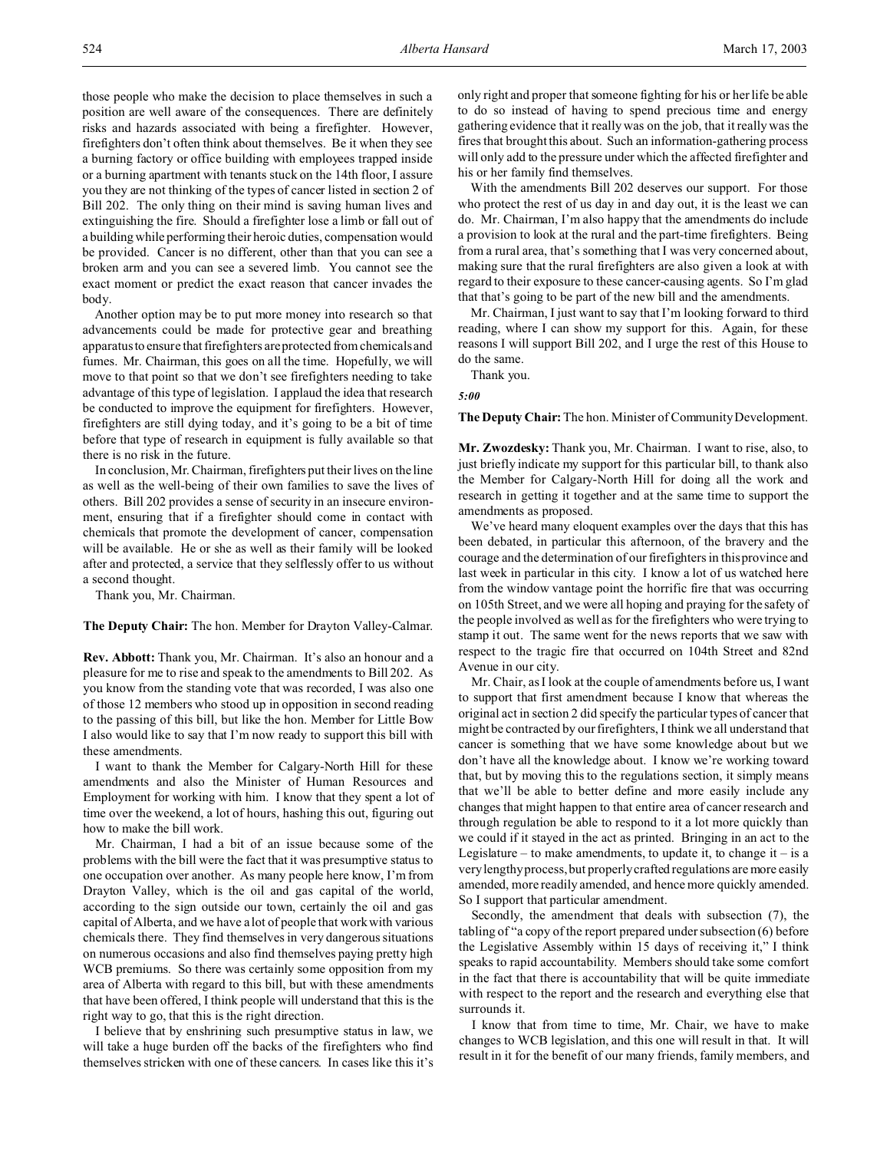those people who make the decision to place themselves in such a position are well aware of the consequences. There are definitely risks and hazards associated with being a firefighter. However, firefighters don't often think about themselves. Be it when they see a burning factory or office building with employees trapped inside or a burning apartment with tenants stuck on the 14th floor, I assure you they are not thinking of the types of cancer listed in section 2 of Bill 202. The only thing on their mind is saving human lives and extinguishing the fire. Should a firefighter lose a limb or fall out of a building while performing their heroic duties, compensation would be provided. Cancer is no different, other than that you can see a broken arm and you can see a severed limb. You cannot see the exact moment or predict the exact reason that cancer invades the body.

Another option may be to put more money into research so that advancements could be made for protective gear and breathing apparatus to ensure that firefighters are protected from chemicals and fumes. Mr. Chairman, this goes on all the time. Hopefully, we will move to that point so that we don't see firefighters needing to take advantage of this type of legislation. I applaud the idea that research be conducted to improve the equipment for firefighters. However, firefighters are still dying today, and it's going to be a bit of time before that type of research in equipment is fully available so that there is no risk in the future.

In conclusion, Mr. Chairman, firefighters put their lives on the line as well as the well-being of their own families to save the lives of others. Bill 202 provides a sense of security in an insecure environment, ensuring that if a firefighter should come in contact with chemicals that promote the development of cancer, compensation will be available. He or she as well as their family will be looked after and protected, a service that they selflessly offer to us without a second thought.

Thank you, Mr. Chairman.

**The Deputy Chair:** The hon. Member for Drayton Valley-Calmar.

**Rev. Abbott:** Thank you, Mr. Chairman. It's also an honour and a pleasure for me to rise and speak to the amendments to Bill 202. As you know from the standing vote that was recorded, I was also one of those 12 members who stood up in opposition in second reading to the passing of this bill, but like the hon. Member for Little Bow I also would like to say that I'm now ready to support this bill with these amendments.

I want to thank the Member for Calgary-North Hill for these amendments and also the Minister of Human Resources and Employment for working with him. I know that they spent a lot of time over the weekend, a lot of hours, hashing this out, figuring out how to make the bill work.

Mr. Chairman, I had a bit of an issue because some of the problems with the bill were the fact that it was presumptive status to one occupation over another. As many people here know, I'm from Drayton Valley, which is the oil and gas capital of the world, according to the sign outside our town, certainly the oil and gas capital of Alberta, and we have a lot of people that work with various chemicals there. They find themselves in very dangerous situations on numerous occasions and also find themselves paying pretty high WCB premiums. So there was certainly some opposition from my area of Alberta with regard to this bill, but with these amendments that have been offered, I think people will understand that this is the right way to go, that this is the right direction.

I believe that by enshrining such presumptive status in law, we will take a huge burden off the backs of the firefighters who find themselves stricken with one of these cancers. In cases like this it's

only right and proper that someone fighting for his or her life be able to do so instead of having to spend precious time and energy gathering evidence that it really was on the job, that it really was the fires that brought this about. Such an information-gathering process will only add to the pressure under which the affected firefighter and his or her family find themselves.

With the amendments Bill 202 deserves our support. For those who protect the rest of us day in and day out, it is the least we can do. Mr. Chairman, I'm also happy that the amendments do include a provision to look at the rural and the part-time firefighters. Being from a rural area, that's something that I was very concerned about, making sure that the rural firefighters are also given a look at with regard to their exposure to these cancer-causing agents. So I'm glad that that's going to be part of the new bill and the amendments.

Mr. Chairman, I just want to say that I'm looking forward to third reading, where I can show my support for this. Again, for these reasons I will support Bill 202, and I urge the rest of this House to do the same.

Thank you.

*5:00*

**The Deputy Chair:** The hon. Minister of Community Development.

**Mr. Zwozdesky:** Thank you, Mr. Chairman. I want to rise, also, to just briefly indicate my support for this particular bill, to thank also the Member for Calgary-North Hill for doing all the work and research in getting it together and at the same time to support the amendments as proposed.

We've heard many eloquent examples over the days that this has been debated, in particular this afternoon, of the bravery and the courage and the determination of our firefighters in this province and last week in particular in this city. I know a lot of us watched here from the window vantage point the horrific fire that was occurring on 105th Street, and we were all hoping and praying for the safety of the people involved as well as for the firefighters who were trying to stamp it out. The same went for the news reports that we saw with respect to the tragic fire that occurred on 104th Street and 82nd Avenue in our city.

Mr. Chair, as I look at the couple of amendments before us, I want to support that first amendment because I know that whereas the original act in section 2 did specify the particular types of cancer that might be contracted by our firefighters, I think we all understand that cancer is something that we have some knowledge about but we don't have all the knowledge about. I know we're working toward that, but by moving this to the regulations section, it simply means that we'll be able to better define and more easily include any changes that might happen to that entire area of cancer research and through regulation be able to respond to it a lot more quickly than we could if it stayed in the act as printed. Bringing in an act to the Legislature – to make amendments, to update it, to change it – is a very lengthy process, but properly crafted regulations are more easily amended, more readily amended, and hence more quickly amended. So I support that particular amendment.

Secondly, the amendment that deals with subsection (7), the tabling of "a copy of the report prepared under subsection (6) before the Legislative Assembly within 15 days of receiving it," I think speaks to rapid accountability. Members should take some comfort in the fact that there is accountability that will be quite immediate with respect to the report and the research and everything else that surrounds it.

I know that from time to time, Mr. Chair, we have to make changes to WCB legislation, and this one will result in that. It will result in it for the benefit of our many friends, family members, and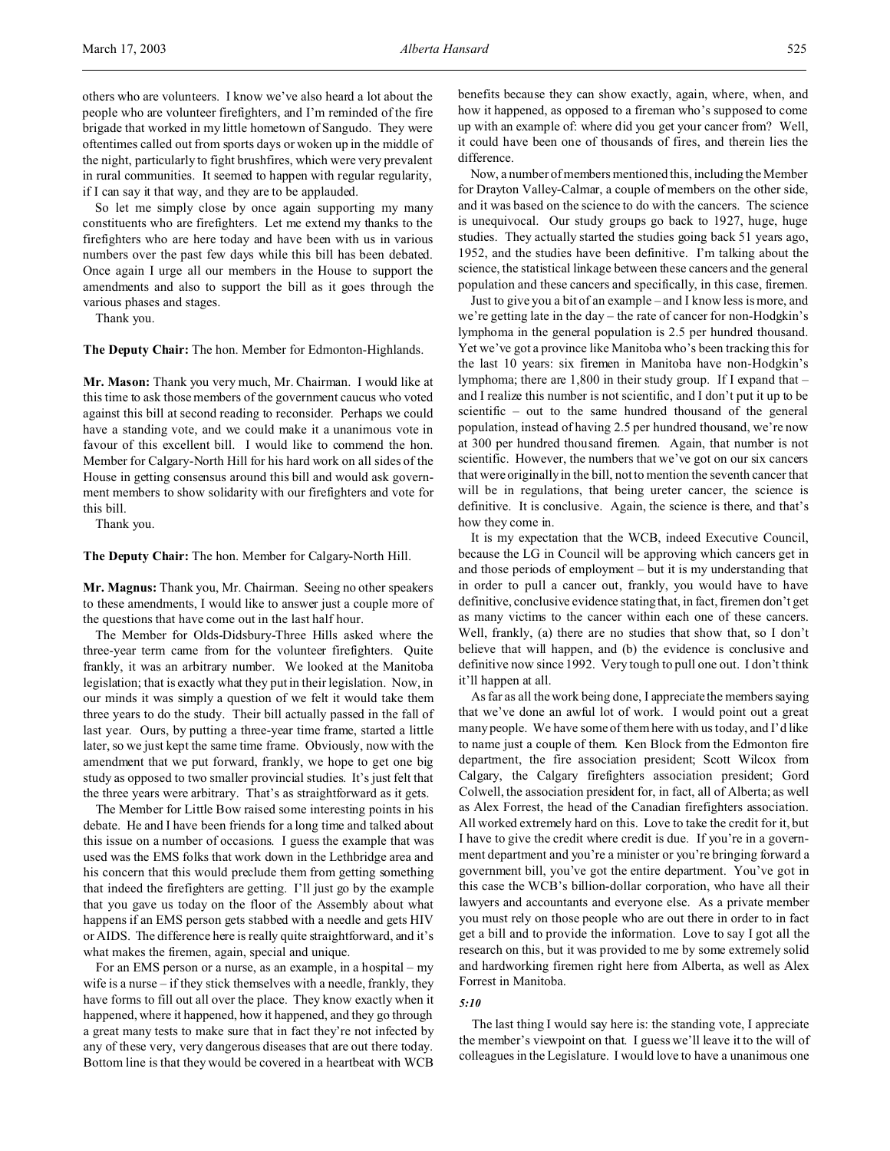others who are volunteers. I know we've also heard a lot about the people who are volunteer firefighters, and I'm reminded of the fire brigade that worked in my little hometown of Sangudo. They were oftentimes called out from sports days or woken up in the middle of the night, particularly to fight brushfires, which were very prevalent in rural communities. It seemed to happen with regular regularity, if I can say it that way, and they are to be applauded.

So let me simply close by once again supporting my many constituents who are firefighters. Let me extend my thanks to the firefighters who are here today and have been with us in various numbers over the past few days while this bill has been debated. Once again I urge all our members in the House to support the amendments and also to support the bill as it goes through the various phases and stages.

Thank you.

**The Deputy Chair:** The hon. Member for Edmonton-Highlands.

**Mr. Mason:** Thank you very much, Mr. Chairman. I would like at this time to ask those members of the government caucus who voted against this bill at second reading to reconsider. Perhaps we could have a standing vote, and we could make it a unanimous vote in favour of this excellent bill. I would like to commend the hon. Member for Calgary-North Hill for his hard work on all sides of the House in getting consensus around this bill and would ask government members to show solidarity with our firefighters and vote for this bill.

Thank you.

**The Deputy Chair:** The hon. Member for Calgary-North Hill.

**Mr. Magnus:** Thank you, Mr. Chairman. Seeing no other speakers to these amendments, I would like to answer just a couple more of the questions that have come out in the last half hour.

The Member for Olds-Didsbury-Three Hills asked where the three-year term came from for the volunteer firefighters. Quite frankly, it was an arbitrary number. We looked at the Manitoba legislation; that is exactly what they put in their legislation. Now, in our minds it was simply a question of we felt it would take them three years to do the study. Their bill actually passed in the fall of last year. Ours, by putting a three-year time frame, started a little later, so we just kept the same time frame. Obviously, now with the amendment that we put forward, frankly, we hope to get one big study as opposed to two smaller provincial studies. It's just felt that the three years were arbitrary. That's as straightforward as it gets.

The Member for Little Bow raised some interesting points in his debate. He and I have been friends for a long time and talked about this issue on a number of occasions. I guess the example that was used was the EMS folks that work down in the Lethbridge area and his concern that this would preclude them from getting something that indeed the firefighters are getting. I'll just go by the example that you gave us today on the floor of the Assembly about what happens if an EMS person gets stabbed with a needle and gets HIV or AIDS. The difference here is really quite straightforward, and it's what makes the firemen, again, special and unique.

For an EMS person or a nurse, as an example, in a hospital – my wife is a nurse – if they stick themselves with a needle, frankly, they have forms to fill out all over the place. They know exactly when it happened, where it happened, how it happened, and they go through a great many tests to make sure that in fact they're not infected by any of these very, very dangerous diseases that are out there today. Bottom line is that they would be covered in a heartbeat with WCB

benefits because they can show exactly, again, where, when, and how it happened, as opposed to a fireman who's supposed to come up with an example of: where did you get your cancer from? Well, it could have been one of thousands of fires, and therein lies the difference.

Now, a number of members mentioned this, including the Member for Drayton Valley-Calmar, a couple of members on the other side, and it was based on the science to do with the cancers. The science is unequivocal. Our study groups go back to 1927, huge, huge studies. They actually started the studies going back 51 years ago, 1952, and the studies have been definitive. I'm talking about the science, the statistical linkage between these cancers and the general population and these cancers and specifically, in this case, firemen.

Just to give you a bit of an example – and I know less is more, and we're getting late in the day – the rate of cancer for non-Hodgkin's lymphoma in the general population is 2.5 per hundred thousand. Yet we've got a province like Manitoba who's been tracking this for the last 10 years: six firemen in Manitoba have non-Hodgkin's lymphoma; there are 1,800 in their study group. If I expand that – and I realize this number is not scientific, and I don't put it up to be scientific – out to the same hundred thousand of the general population, instead of having 2.5 per hundred thousand, we're now at 300 per hundred thousand firemen. Again, that number is not scientific. However, the numbers that we've got on our six cancers that were originally in the bill, not to mention the seventh cancer that will be in regulations, that being ureter cancer, the science is definitive. It is conclusive. Again, the science is there, and that's how they come in.

It is my expectation that the WCB, indeed Executive Council, because the LG in Council will be approving which cancers get in and those periods of employment – but it is my understanding that in order to pull a cancer out, frankly, you would have to have definitive, conclusive evidence stating that, in fact, firemen don't get as many victims to the cancer within each one of these cancers. Well, frankly, (a) there are no studies that show that, so I don't believe that will happen, and (b) the evidence is conclusive and definitive now since 1992. Very tough to pull one out. I don't think it'll happen at all.

As far as all the work being done, I appreciate the members saying that we've done an awful lot of work. I would point out a great many people. We have some of them here with us today, and I'd like to name just a couple of them. Ken Block from the Edmonton fire department, the fire association president; Scott Wilcox from Calgary, the Calgary firefighters association president; Gord Colwell, the association president for, in fact, all of Alberta; as well as Alex Forrest, the head of the Canadian firefighters association. All worked extremely hard on this. Love to take the credit for it, but I have to give the credit where credit is due. If you're in a government department and you're a minister or you're bringing forward a government bill, you've got the entire department. You've got in this case the WCB's billion-dollar corporation, who have all their lawyers and accountants and everyone else. As a private member you must rely on those people who are out there in order to in fact get a bill and to provide the information. Love to say I got all the research on this, but it was provided to me by some extremely solid and hardworking firemen right here from Alberta, as well as Alex Forrest in Manitoba.

#### *5:10*

The last thing I would say here is: the standing vote, I appreciate the member's viewpoint on that. I guess we'll leave it to the will of colleagues in the Legislature. I would love to have a unanimous one